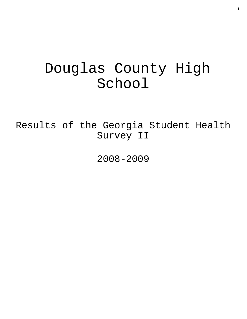# Douglas County High School

Results of the Georgia Student Health Survey II

2008-2009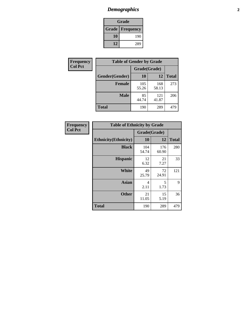# *Demographics* **2**

| Grade                    |     |  |  |  |
|--------------------------|-----|--|--|--|
| <b>Grade   Frequency</b> |     |  |  |  |
| 10                       | 190 |  |  |  |
| 12                       | 289 |  |  |  |

| Frequency      | <b>Table of Gender by Grade</b> |              |              |              |  |  |
|----------------|---------------------------------|--------------|--------------|--------------|--|--|
| <b>Col Pct</b> |                                 | Grade(Grade) |              |              |  |  |
|                | Gender(Gender)                  | 10           | 12           | <b>Total</b> |  |  |
|                | <b>Female</b>                   | 105<br>55.26 | 168<br>58.13 | 273          |  |  |
|                | <b>Male</b>                     | 85<br>44.74  | 121<br>41.87 | 206          |  |  |
|                | <b>Total</b>                    | 190          | 289          | 479          |  |  |

| <b>Frequency</b><br>Col Pct |
|-----------------------------|
|                             |

| <b>Table of Ethnicity by Grade</b> |              |              |              |  |  |  |
|------------------------------------|--------------|--------------|--------------|--|--|--|
|                                    | Grade(Grade) |              |              |  |  |  |
| <b>Ethnicity</b> (Ethnicity)       | 10           | 12           | <b>Total</b> |  |  |  |
| <b>Black</b>                       | 104<br>54.74 | 176<br>60.90 | 280          |  |  |  |
| <b>Hispanic</b>                    | 12<br>6.32   | 21<br>7.27   | 33           |  |  |  |
| <b>White</b>                       | 49<br>25.79  | 72<br>24.91  | 121          |  |  |  |
| <b>Asian</b>                       | 4<br>2.11    | 5<br>1.73    | 9            |  |  |  |
| <b>Other</b>                       | 21<br>11.05  | 15<br>5.19   | 36           |  |  |  |
| <b>Total</b>                       | 190          | 289          | 479          |  |  |  |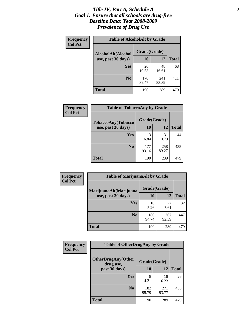### *Title IV, Part A, Schedule A* **3** *Goal 1: Ensure that all schools are drug-free Baseline Data: Year 2008-2009 Prevalence of Drug Use*

| Frequency<br><b>Col Pct</b> | <b>Table of AlcoholAlt by Grade</b> |              |              |              |  |
|-----------------------------|-------------------------------------|--------------|--------------|--------------|--|
|                             | AlcoholAlt(Alcohol                  | Grade(Grade) |              |              |  |
|                             | use, past 30 days)                  | 10           | 12           | <b>Total</b> |  |
|                             | <b>Yes</b>                          | 20<br>10.53  | 48<br>16.61  | 68           |  |
|                             | N <sub>0</sub>                      | 170<br>89.47 | 241<br>83.39 | 411          |  |
|                             | Total                               | 190          | 289          | 479          |  |

| Frequency<br><b>Col Pct</b> | <b>Table of TobaccoAny by Grade</b> |              |              |              |  |
|-----------------------------|-------------------------------------|--------------|--------------|--------------|--|
|                             | TobaccoAny(Tobacco                  | Grade(Grade) |              |              |  |
|                             | use, past 30 days)                  | 10           | 12           | <b>Total</b> |  |
|                             | Yes                                 | 13<br>6.84   | 31<br>10.73  | 44           |  |
|                             | N <sub>0</sub>                      | 177<br>93.16 | 258<br>89.27 | 435          |  |
|                             | <b>Total</b>                        | 190          | 289          | 479          |  |

| Frequency<br><b>Col Pct</b> | <b>Table of MarijuanaAlt by Grade</b> |              |              |              |  |  |
|-----------------------------|---------------------------------------|--------------|--------------|--------------|--|--|
|                             | MarijuanaAlt(Marijuana                | Grade(Grade) |              |              |  |  |
|                             | use, past 30 days)                    | <b>10</b>    | 12           | <b>Total</b> |  |  |
|                             | <b>Yes</b>                            | 10<br>5.26   | 22<br>7.61   | 32           |  |  |
|                             | N <sub>0</sub>                        | 180<br>94.74 | 267<br>92.39 | 447          |  |  |
|                             | <b>Total</b>                          | 190          | 289          | 479          |  |  |

| Frequency      | <b>Table of OtherDrugAny by Grade</b>  |              |              |              |  |  |
|----------------|----------------------------------------|--------------|--------------|--------------|--|--|
| <b>Col Pct</b> | <b>OtherDrugAny(Other</b><br>drug use, | Grade(Grade) |              |              |  |  |
|                | past 30 days)                          | 10           | 12           | <b>Total</b> |  |  |
|                | Yes                                    | 8<br>4.21    | 18<br>6.23   | 26           |  |  |
|                | N <sub>0</sub>                         | 182<br>95.79 | 271<br>93.77 | 453          |  |  |
|                | <b>Total</b>                           | 190          | 289          | 479          |  |  |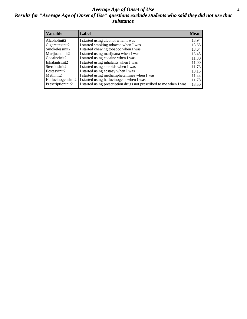### *Average Age of Onset of Use* **4** *Results for "Average Age of Onset of Use" questions exclude students who said they did not use that substance*

| <b>Variable</b>    | Label                                                              | <b>Mean</b> |
|--------------------|--------------------------------------------------------------------|-------------|
| Alcoholinit2       | I started using alcohol when I was                                 | 13.94       |
| Cigarettesinit2    | I started smoking tobacco when I was                               | 13.65       |
| Smokelessinit2     | I started chewing tobacco when I was                               | 13.64       |
| Marijuanainit2     | I started using marijuana when I was                               | 13.45       |
| Cocaineinit2       | I started using cocaine when I was                                 | 11.30       |
| Inhalantsinit2     | I started using inhalants when I was                               | 11.00       |
| Steroidsinit2      | I started using steroids when I was                                | 11.73       |
| Ecstasyinit2       | I started using ecstasy when I was                                 | 13.15       |
| Methinit2          | I started using methamphetamines when I was                        | 11.44       |
| Hallucinogensinit2 | I started using hallucinogens when I was                           | 11.78       |
| Prescriptioninit2  | I started using prescription drugs not prescribed to me when I was | 13.50       |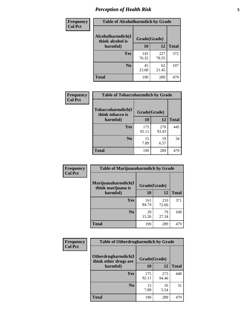# *Perception of Health Risk* **5**

| Frequency      | <b>Table of Alcoholharmdich by Grade</b> |              |              |              |  |
|----------------|------------------------------------------|--------------|--------------|--------------|--|
| <b>Col Pct</b> | Alcoholharmdich(I<br>think alcohol is    | Grade(Grade) |              |              |  |
|                | harmful)                                 | 10           | 12           | <b>Total</b> |  |
|                | <b>Yes</b>                               | 145<br>76.32 | 227<br>78.55 | 372          |  |
|                | N <sub>0</sub>                           | 45<br>23.68  | 62<br>21.45  | 107          |  |
|                | <b>Total</b>                             | 190          | 289          | 479          |  |

| <b>Frequency</b> | <b>Table of Tobaccoharmdich by Grade</b> |              |              |              |
|------------------|------------------------------------------|--------------|--------------|--------------|
| <b>Col Pct</b>   | Tobaccoharmdich(I<br>think tobacco is    | Grade(Grade) |              |              |
|                  | harmful)                                 | 10           | 12           | <b>Total</b> |
|                  | Yes                                      | 175<br>92.11 | 270<br>93.43 | 445          |
|                  | N <sub>0</sub>                           | 15<br>7.89   | 19<br>6.57   | 34           |
|                  | <b>Total</b>                             | 190          | 289          | 479          |

| Frequency<br><b>Col Pct</b> | <b>Table of Marijuanaharmdich by Grade</b> |              |              |              |  |  |
|-----------------------------|--------------------------------------------|--------------|--------------|--------------|--|--|
|                             | Marijuanaharmdich(I<br>think marijuana is  |              | Grade(Grade) |              |  |  |
|                             | harmful)                                   | 10           | 12           | <b>Total</b> |  |  |
|                             | <b>Yes</b>                                 | 161<br>84.74 | 210<br>72.66 | 371          |  |  |
|                             | N <sub>0</sub>                             | 29<br>15.26  | 79<br>27.34  | 108          |  |  |
|                             | <b>Total</b>                               | 190          | 289          | 479          |  |  |

| <b>Frequency</b> | <b>Table of Otherdrugharmdich by Grade</b>                   |              |              |              |  |  |  |  |
|------------------|--------------------------------------------------------------|--------------|--------------|--------------|--|--|--|--|
| <b>Col Pct</b>   | Otherdrugharmdich(I<br>Grade(Grade)<br>think other drugs are |              |              |              |  |  |  |  |
|                  | harmful)                                                     | 10           | 12           | <b>Total</b> |  |  |  |  |
|                  | <b>Yes</b>                                                   | 175<br>92.11 | 273<br>94.46 | 448          |  |  |  |  |
|                  | N <sub>0</sub>                                               | 15<br>7.89   | 16<br>5.54   | 31           |  |  |  |  |
|                  | <b>Total</b>                                                 | 190          | 289          | 479          |  |  |  |  |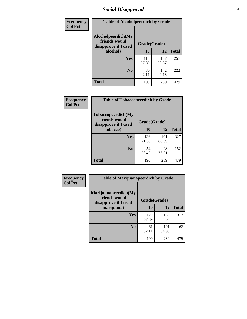# *Social Disapproval* **6**

| Frequency      | <b>Table of Alcoholpeerdich by Grade</b>                    |              |              |              |
|----------------|-------------------------------------------------------------|--------------|--------------|--------------|
| <b>Col Pct</b> | Alcoholpeerdich(My<br>friends would<br>disapprove if I used | Grade(Grade) |              |              |
|                | alcohol)                                                    | 10           | 12           | <b>Total</b> |
|                | <b>Yes</b>                                                  | 110<br>57.89 | 147<br>50.87 | 257          |
|                | N <sub>0</sub>                                              | 80<br>42.11  | 142<br>49.13 | 222          |
|                | Total                                                       | 190          | 289          | 479          |

| <b>Frequency</b> |
|------------------|
| <b>Col Pct</b>   |

| <b>Table of Tobaccopeerdich by Grade</b>                    |              |              |              |  |  |  |  |
|-------------------------------------------------------------|--------------|--------------|--------------|--|--|--|--|
| Tobaccopeerdich(My<br>friends would<br>disapprove if I used | Grade(Grade) |              |              |  |  |  |  |
| tobacco)                                                    | 10           | 12           | <b>Total</b> |  |  |  |  |
| Yes                                                         | 136<br>71.58 | 191<br>66.09 | 327          |  |  |  |  |
| N <sub>0</sub>                                              | 54<br>28.42  | 98<br>33.91  | 152          |  |  |  |  |
| <b>Total</b>                                                | 190          | 289          | 479          |  |  |  |  |

| <b>Frequency</b> | <b>Table of Marijuanapeerdich by Grade</b>                    |              |              |              |  |  |  |  |  |
|------------------|---------------------------------------------------------------|--------------|--------------|--------------|--|--|--|--|--|
| <b>Col Pct</b>   | Marijuanapeerdich(My<br>friends would<br>disapprove if I used | Grade(Grade) |              |              |  |  |  |  |  |
|                  | marijuana)                                                    | 10           | 12           | <b>Total</b> |  |  |  |  |  |
|                  | <b>Yes</b>                                                    | 129<br>67.89 | 188<br>65.05 | 317          |  |  |  |  |  |
|                  | N <sub>0</sub>                                                | 61<br>32.11  | 101<br>34.95 | 162          |  |  |  |  |  |
|                  | <b>Total</b>                                                  | 190          | 289          | 479          |  |  |  |  |  |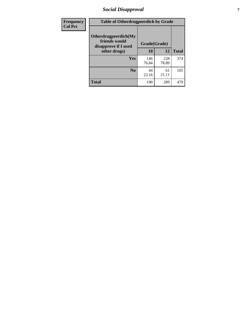# *Social Disapproval* **7**

| Frequency      | <b>Table of Otherdrugpeerdich by Grade</b>                    |              |              |              |  |  |  |  |
|----------------|---------------------------------------------------------------|--------------|--------------|--------------|--|--|--|--|
| <b>Col Pct</b> | Otherdrugpeerdich(My<br>friends would<br>disapprove if I used | Grade(Grade) |              |              |  |  |  |  |
|                | other drugs)                                                  | 10           | 12           | <b>Total</b> |  |  |  |  |
|                | Yes                                                           | 146<br>76.84 | 228<br>78.89 | 374          |  |  |  |  |
|                | N <sub>0</sub>                                                | 44<br>23.16  | 61<br>21.11  | 105          |  |  |  |  |
|                | <b>Total</b>                                                  | 190          | 289          | 479          |  |  |  |  |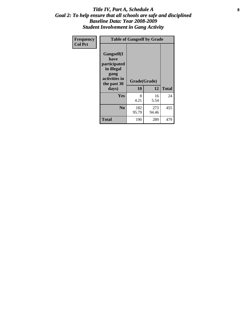### Title IV, Part A, Schedule A **8** *Goal 2: To help ensure that all schools are safe and disciplined Baseline Data: Year 2008-2009 Student Involvement in Gang Activity*

| Frequency      | <b>Table of Gangself by Grade</b>                                                                 |                    |              |              |
|----------------|---------------------------------------------------------------------------------------------------|--------------------|--------------|--------------|
| <b>Col Pct</b> | Gangself(I<br>have<br>participated<br>in illegal<br>gang<br>activities in<br>the past 30<br>days) | Grade(Grade)<br>10 | 12           | <b>Total</b> |
|                | Yes                                                                                               | 8<br>4.21          | 16<br>5.54   | 24           |
|                | N <sub>0</sub>                                                                                    | 182<br>95.79       | 273<br>94.46 | 455          |
|                | <b>Total</b>                                                                                      | 190                | 289          | 479          |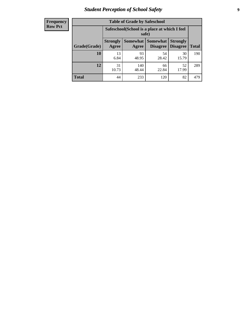# *Student Perception of School Safety* **9**

| <b>Frequency</b><br>Row Pct |
|-----------------------------|
|                             |

| <b>Table of Grade by Safeschool</b> |                                                                                                                                           |                                                        |             |             |     |  |  |  |
|-------------------------------------|-------------------------------------------------------------------------------------------------------------------------------------------|--------------------------------------------------------|-------------|-------------|-----|--|--|--|
|                                     |                                                                                                                                           | Safeschool (School is a place at which I feel<br>safe) |             |             |     |  |  |  |
| Grade(Grade)                        | <b>Somewhat</b><br><b>Somewhat</b><br><b>Strongly</b><br><b>Strongly</b><br><b>Disagree</b><br>Agree<br>Disagree<br><b>Total</b><br>Agree |                                                        |             |             |     |  |  |  |
| 10                                  | 13<br>6.84                                                                                                                                | 93<br>48.95                                            | 54<br>28.42 | 30<br>15.79 | 190 |  |  |  |
| 12                                  | 31<br>10.73                                                                                                                               | 140<br>48.44                                           | 66<br>22.84 | 52<br>17.99 | 289 |  |  |  |
| <b>Total</b>                        | 44                                                                                                                                        | 233                                                    | 120         | 82          | 479 |  |  |  |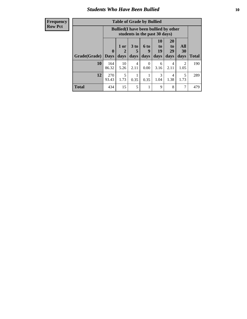### *Students Who Have Been Bullied* **10**

| <b>Frequency</b> |
|------------------|
| Row Pct          |

| <b>Table of Grade by Bullied</b> |                             |                                                                               |                              |                   |                        |                        |                                 |              |
|----------------------------------|-----------------------------|-------------------------------------------------------------------------------|------------------------------|-------------------|------------------------|------------------------|---------------------------------|--------------|
|                                  |                             | <b>Bullied</b> (I have been bullied by other<br>students in the past 30 days) |                              |                   |                        |                        |                                 |              |
| Grade(Grade)                     | $\mathbf{0}$<br><b>Days</b> | 1 or<br>2<br>days                                                             | 3 <sub>to</sub><br>5<br>days | 6 to<br>9<br>days | 10<br>to<br>19<br>days | 20<br>to<br>29<br>days | <b>All</b><br><b>30</b><br>days | <b>Total</b> |
| 10                               | 164<br>86.32                | 10<br>5.26                                                                    | 4<br>2.11                    | $\Omega$<br>0.00  | 6<br>3.16              | 4<br>2.11              | $\overline{2}$<br>1.05          | 190          |
| 12                               | 270<br>93.43                | 5<br>1.73                                                                     | 0.35                         | 0.35              | 3<br>1.04              | 4<br>1.38              | 5<br>1.73                       | 289          |
| <b>Total</b>                     | 434                         | 15                                                                            | 5                            |                   | 9                      | 8                      | 7                               | 479          |

 $\blacksquare$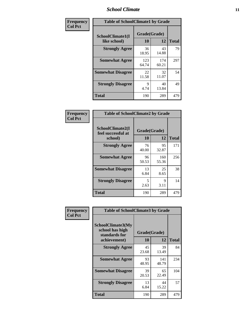### *School Climate* **11**

| Frequency      | <b>Table of SchoolClimate1 by Grade</b> |                    |              |              |  |  |
|----------------|-----------------------------------------|--------------------|--------------|--------------|--|--|
| <b>Col Pct</b> | SchoolClimate1(I<br>like school)        | Grade(Grade)<br>10 | 12           | <b>Total</b> |  |  |
|                | <b>Strongly Agree</b>                   | 36<br>18.95        | 43<br>14.88  | 79           |  |  |
|                | <b>Somewhat Agree</b>                   | 123<br>64.74       | 174<br>60.21 | 297          |  |  |
|                | <b>Somewhat Disagree</b>                | 22<br>11.58        | 32<br>11.07  | 54           |  |  |
|                | <b>Strongly Disagree</b>                | 9<br>4.74          | 40<br>13.84  | 49           |  |  |
|                | Total                                   | 190                | 289          | 479          |  |  |

| <b>Frequency</b> |  |
|------------------|--|
| <b>Col Pct</b>   |  |

| <b>Table of SchoolClimate2 by Grade</b>           |                    |              |              |  |
|---------------------------------------------------|--------------------|--------------|--------------|--|
| SchoolClimate2(I<br>feel successful at<br>school) | Grade(Grade)<br>10 | 12           | <b>Total</b> |  |
| <b>Strongly Agree</b>                             | 76<br>40.00        | 95<br>32.87  | 171          |  |
| <b>Somewhat Agree</b>                             | 96<br>50.53        | 160<br>55.36 | 256          |  |
| <b>Somewhat Disagree</b>                          | 13<br>6.84         | 25<br>8.65   | 38           |  |
| <b>Strongly Disagree</b>                          | 5<br>2.63          | 9<br>3.11    | 14           |  |
| <b>Total</b>                                      | 190                | 289          | 479          |  |

| Frequency      | <b>Table of SchoolClimate3 by Grade</b>               |             |              |              |  |  |
|----------------|-------------------------------------------------------|-------------|--------------|--------------|--|--|
| <b>Col Pct</b> | SchoolClimate3(My<br>school has high<br>standards for |             | Grade(Grade) |              |  |  |
|                | achievement)                                          | <b>10</b>   | 12           | <b>Total</b> |  |  |
|                | <b>Strongly Agree</b>                                 | 45<br>23.68 | 39<br>13.49  | 84           |  |  |
|                | <b>Somewhat Agree</b>                                 | 93<br>48.95 | 141<br>48.79 | 234          |  |  |
|                | <b>Somewhat Disagree</b>                              | 39<br>20.53 | 65<br>22.49  | 104          |  |  |
|                | <b>Strongly Disagree</b>                              | 13<br>6.84  | 44<br>15.22  | 57           |  |  |
|                | Total                                                 | 190         | 289          | 479          |  |  |
|                |                                                       |             |              |              |  |  |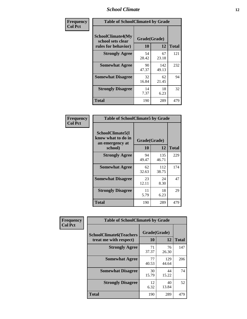### *School Climate* **12**

| Frequency      | <b>Table of SchoolClimate4 by Grade</b>                              |                           |              |              |
|----------------|----------------------------------------------------------------------|---------------------------|--------------|--------------|
| <b>Col Pct</b> | <b>SchoolClimate4(My</b><br>school sets clear<br>rules for behavior) | Grade(Grade)<br><b>10</b> | 12           | <b>Total</b> |
|                | <b>Strongly Agree</b>                                                | 54<br>28.42               | 67<br>23.18  | 121          |
|                | <b>Somewhat Agree</b>                                                | 90<br>47.37               | 142<br>49.13 | 232          |
|                | <b>Somewhat Disagree</b>                                             | 32<br>16.84               | 62<br>21.45  | 94           |
|                | <b>Strongly Disagree</b>                                             | 14<br>7.37                | 18<br>6.23   | 32           |
|                | Total                                                                | 190                       | 289          | 479          |

| <b>Table of SchoolClimate5 by Grade</b>                   |              |              |              |  |
|-----------------------------------------------------------|--------------|--------------|--------------|--|
| SchoolClimate5(I<br>know what to do in<br>an emergency at | Grade(Grade) |              |              |  |
| school)                                                   | 10           | 12           | <b>Total</b> |  |
| <b>Strongly Agree</b>                                     | 94<br>49.47  | 135<br>46.71 | 229          |  |
| <b>Somewhat Agree</b>                                     | 62<br>32.63  | 112<br>38.75 | 174          |  |
| <b>Somewhat Disagree</b>                                  | 23<br>12.11  | 24<br>8.30   | 47           |  |
| <b>Strongly Disagree</b>                                  | 11<br>5.79   | 18<br>6.23   | 29           |  |
| <b>Total</b>                                              | 190          | 289          | 479          |  |

| Frequency      | <b>Table of SchoolClimate6 by Grade</b>                  |                    |              |              |  |
|----------------|----------------------------------------------------------|--------------------|--------------|--------------|--|
| <b>Col Pct</b> | <b>SchoolClimate6(Teachers</b><br>treat me with respect) | Grade(Grade)<br>10 | 12           | <b>Total</b> |  |
|                | <b>Strongly Agree</b>                                    | 71<br>37.37        | 76<br>26.30  | 147          |  |
|                | <b>Somewhat Agree</b>                                    | 77<br>40.53        | 129<br>44.64 | 206          |  |
|                | <b>Somewhat Disagree</b>                                 | 30<br>15.79        | 44<br>15.22  | 74           |  |
|                | <b>Strongly Disagree</b>                                 | 12<br>6.32         | 40<br>13.84  | 52           |  |
|                | <b>Total</b>                                             | 190                | 289          | 479          |  |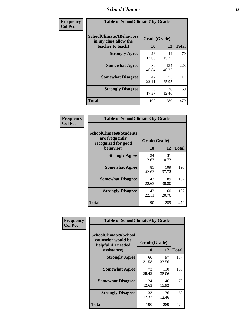### *School Climate* **13**

| Frequency      | <b>Table of SchoolClimate7 by Grade</b>                                       |                           |              |              |  |
|----------------|-------------------------------------------------------------------------------|---------------------------|--------------|--------------|--|
| <b>Col Pct</b> | <b>SchoolClimate7(Behaviors</b><br>in my class allow the<br>teacher to teach) | Grade(Grade)<br><b>10</b> | 12           | <b>Total</b> |  |
|                | <b>Strongly Agree</b>                                                         | 26<br>13.68               | 44<br>15.22  | 70           |  |
|                | <b>Somewhat Agree</b>                                                         | 89<br>46.84               | 134<br>46.37 | 223          |  |
|                | <b>Somewhat Disagree</b>                                                      | 42<br>22.11               | 75<br>25.95  | 117          |  |
|                | <b>Strongly Disagree</b>                                                      | 33<br>17.37               | 36<br>12.46  | 69           |  |
|                | <b>Total</b>                                                                  | 190                       | 289          | 479          |  |

| Frequency      | <b>Table of SchoolClimate8 by Grade</b>                                              |                    |              |              |  |
|----------------|--------------------------------------------------------------------------------------|--------------------|--------------|--------------|--|
| <b>Col Pct</b> | <b>SchoolClimate8(Students</b><br>are frequently<br>recognized for good<br>behavior) | Grade(Grade)<br>10 | 12           | <b>Total</b> |  |
|                | <b>Strongly Agree</b>                                                                | 24<br>12.63        | 31<br>10.73  | 55           |  |
|                | <b>Somewhat Agree</b>                                                                | 81<br>42.63        | 109<br>37.72 | 190          |  |
|                | <b>Somewhat Disagree</b>                                                             | 43<br>22.63        | 89<br>30.80  | 132          |  |
|                | <b>Strongly Disagree</b>                                                             | 42<br>22.11        | 60<br>20.76  | 102          |  |
|                | <b>Total</b>                                                                         | 190                | 289          | 479          |  |

| Frequency      | <b>Table of SchoolClimate9 by Grade</b>                                           |                    |              |              |  |
|----------------|-----------------------------------------------------------------------------------|--------------------|--------------|--------------|--|
| <b>Col Pct</b> | SchoolClimate9(School<br>counselor would be<br>helpful if I needed<br>assistance) | Grade(Grade)<br>10 | 12           | <b>Total</b> |  |
|                | <b>Strongly Agree</b>                                                             | 60<br>31.58        | 97<br>33.56  | 157          |  |
|                | <b>Somewhat Agree</b>                                                             | 73<br>38.42        | 110<br>38.06 | 183          |  |
|                | <b>Somewhat Disagree</b>                                                          | 24<br>12.63        | 46<br>15.92  | 70           |  |
|                | <b>Strongly Disagree</b>                                                          | 33<br>17.37        | 36<br>12.46  | 69           |  |
|                | <b>Total</b>                                                                      | 190                | 289          | 479          |  |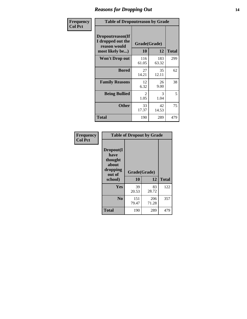### *Reasons for Dropping Out* **14**

| <b>Frequency</b> | <b>Table of Dropoutreason by Grade</b>                                   |              |                    |              |
|------------------|--------------------------------------------------------------------------|--------------|--------------------|--------------|
| <b>Col Pct</b>   | Dropoutreason(If<br>I dropped out the<br>reason would<br>most likely be) | 10           | Grade(Grade)<br>12 | <b>Total</b> |
|                  | <b>Won't Drop out</b>                                                    | 116<br>61.05 | 183<br>63.32       | 299          |
|                  | <b>Bored</b>                                                             | 27<br>14.21  | 35<br>12.11        | 62           |
|                  | <b>Family Reasons</b>                                                    | 12<br>6.32   | 26<br>9.00         | 38           |
|                  | <b>Being Bullied</b>                                                     | 2<br>1.05    | 3<br>1.04          | 5            |
|                  | <b>Other</b>                                                             | 33<br>17.37  | 42<br>14.53        | 75           |
|                  | <b>Total</b>                                                             | 190          | 289                | 479          |

| Frequency      | <b>Table of Dropout by Grade</b>                                       |                    |              |              |  |
|----------------|------------------------------------------------------------------------|--------------------|--------------|--------------|--|
| <b>Col Pct</b> | Dropout(I<br>have<br>thought<br>about<br>dropping<br>out of<br>school) | Grade(Grade)<br>10 | 12           | <b>Total</b> |  |
|                | Yes                                                                    | 39                 | 83           | 122          |  |
|                |                                                                        | 20.53              | 28.72        |              |  |
|                | N <sub>0</sub>                                                         | 151<br>79.47       | 206<br>71.28 | 357          |  |
|                | <b>Total</b>                                                           | 190                | 289          | 479          |  |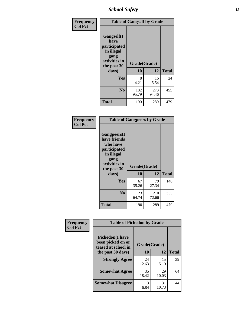*School Safety* **15**

| Frequency      | <b>Table of Gangself by Grade</b>                                                                 |                    |              |              |
|----------------|---------------------------------------------------------------------------------------------------|--------------------|--------------|--------------|
| <b>Col Pct</b> | Gangself(I<br>have<br>participated<br>in illegal<br>gang<br>activities in<br>the past 30<br>days) | Grade(Grade)<br>10 | 12           | <b>Total</b> |
|                |                                                                                                   |                    |              |              |
|                | Yes                                                                                               | 8<br>4.21          | 16<br>5.54   | 24           |
|                | N <sub>o</sub>                                                                                    | 182<br>95.79       | 273<br>94.46 | 455          |
|                | <b>Total</b>                                                                                      | 190                | 289          | 479          |

| Frequency<br><b>Col Pct</b> | <b>Table of Gangpeers by Grade</b>                                                                                     |                    |              |              |  |  |  |  |  |  |
|-----------------------------|------------------------------------------------------------------------------------------------------------------------|--------------------|--------------|--------------|--|--|--|--|--|--|
|                             | Gangpeers(I<br>have friends<br>who have<br>participated<br>in illegal<br>gang<br>activities in<br>the past 30<br>days) | Grade(Grade)<br>10 | 12           | <b>Total</b> |  |  |  |  |  |  |
|                             | <b>Yes</b>                                                                                                             | 67<br>35.26        | 79<br>27.34  | 146          |  |  |  |  |  |  |
|                             | N <sub>0</sub>                                                                                                         | 123<br>64.74       | 210<br>72.66 | 333          |  |  |  |  |  |  |
|                             | <b>Total</b>                                                                                                           | 190                | 289          | 479          |  |  |  |  |  |  |

| Frequency      |                                                                    | <b>Table of Pickedon by Grade</b> |             |              |  |  |  |  |  |  |
|----------------|--------------------------------------------------------------------|-----------------------------------|-------------|--------------|--|--|--|--|--|--|
| <b>Col Pct</b> | <b>Pickedon(I have</b><br>been picked on or<br>teased at school in | Grade(Grade)                      |             |              |  |  |  |  |  |  |
|                | the past 30 days)                                                  | 10                                | 12          | <b>Total</b> |  |  |  |  |  |  |
|                | <b>Strongly Agree</b>                                              | 24<br>12.63                       | 15<br>5.19  | 39           |  |  |  |  |  |  |
|                | <b>Somewhat Agree</b>                                              | 35<br>18.42                       | 29<br>10.03 | 64           |  |  |  |  |  |  |
|                | <b>Somewhat Disagree</b>                                           | 13<br>6.84                        | 31<br>10.73 | 44           |  |  |  |  |  |  |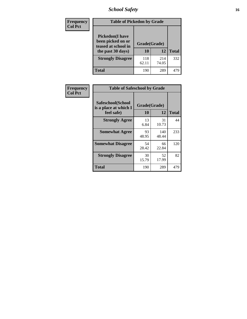# *School Safety* **16**

| <b>Frequency</b> | <b>Table of Pickedon by Grade</b>                                                        |                    |              |              |
|------------------|------------------------------------------------------------------------------------------|--------------------|--------------|--------------|
| <b>Col Pct</b>   | <b>Pickedon</b> (I have<br>been picked on or<br>teased at school in<br>the past 30 days) | Grade(Grade)<br>10 | 12           | <b>Total</b> |
|                  | <b>Strongly Disagree</b>                                                                 | 118<br>62.11       | 214<br>74.05 | 332          |
|                  | Total                                                                                    | 190                | 289          | 479          |

| Frequency      | <b>Table of Safeschool by Grade</b>                      |                    |              |     |  |  |  |  |  |
|----------------|----------------------------------------------------------|--------------------|--------------|-----|--|--|--|--|--|
| <b>Col Pct</b> | Safeschool(School<br>is a place at which I<br>feel safe) | Grade(Grade)<br>10 | <b>Total</b> |     |  |  |  |  |  |
|                | <b>Strongly Agree</b>                                    | 13<br>6.84         | 31<br>10.73  | 44  |  |  |  |  |  |
|                | <b>Somewhat Agree</b>                                    | 93<br>48.95        | 140<br>48.44 | 233 |  |  |  |  |  |
|                | <b>Somewhat Disagree</b>                                 | 54<br>28.42        | 66<br>22.84  | 120 |  |  |  |  |  |
|                | <b>Strongly Disagree</b>                                 | 30<br>15.79        | 52<br>17.99  | 82  |  |  |  |  |  |
|                | Total                                                    | 190                | 289          | 479 |  |  |  |  |  |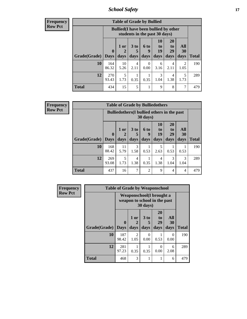*School Safety* **17**

**Frequency Row Pct**

| <b>Table of Grade by Bullied</b> |              |                                                                               |                              |                   |                        |                               |                                     |              |  |  |  |
|----------------------------------|--------------|-------------------------------------------------------------------------------|------------------------------|-------------------|------------------------|-------------------------------|-------------------------------------|--------------|--|--|--|
|                                  |              | <b>Bullied</b> (I have been bullied by other<br>students in the past 30 days) |                              |                   |                        |                               |                                     |              |  |  |  |
| Grade(Grade)   Days              | $\mathbf{0}$ | 1 or<br>2<br>days                                                             | 3 <sub>to</sub><br>5<br>days | 6 to<br>q<br>days | 10<br>to<br>19<br>days | <b>20</b><br>to<br>29<br>days | All<br><b>30</b><br>days            | <b>Total</b> |  |  |  |
| 10                               | 164<br>86.32 | 10<br>5.26                                                                    | 4<br>2.11                    | $\theta$<br>0.00  | 6<br>3.16              | 4<br>2.11                     | $\mathcal{D}_{\mathcal{A}}$<br>1.05 | 190          |  |  |  |
| 12                               | 270<br>93.43 | 5<br>1.73                                                                     | 0.35                         | 0.35              | 3<br>1.04              | 4<br>1.38                     | 5<br>1.73                           | 289          |  |  |  |
| <b>Total</b>                     | 434          | 15                                                                            | 5                            |                   | 9                      | 8                             | 7                                   | 479          |  |  |  |

| <b>Frequency</b> |
|------------------|
| <b>Row Pct</b>   |

| <b>Table of Grade by Bulliedothers</b> |                                                                         |                   |                   |                   |                        |                               |                   |              |  |  |
|----------------------------------------|-------------------------------------------------------------------------|-------------------|-------------------|-------------------|------------------------|-------------------------------|-------------------|--------------|--|--|
|                                        | <b>Bulliedothers</b> (I bullied others in the past<br>$30 \text{ days}$ |                   |                   |                   |                        |                               |                   |              |  |  |
| Grade(Grade)                           | $\mathbf{0}$<br>  Days                                                  | 1 or<br>2<br>days | 3 to<br>5<br>days | 6 to<br>9<br>days | 10<br>to<br>19<br>days | <b>20</b><br>to<br>29<br>days | All<br>30<br>days | <b>Total</b> |  |  |
| 10                                     | 168<br>88.42                                                            | 11<br>5.79        | 3<br>1.58         | 0.53              | 5<br>2.63              | 0.53                          | 0.53              | 190          |  |  |
| 12                                     | 269<br>93.08                                                            | 5<br>1.73         | 4<br>1.38         | 0.35              | 4<br>1.38              | 3<br>1.04                     | 3<br>1.04         | 289          |  |  |
| Total                                  | 437                                                                     | 16                | $\overline{7}$    | $\overline{c}$    | 9                      | 4                             | $\overline{4}$    | 479          |  |  |

| Frequency      | <b>Table of Grade by Weaponschool</b> |                                                                  |                        |                              |                               |                   |              |  |  |
|----------------|---------------------------------------|------------------------------------------------------------------|------------------------|------------------------------|-------------------------------|-------------------|--------------|--|--|
| <b>Row Pct</b> |                                       | <b>Weaponschool</b> (I brought a<br>weapon to school in the past |                        |                              |                               |                   |              |  |  |
|                | Grade(Grade)                          | $\bf{0}$<br><b>Days</b>                                          | 1 or<br>days           | 3 <sub>to</sub><br>5<br>days | <b>20</b><br>to<br>29<br>days | All<br>30<br>days | <b>Total</b> |  |  |
|                | 10                                    | 187<br>98.42                                                     | $\overline{2}$<br>1.05 | 0<br>0.00                    | 0.53                          | 0<br>0.00         | 190          |  |  |
|                | 12                                    | 281<br>97.23                                                     | 0.35                   | 0.35                         | 0<br>0.00                     | 6<br>2.08         | 289          |  |  |
|                | <b>Total</b>                          | 468                                                              | 3                      |                              |                               | 6                 | 479          |  |  |

ł,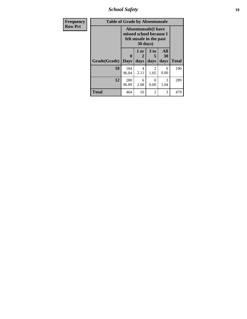*School Safety* **18**

| <b>Frequency</b> | <b>Table of Grade by Absentunsafe</b> |                                                                                   |                   |                        |                   |              |  |  |  |  |
|------------------|---------------------------------------|-----------------------------------------------------------------------------------|-------------------|------------------------|-------------------|--------------|--|--|--|--|
| <b>Row Pct</b>   |                                       | <b>Absentunsafe</b> (I have<br>missed school because I<br>felt unsafe in the past |                   |                        |                   |              |  |  |  |  |
|                  | <b>Grade</b> (Grade)   Days           | $\bf{0}$                                                                          | 1 or<br>2<br>days | 3 to<br>5<br>days      | All<br>30<br>days | <b>Total</b> |  |  |  |  |
|                  | 10                                    | 184<br>96.84                                                                      | 4<br>2.11         | $\overline{2}$<br>1.05 | 0<br>0.00         | 190          |  |  |  |  |
|                  | 12                                    | 280<br>96.89                                                                      | 6<br>2.08         | $\Omega$<br>0.00       | 3<br>1.04         | 289          |  |  |  |  |
|                  | Total                                 | 464                                                                               | 10                | $\overline{2}$         | 3                 | 479          |  |  |  |  |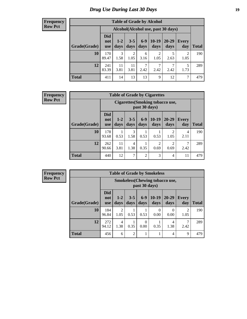# *Drug Use During Last 30 Days* **19**

#### **Frequency Row Pct**

| <b>Table of Grade by Alcohol</b> |                                 |                                     |                 |                 |                 |                   |                     |              |  |  |  |
|----------------------------------|---------------------------------|-------------------------------------|-----------------|-----------------|-----------------|-------------------|---------------------|--------------|--|--|--|
|                                  |                                 | Alcohol (Alcohol use, past 30 days) |                 |                 |                 |                   |                     |              |  |  |  |
| Grade(Grade)                     | <b>Did</b><br>not<br><b>use</b> | $1 - 2$<br>days                     | $3 - 5$<br>days | $6 - 9$<br>days | $10-19$<br>days | $20 - 29$<br>days | <b>Every</b><br>day | <b>Total</b> |  |  |  |
| 10                               | 170<br>89.47                    | 3<br>1.58                           | 2<br>1.05       | 6<br>3.16       | 2<br>1.05       | 5<br>2.63         | 2<br>1.05           | 190          |  |  |  |
| 12                               | 241<br>83.39                    | 11<br>3.81                          | 11<br>3.81      | 7<br>2.42       | 7<br>2.42       | ┑<br>2.42         | 5<br>1.73           | 289          |  |  |  |
| <b>Total</b>                     | 411                             | 14                                  | 13              | 13              | 9               | 12                | 7                   | 479          |  |  |  |

#### **Frequency Row Pct**

| <b>Table of Grade by Cigarettes</b> |                                                                                                                                                     |                                                          |           |                |                        |                        |           |     |  |  |
|-------------------------------------|-----------------------------------------------------------------------------------------------------------------------------------------------------|----------------------------------------------------------|-----------|----------------|------------------------|------------------------|-----------|-----|--|--|
|                                     |                                                                                                                                                     | <b>Cigarettes</b> (Smoking tobacco use,<br>past 30 days) |           |                |                        |                        |           |     |  |  |
| Grade(Grade)                        | <b>Did</b><br>$10-19$<br>$6 - 9$<br>20-29<br>$3 - 5$<br>$1 - 2$<br><b>Every</b><br>not<br>days<br>days<br>day<br>days<br>days<br>days<br><b>use</b> |                                                          |           |                |                        | <b>Total</b>           |           |     |  |  |
| 10                                  | 178<br>93.68                                                                                                                                        | 0.53                                                     | 3<br>1.58 | 0.53           | 0.53                   | $\mathfrak{D}$<br>1.05 | 4<br>2.11 | 190 |  |  |
| 12                                  | 262<br>90.66                                                                                                                                        | 11<br>3.81                                               | 4<br>1.38 | 0.35           | $\overline{2}$<br>0.69 | $\overline{c}$<br>0.69 | 7<br>2.42 | 289 |  |  |
| <b>Total</b>                        | 440                                                                                                                                                 | 12                                                       | 7         | $\overline{c}$ | 3                      | 4                      | 11        | 479 |  |  |

**Frequency Row Pct**

| <b>Table of Grade by Smokeless</b> |                                 |                                                         |                 |                  |                 |                   |                        |              |  |
|------------------------------------|---------------------------------|---------------------------------------------------------|-----------------|------------------|-----------------|-------------------|------------------------|--------------|--|
|                                    |                                 | <b>Smokeless</b> (Chewing tobacco use,<br>past 30 days) |                 |                  |                 |                   |                        |              |  |
| Grade(Grade)                       | <b>Did</b><br>not<br><b>use</b> | $1 - 2$<br>days                                         | $3 - 5$<br>days | $6 - 9$<br>days  | $10-19$<br>days | $20 - 29$<br>days | <b>Every</b><br>day    | <b>Total</b> |  |
| 10                                 | 184<br>96.84                    | $\overline{2}$<br>1.05                                  | 0.53            | 0.53             | 0<br>0.00       | 0<br>0.00         | $\overline{2}$<br>1.05 | 190          |  |
| 12                                 | 272<br>94.12                    | 4<br>1.38                                               | 0.35            | $\Omega$<br>0.00 | 0.35            | 4<br>1.38         | 2.42                   | 289          |  |
| <b>Total</b>                       | 456                             | 6                                                       | $\overline{2}$  |                  | 1               | 4                 | 9                      | 479          |  |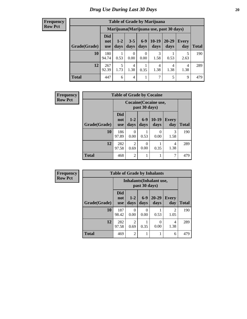#### **Frequency Row Pct**

| <b>Table of Grade by Marijuana</b> |              |                                                                                                                                                                                           |                |           |           |           |           |     |  |
|------------------------------------|--------------|-------------------------------------------------------------------------------------------------------------------------------------------------------------------------------------------|----------------|-----------|-----------|-----------|-----------|-----|--|
|                                    |              | Marijuana (Marijuana use, past 30 days)<br>Did<br>$10-19$<br>$6 - 9$<br>20-29<br>$3 - 5$<br>$1 - 2$<br>Every<br>not<br>days<br>days<br>days<br>days<br>day<br>Total<br>days<br><b>use</b> |                |           |           |           |           |     |  |
| Grade(Grade)                       |              |                                                                                                                                                                                           |                |           |           |           |           |     |  |
| 10                                 | 180<br>94.74 | 0.53                                                                                                                                                                                      | 0<br>0.00      | 0<br>0.00 | 3<br>1.58 | 0.53      | 5<br>2.63 | 190 |  |
| 12                                 | 267<br>92.39 | 5<br>1.73                                                                                                                                                                                 | 4<br>1.38      | 0.35      | 4<br>1.38 | 4<br>1.38 | 4<br>1.38 | 289 |  |
| <b>Total</b>                       | 447          | 6                                                                                                                                                                                         | $\overline{4}$ |           | 7         | 5         | 9         | 479 |  |

| <b>Frequency</b> | <b>Table of Grade by Cocaine</b> |                                 |                                        |                 |                  |                     |              |  |
|------------------|----------------------------------|---------------------------------|----------------------------------------|-----------------|------------------|---------------------|--------------|--|
| <b>Row Pct</b>   |                                  |                                 | Cocaine (Cocaine use,<br>past 30 days) |                 |                  |                     |              |  |
|                  | Grade(Grade)                     | <b>Did</b><br>not<br><b>use</b> | $1 - 2$<br>days                        | $6 - 9$<br>days | 10-19<br>days    | <b>Every</b><br>day | <b>Total</b> |  |
|                  | 10                               | 186<br>97.89                    | $\Omega$<br>0.00                       | 0.53            | $\theta$<br>0.00 | 3<br>1.58           | 190          |  |
|                  | 12                               | 282<br>97.58                    | $\mathfrak{D}$<br>0.69                 | 0<br>0.00       | 0.35             | 4<br>1.38           | 289          |  |
|                  | Total                            | 468                             | $\overline{2}$                         |                 |                  | 7                   | 479          |  |

| Frequency      | <b>Table of Grade by Inhalants</b> |                                 |                                                  |                 |                   |                        |              |
|----------------|------------------------------------|---------------------------------|--------------------------------------------------|-----------------|-------------------|------------------------|--------------|
| <b>Row Pct</b> |                                    |                                 | <b>Inhalants</b> (Inhalant use,<br>past 30 days) |                 |                   |                        |              |
|                | Grade(Grade)                       | <b>Did</b><br>not<br><b>use</b> | $1-2$<br>days                                    | $6 - 9$<br>days | $20 - 29$<br>days | Every<br>day           | <b>Total</b> |
|                | 10                                 | 187<br>98.42                    | $\Omega$<br>0.00                                 | 0<br>0.00       | 0.53              | $\overline{2}$<br>1.05 | 190          |
|                | 12                                 | 282<br>97.58                    | 2<br>0.69                                        | 0.35            | 0.00              | 4<br>1.38              | 289          |
|                | <b>Total</b>                       | 469                             | $\overline{2}$                                   |                 |                   | 6                      | 479          |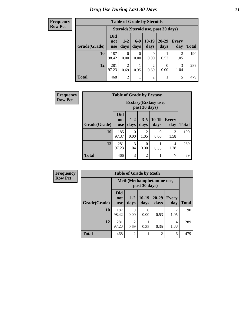**Frequency Row Pct**

| <b>Table of Grade by Steroids</b>                                                                                                                              |              |                                      |      |                        |           |           |     |  |  |
|----------------------------------------------------------------------------------------------------------------------------------------------------------------|--------------|--------------------------------------|------|------------------------|-----------|-----------|-----|--|--|
|                                                                                                                                                                |              | Steroids (Steroid use, past 30 days) |      |                        |           |           |     |  |  |
| <b>Did</b><br>$10-19$<br>$6-9$<br>20-29<br>$1 - 2$<br><b>Every</b><br>not<br>Grade(Grade)<br><b>Total</b><br>days<br>day<br>days<br>days<br>days<br><b>use</b> |              |                                      |      |                        |           |           |     |  |  |
| 10                                                                                                                                                             | 187<br>98.42 | 0<br>0.00                            | 0.00 | 0.00                   | 0.53      | 2<br>1.05 | 190 |  |  |
| 12                                                                                                                                                             | 281<br>97.23 | $\overline{c}$<br>0.69               | 0.35 | $\overline{2}$<br>0.69 | 0<br>0.00 | 3<br>1.04 | 289 |  |  |
| <b>Total</b>                                                                                                                                                   | 468          | $\overline{2}$                       |      | 2                      |           | 5         | 479 |  |  |

| <b>Frequency</b> | <b>Table of Grade by Ecstasy</b> |                                 |                                        |                |                       |              |              |  |
|------------------|----------------------------------|---------------------------------|----------------------------------------|----------------|-----------------------|--------------|--------------|--|
| <b>Row Pct</b>   |                                  |                                 | Ecstasy (Ecstasy use,<br>past 30 days) |                |                       |              |              |  |
|                  | Grade(Grade)                     | <b>Did</b><br>not<br><b>use</b> | $1 - 2$<br>days                        | days           | $3-5$   10-19<br>days | Every<br>day | <b>Total</b> |  |
|                  | 10                               | 185<br>97.37                    | 0<br>0.00                              | 2<br>1.05      | 0.00                  | 3<br>1.58    | 190          |  |
|                  | 12                               | 281<br>97.23                    | 3<br>1.04                              | 0<br>0.00      | 0.35                  | 4<br>1.38    | 289          |  |
|                  | Total                            | 466                             | 3                                      | $\overline{2}$ |                       | 7            | 479          |  |

| Frequency      | <b>Table of Grade by Meth</b> |                                             |                        |                 |                   |                        |              |  |
|----------------|-------------------------------|---------------------------------------------|------------------------|-----------------|-------------------|------------------------|--------------|--|
| <b>Row Pct</b> |                               | Meth (Methamphetamine use,<br>past 30 days) |                        |                 |                   |                        |              |  |
|                | Grade(Grade)                  | <b>Did</b><br>not<br><b>use</b>             | $1 - 2$<br>days        | $10-19$<br>days | $20 - 29$<br>days | <b>Every</b><br>day    | <b>Total</b> |  |
|                | 10                            | 187<br>98.42                                | $\Omega$<br>0.00       | 0<br>0.00       | 0.53              | $\mathfrak{D}$<br>1.05 | 190          |  |
|                | 12                            | 281<br>97.23                                | $\overline{c}$<br>0.69 | 0.35            | 0.35              | 4<br>1.38              | 289          |  |
|                | <b>Total</b>                  | 468                                         | $\overline{2}$         | 1               | $\overline{2}$    | 6                      | 479          |  |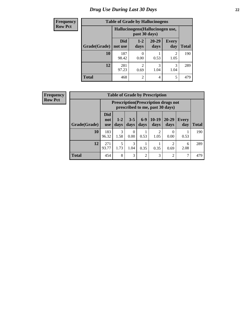# *Drug Use During Last 30 Days* **22**

| <b>Frequency</b> | <b>Table of Grade by Hallucinogens</b> |                                                   |                        |                   |                     |              |  |  |  |
|------------------|----------------------------------------|---------------------------------------------------|------------------------|-------------------|---------------------|--------------|--|--|--|
| <b>Row Pct</b>   |                                        | Hallucinogens (Hallucinogen use,<br>past 30 days) |                        |                   |                     |              |  |  |  |
|                  | Grade(Grade)                           | <b>Did</b><br>not use                             | $1 - 2$<br>days        | $20 - 29$<br>days | <b>Every</b><br>day | <b>Total</b> |  |  |  |
|                  | 10                                     | 187<br>98.42                                      | 0.00                   | 0.53              | 2<br>1.05           | 190          |  |  |  |
|                  | 12                                     | 281<br>97.23                                      | $\mathfrak{D}$<br>0.69 | 3<br>1.04         | 3<br>1.04           | 289          |  |  |  |
|                  | <b>Total</b>                           | 468                                               | $\overline{c}$         | 4                 | 5                   | 479          |  |  |  |

| <b>Frequency</b> |
|------------------|
|                  |
| <b>Row Pct</b>   |
|                  |
|                  |

| <b>Table of Grade by Prescription</b> |                                 |                                                                                                                                  |                  |                |           |                       |           |     |  |
|---------------------------------------|---------------------------------|----------------------------------------------------------------------------------------------------------------------------------|------------------|----------------|-----------|-----------------------|-----------|-----|--|
|                                       |                                 | <b>Prescription</b> (Prescription drugs not<br>prescribed to me, past 30 days)                                                   |                  |                |           |                       |           |     |  |
| Grade(Grade)                          | <b>Did</b><br>not<br><b>use</b> | $6 - 9$<br>$10-19$<br>20-29<br>$1 - 2$<br>$3 - 5$<br><b>Every</b><br><b>Total</b><br>days<br>days<br>days<br>days<br>day<br>days |                  |                |           |                       |           |     |  |
| 10                                    | 183<br>96.32                    | $\mathcal{R}$<br>1.58                                                                                                            | $\Omega$<br>0.00 | 0.53           | 2<br>1.05 | 0<br>0.00             | 0.53      | 190 |  |
| 12                                    | 271<br>93.77                    | 5<br>1.73                                                                                                                        | 3<br>1.04        | 0.35           | 0.35      | $\mathcal{D}$<br>0.69 | 6<br>2.08 | 289 |  |
| <b>Total</b>                          | 454                             | 8                                                                                                                                | 3                | $\overline{2}$ | 3         | $\mathfrak{D}$        | 7         | 479 |  |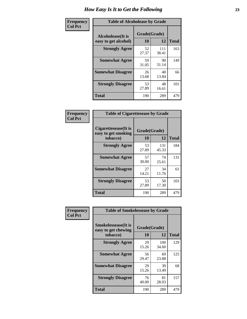| Frequency      | <b>Table of Alcoholease by Grade</b>              |                    |              |              |  |  |  |
|----------------|---------------------------------------------------|--------------------|--------------|--------------|--|--|--|
| <b>Col Pct</b> | <b>Alcoholease</b> (It is<br>easy to get alcohol) | Grade(Grade)<br>10 | 12           | <b>Total</b> |  |  |  |
|                | <b>Strongly Agree</b>                             | 52<br>27.37        | 111<br>38.41 | 163          |  |  |  |
|                | <b>Somewhat Agree</b>                             | 59<br>31.05        | 90<br>31.14  | 149          |  |  |  |
|                | <b>Somewhat Disagree</b>                          | 26<br>13.68        | 40<br>13.84  | 66           |  |  |  |
|                | <b>Strongly Disagree</b>                          | 53<br>27.89        | 48<br>16.61  | 101          |  |  |  |
|                | <b>Total</b>                                      | 190                | 289          | 479          |  |  |  |

| Frequency      | <b>Table of Cigarettesease by Grade</b>                 |                    |              |              |
|----------------|---------------------------------------------------------|--------------------|--------------|--------------|
| <b>Col Pct</b> | Cigarettesease(It is<br>easy to get smoking<br>tobacco) | Grade(Grade)<br>10 | 12           | <b>Total</b> |
|                | <b>Strongly Agree</b>                                   | 53<br>27.89        | 131<br>45.33 | 184          |
|                | <b>Somewhat Agree</b>                                   | 57<br>30.00        | 74<br>25.61  | 131          |
|                | <b>Somewhat Disagree</b>                                | 27<br>14.21        | 34<br>11.76  | 61           |
|                | <b>Strongly Disagree</b>                                | 53<br>27.89        | 50<br>17.30  | 103          |
|                | <b>Total</b>                                            | 190                | 289          | 479          |

| Frequency      | <b>Table of Smokelessease by Grade</b>                         |                    |              |              |
|----------------|----------------------------------------------------------------|--------------------|--------------|--------------|
| <b>Col Pct</b> | <b>Smokelessease</b> (It is<br>easy to get chewing<br>tobacco) | Grade(Grade)<br>10 | 12           | <b>Total</b> |
|                | <b>Strongly Agree</b>                                          | 29<br>15.26        | 100<br>34.60 | 129          |
|                | <b>Somewhat Agree</b>                                          | 56<br>29.47        | 69<br>23.88  | 125          |
|                | <b>Somewhat Disagree</b>                                       | 29<br>15.26        | 39<br>13.49  | 68           |
|                | <b>Strongly Disagree</b>                                       | 76<br>40.00        | 81<br>28.03  | 157          |
|                | <b>Total</b>                                                   | 190                | 289          | 479          |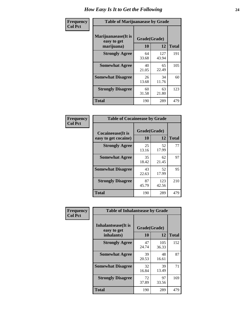| Frequency      | <b>Table of Marijuanaease by Grade</b>           |                    |              |              |  |  |  |  |  |
|----------------|--------------------------------------------------|--------------------|--------------|--------------|--|--|--|--|--|
| <b>Col Pct</b> | Marijuanaease(It is<br>easy to get<br>marijuana) | Grade(Grade)<br>10 | 12           | <b>Total</b> |  |  |  |  |  |
|                | <b>Strongly Agree</b>                            | 64<br>33.68        | 127<br>43.94 | 191          |  |  |  |  |  |
|                | <b>Somewhat Agree</b>                            | 40<br>21.05        | 65<br>22.49  | 105          |  |  |  |  |  |
|                | <b>Somewhat Disagree</b>                         | 26<br>13.68        | 34<br>11.76  | 60           |  |  |  |  |  |
|                | <b>Strongly Disagree</b>                         | 60<br>31.58        | 63<br>21.80  | 123          |  |  |  |  |  |
|                | <b>Total</b>                                     | 190                | 289          | 479          |  |  |  |  |  |

| <b>Table of Cocaineease by Grade</b>              |                    |              |              |  |  |  |  |  |  |
|---------------------------------------------------|--------------------|--------------|--------------|--|--|--|--|--|--|
| <b>Cocaineease</b> (It is<br>easy to get cocaine) | Grade(Grade)<br>10 | 12           | <b>Total</b> |  |  |  |  |  |  |
| <b>Strongly Agree</b>                             | 25<br>13.16        | 52<br>17.99  | 77           |  |  |  |  |  |  |
| <b>Somewhat Agree</b>                             | 35<br>18.42        | 62<br>21.45  | 97           |  |  |  |  |  |  |
| <b>Somewhat Disagree</b>                          | 43<br>22.63        | 52<br>17.99  | 95           |  |  |  |  |  |  |
| <b>Strongly Disagree</b>                          | 87<br>45.79        | 123<br>42.56 | 210          |  |  |  |  |  |  |
| <b>Total</b>                                      | 190                | 289          | 479          |  |  |  |  |  |  |

| Frequency      | <b>Table of Inhalantsease by Grade</b>                   |                           |              |              |  |  |  |  |  |  |
|----------------|----------------------------------------------------------|---------------------------|--------------|--------------|--|--|--|--|--|--|
| <b>Col Pct</b> | <b>Inhalantsease</b> (It is<br>easy to get<br>inhalants) | Grade(Grade)<br><b>10</b> | 12           | <b>Total</b> |  |  |  |  |  |  |
|                | <b>Strongly Agree</b>                                    | 47<br>24.74               | 105<br>36.33 | 152          |  |  |  |  |  |  |
|                | <b>Somewhat Agree</b>                                    | 39<br>20.53               | 48<br>16.61  | 87           |  |  |  |  |  |  |
|                | <b>Somewhat Disagree</b>                                 | 32<br>16.84               | 39<br>13.49  | 71           |  |  |  |  |  |  |
|                | <b>Strongly Disagree</b>                                 | 72<br>37.89               | 97<br>33.56  | 169          |  |  |  |  |  |  |
|                | <b>Total</b>                                             | 190                       | 289          | 479          |  |  |  |  |  |  |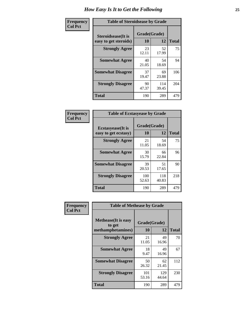| Frequency      | <b>Table of Steroidsease by Grade</b>               |                    |              |                  |  |  |  |  |  |
|----------------|-----------------------------------------------------|--------------------|--------------|------------------|--|--|--|--|--|
| <b>Col Pct</b> | <b>Steroidsease</b> (It is<br>easy to get steroids) | Grade(Grade)<br>10 | 12           | <b>Total</b>     |  |  |  |  |  |
|                | <b>Strongly Agree</b>                               | 23<br>12.11        | 52<br>17.99  | 75               |  |  |  |  |  |
|                | <b>Somewhat Agree</b>                               | 40<br>21.05        | 54<br>18.69  | 94<br>106<br>204 |  |  |  |  |  |
|                | <b>Somewhat Disagree</b>                            | 37<br>19.47        | 69<br>23.88  |                  |  |  |  |  |  |
|                | <b>Strongly Disagree</b>                            | 90<br>47.37        | 114<br>39.45 |                  |  |  |  |  |  |
|                | <b>Total</b>                                        | 190                | 289          | 479              |  |  |  |  |  |

| Frequency      | <b>Table of Ecstasyease by Grade</b>              |                    |              |              |  |  |  |  |  |  |
|----------------|---------------------------------------------------|--------------------|--------------|--------------|--|--|--|--|--|--|
| <b>Col Pct</b> | <b>Ecstasyease</b> (It is<br>easy to get ecstasy) | Grade(Grade)<br>10 | 12           | <b>Total</b> |  |  |  |  |  |  |
|                | <b>Strongly Agree</b>                             | 21<br>11.05        | 54<br>18.69  | 75           |  |  |  |  |  |  |
|                | <b>Somewhat Agree</b>                             | 30<br>15.79        | 66<br>22.84  | 96           |  |  |  |  |  |  |
|                | <b>Somewhat Disagree</b>                          | 39<br>20.53        | 51<br>17.65  | 90           |  |  |  |  |  |  |
|                | <b>Strongly Disagree</b>                          | 100<br>52.63       | 118<br>40.83 | 218          |  |  |  |  |  |  |
|                | <b>Total</b>                                      | 190                | 289          | 479          |  |  |  |  |  |  |

| Frequency      | <b>Table of Methease by Grade</b>                          |                    |              |              |
|----------------|------------------------------------------------------------|--------------------|--------------|--------------|
| <b>Col Pct</b> | <b>Methease</b> (It is easy<br>to get<br>methamphetamines) | Grade(Grade)<br>10 | 12           | <b>Total</b> |
|                | <b>Strongly Agree</b>                                      | 21<br>11.05        | 49<br>16.96  | 70           |
|                | <b>Somewhat Agree</b>                                      | 18<br>9.47         | 49<br>16.96  | 67           |
|                | <b>Somewhat Disagree</b>                                   | 50<br>26.32        | 62<br>21.45  | 112          |
|                | <b>Strongly Disagree</b>                                   | 101<br>53.16       | 129<br>44.64 | 230          |
|                | Total                                                      | 190                | 289          | 479          |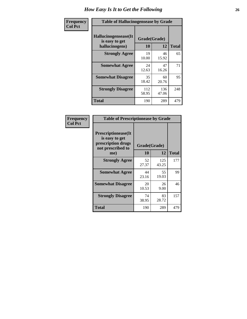| <b>Frequency</b> | <b>Table of Hallucinogensease by Grade</b>                |                    |              |              |  |  |  |  |  |
|------------------|-----------------------------------------------------------|--------------------|--------------|--------------|--|--|--|--|--|
| <b>Col Pct</b>   | Hallucinogensease(It)<br>is easy to get<br>hallucinogens) | Grade(Grade)<br>10 | 12           | <b>Total</b> |  |  |  |  |  |
|                  | <b>Strongly Agree</b>                                     | 19<br>10.00        | 46<br>15.92  | 65           |  |  |  |  |  |
|                  | <b>Somewhat Agree</b>                                     | 24<br>12.63        | 47<br>16.26  | 71           |  |  |  |  |  |
|                  | <b>Somewhat Disagree</b>                                  | 35<br>18.42        | 60<br>20.76  | 95           |  |  |  |  |  |
|                  | <b>Strongly Disagree</b>                                  | 112<br>58.95       | 136<br>47.06 | 248          |  |  |  |  |  |
|                  | <b>Total</b>                                              | 190                | 289          | 479          |  |  |  |  |  |

| <b>Frequency</b><br>Col Pct |
|-----------------------------|
|                             |

| <b>Table of Prescriptionease by Grade</b>                                                |             |              |              |  |  |  |  |  |
|------------------------------------------------------------------------------------------|-------------|--------------|--------------|--|--|--|--|--|
| <b>Prescriptionease</b> (It<br>is easy to get<br>prescription drugs<br>not prescribed to |             | Grade(Grade) |              |  |  |  |  |  |
| me)                                                                                      | 10          | 12           | <b>Total</b> |  |  |  |  |  |
| <b>Strongly Agree</b>                                                                    | 52<br>27.37 | 125<br>43.25 | 177          |  |  |  |  |  |
| <b>Somewhat Agree</b>                                                                    | 44<br>23.16 | 55<br>19.03  | 99           |  |  |  |  |  |
| <b>Somewhat Disagree</b>                                                                 | 20<br>10.53 | 26<br>9.00   | 46           |  |  |  |  |  |
| <b>Strongly Disagree</b>                                                                 | 74<br>38.95 | 83<br>28.72  | 157          |  |  |  |  |  |
| Total                                                                                    | 190         | 289          | 479          |  |  |  |  |  |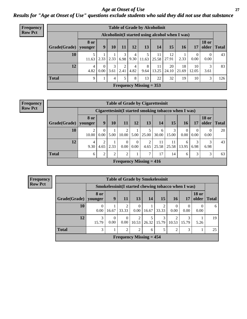*Age at Onset of Use* **27** *Results for "Age at Onset of Use" questions exclude students who said they did not use that substance*

| <b>Frequency</b> |              |                                                 |                  |           |           |           |                           | <b>Table of Grade by Alcoholinit</b> |                     |             |                        |                       |              |
|------------------|--------------|-------------------------------------------------|------------------|-----------|-----------|-----------|---------------------------|--------------------------------------|---------------------|-------------|------------------------|-----------------------|--------------|
| <b>Row Pct</b>   |              | Alcoholinit(I started using alcohol when I was) |                  |           |           |           |                           |                                      |                     |             |                        |                       |              |
|                  | Grade(Grade) | <b>8</b> or<br>younger                          | 9                | <b>10</b> | <b>11</b> | 12        | 13                        | 14                                   | 15                  | 16          | 17                     | <b>18 or</b><br>older | <b>Total</b> |
|                  | 10           | 11.63                                           | 2.33             | 2.33      | 6.98      | 4<br>9.30 | 5<br>11.63                | 11                                   | 12<br>$25.58$ 27.91 | 2.33        | $\overline{0}$<br>0.00 | 0.00                  | 43           |
|                  | 12           | $\overline{4}$<br>4.82                          | $\Omega$<br>0.00 | 3<br>3.61 | 2.41      | 4<br>4.82 | 8<br>9.64                 | 11<br>13.25                          | 20<br>24.10         | 18<br>21.69 | 10<br>12.05            | 3.61                  | 83           |
|                  | <b>Total</b> | 9                                               | 1                | 4         | 5         | 8         | 13                        | 22                                   | 32                  | 19          | 10                     | 3                     | 126          |
|                  |              |                                                 |                  |           |           |           | Frequency Missing $= 353$ |                                      |                     |             |                        |                       |              |

| <b>Frequency</b> |                                                      |            |                  |      |           |                  | <b>Table of Grade by Cigarettesinit</b> |       |                       |                  |                  |                       |              |
|------------------|------------------------------------------------------|------------|------------------|------|-----------|------------------|-----------------------------------------|-------|-----------------------|------------------|------------------|-----------------------|--------------|
| <b>Row Pct</b>   | Cigarettesinit(I started smoking tobacco when I was) |            |                  |      |           |                  |                                         |       |                       |                  |                  |                       |              |
|                  | Grade(Grade)   younger                               | 8 or       | 9                | 10   | 11        | 12               | 13                                      | 14    | 15                    | 16               | 17               | <b>18 or</b><br>older | <b>Total</b> |
|                  | 10                                                   | ↑<br>10.00 | $\Omega$<br>0.00 | 5.00 | 10.00     |                  | $5.00 \mid 25.00 \mid$                  | 30.00 | 3<br>15.00            | $\Omega$<br>0.00 | $\Omega$<br>0.00 | 0.00                  | 20           |
|                  | 12                                                   | 4<br>9.30  | 2<br>4.65        | 2.33 | 0<br>0.00 | $\theta$<br>0.00 | 2<br>4.65                               |       | 11<br>$25.58$   25.58 | 6<br>13.95       | 3<br>6.98        | 3<br>6.98             | 43           |
|                  | <b>Total</b>                                         | 6          | $\overline{2}$   | 2    | 2         |                  | ⇁                                       | 17    | 14                    | 6                | 3                | 3                     | 63           |
|                  |                                                      |            |                  |      |           |                  | Frequency Missing $= 416$               |       |                       |                  |                  |                       |              |

**Frequency Row Pct**

|              | <b>Table of Grade by Smokelessinit</b>              |                  |                         |                  |            |            |            |       |                       |              |  |  |  |
|--------------|-----------------------------------------------------|------------------|-------------------------|------------------|------------|------------|------------|-------|-----------------------|--------------|--|--|--|
|              | Smokelessinit(I started chewing tobacco when I was) |                  |                         |                  |            |            |            |       |                       |              |  |  |  |
| Grade(Grade) | 8 or<br>younger                                     | 9                | <b>11</b>               | 13               | 14         | 15         | 16         | 17    | <b>18 or</b><br>older | <b>Total</b> |  |  |  |
| 10           | $\Omega$<br>0.00                                    | 16.67            | $\overline{2}$<br>33.33 | $\Omega$<br>0.00 | 16.67      | 33.33      | 0.00       | 0.00  | 0.00                  | 6            |  |  |  |
| 12           | 3<br>15.79                                          | $\Omega$<br>0.00 | $\Omega$<br>0.00        | 2<br>10.53       | 5<br>26.32 | 3<br>15.79 | ◠<br>10.53 | 15.79 | 5.26                  | 19           |  |  |  |
| <b>Total</b> | 3                                                   |                  | $\overline{2}$          | $\overline{2}$   | 6          | 5          | ∍          | 3     |                       | 25           |  |  |  |
|              | Frequency Missing $= 454$                           |                  |                         |                  |            |            |            |       |                       |              |  |  |  |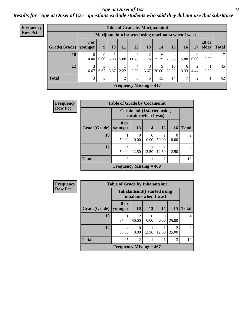### *Age at Onset of Use* **28**

*Results for "Age at Onset of Use" questions exclude students who said they did not use that substance*

| <b>Frequency</b> |              |                                                      |                      |           |                | <b>Table of Grade by Marijuanainit</b> |            |            |             |                |                  |                       |                 |
|------------------|--------------|------------------------------------------------------|----------------------|-----------|----------------|----------------------------------------|------------|------------|-------------|----------------|------------------|-----------------------|-----------------|
| <b>Row Pct</b>   |              | Marijuanainit (I started using marijuana when I was) |                      |           |                |                                        |            |            |             |                |                  |                       |                 |
|                  | Grade(Grade) | <b>8</b> or<br>younger                               | 9 <sup>°</sup>       | 10        | 11             | 12                                     | 13         | 14         | 15          | 16             | 17               | <b>18 or</b><br>older | <b>Total</b>    |
|                  | 10           | $\overline{0}$<br>$0.00\,$                           | $\mathbf{0}$<br>0.00 | 5.88      | 5.88           | 2<br>11.76                             | 2<br>11.76 | 6<br>35.29 | 4<br>23.53  | 5.88           | $\theta$<br>0.00 | $\Omega$<br>0.00      | 17 <sup>1</sup> |
|                  | 12           | 3<br>6.67                                            | 3<br>6.67            | 3<br>6.67 | 2.22           | 4<br>8.89                              | 3<br>6.67  | 9<br>20.00 | 10<br>22.22 | 6<br>13.33     | 2<br>4.44        | 2.22                  | 45              |
|                  | <b>Total</b> | $\mathfrak{Z}$                                       | 3                    | 4         | $\overline{2}$ | 6                                      | 5          | 15         | 14          | $\overline{7}$ | 2                |                       | 62              |
|                  |              |                                                      |                      |           |                | Frequency Missing $= 417$              |            |            |             |                |                  |                       |                 |

| Frequency      |              | <b>Table of Grade by Cocaineinit</b> |                  |                                                            |       |                  |              |  |
|----------------|--------------|--------------------------------------|------------------|------------------------------------------------------------|-------|------------------|--------------|--|
| <b>Row Pct</b> |              |                                      |                  | <b>Cocaineinit</b> (I started using<br>cocaine when I was) |       |                  |              |  |
|                | Grade(Grade) | 8 or<br>younger                      | 13               | 14                                                         | 15    | <b>16</b>        | <b>Total</b> |  |
|                | 10           | 50.00                                | $\Omega$<br>0.00 | $\theta$<br>0.00                                           | 50.00 | $\Omega$<br>0.00 | 2            |  |
|                | 12           | 4<br>50.00                           | 12.50            | 12.50                                                      | 12.50 | 12.50            | 8            |  |
|                | <b>Total</b> | 5<br>$\mathcal{D}$                   |                  |                                                            |       |                  |              |  |
|                |              | Frequency Missing $= 469$            |                  |                                                            |       |                  |              |  |

| <b>Frequency</b> |              | <b>Table of Grade by Inhalantsinit</b> |                                                         |           |       |                         |              |
|------------------|--------------|----------------------------------------|---------------------------------------------------------|-----------|-------|-------------------------|--------------|
| <b>Row Pct</b>   |              |                                        | Inhalantsinit (I started using<br>inhalants when I was) |           |       |                         |              |
|                  | Grade(Grade) | 8 or<br>younger                        | <b>10</b>                                               | 13        | 14    | 15                      | <b>Total</b> |
|                  | 10           | 25.00                                  | $\mathfrak{D}$<br>50.00                                 | 0<br>0.00 | 0.00  | 25.00                   | 4            |
|                  | 12           | 4<br>50.00                             | 0<br>0.00                                               | 12.50     | 12.50 | $\mathfrak{D}$<br>25.00 | 8            |
|                  | <b>Total</b> | 5                                      | $\overline{2}$                                          |           |       | 3                       | 12           |
|                  |              | Frequency Missing $= 467$              |                                                         |           |       |                         |              |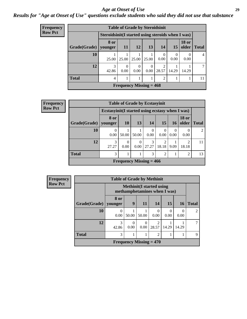### *Age at Onset of Use* **29**

### *Results for "Age at Onset of Use" questions exclude students who said they did not use that substance*

| Frequency      |              |                                                    | <b>Table of Grade by Steroidsinit</b> |                  |           |                  |       |                       |                |
|----------------|--------------|----------------------------------------------------|---------------------------------------|------------------|-----------|------------------|-------|-----------------------|----------------|
| <b>Row Pct</b> |              | Steroidsinit (I started using steroids when I was) |                                       |                  |           |                  |       |                       |                |
|                | Grade(Grade) | 8 or<br>vounger                                    | 11                                    | 12               | <b>13</b> | 14 <sup>1</sup>  | 15    | <b>18 or</b><br>older | <b>Total</b>   |
|                | 10           | 25.00                                              | 25.00                                 | 25.00            | 25.00     | $\Omega$<br>0.00 | 0.00  | 0.00                  | $\overline{4}$ |
|                | 12           | 3<br>42.86                                         | $\Omega$<br>0.00                      | $\Omega$<br>0.00 | 0<br>0.00 | 2<br>28.57       | 14.29 | 14.29                 | $\tau$         |
|                | <b>Total</b> | $\overline{4}$                                     |                                       |                  | 1         | 2                |       |                       |                |
|                |              |                                                    | Frequency Missing $= 468$             |                  |           |                  |       |                       |                |

| Frequency      |                        |                                                  |                  |                         | <b>Table of Grade by Ecstasyinit</b> |                         |                  |                         |              |  |  |
|----------------|------------------------|--------------------------------------------------|------------------|-------------------------|--------------------------------------|-------------------------|------------------|-------------------------|--------------|--|--|
| <b>Row Pct</b> |                        | Ecstasyinit (I started using ecstasy when I was) |                  |                         |                                      |                         |                  |                         |              |  |  |
|                | Grade(Grade)   younger | 8 or                                             | <b>10</b>        | 13                      | 14                                   | 15                      | 16               | <b>18 or</b><br>older   | <b>Total</b> |  |  |
|                | <b>10</b>              | 0.00                                             | 50.00            | 50.00                   | $\Omega$<br>0.00                     | 0<br>0.00               | $\theta$<br>0.00 | 0.00                    | 2            |  |  |
|                | 12                     | 3<br>27.27                                       | $\Omega$<br>0.00 | $\Omega$<br>$0.00\vert$ | 3<br>27.27                           | $\overline{2}$<br>18.18 | 9.09             | $\mathfrak{D}$<br>18.18 | 11           |  |  |
|                | <b>Total</b>           | 3                                                | 3<br>2<br>2      |                         |                                      |                         |                  |                         |              |  |  |
|                |                        |                                                  |                  |                         | <b>Frequency Missing = 466</b>       |                         |                  |                         |              |  |  |

| <b>Frequency</b> |              | <b>Table of Grade by Methinit</b>                                |       |                                             |                  |                  |           |               |  |  |  |
|------------------|--------------|------------------------------------------------------------------|-------|---------------------------------------------|------------------|------------------|-----------|---------------|--|--|--|
| <b>Row Pct</b>   |              | <b>Methinit</b> (I started using<br>methamphetamines when I was) |       |                                             |                  |                  |           |               |  |  |  |
|                  | Grade(Grade) | 8 or<br>younger                                                  | 9     | <b>11</b>                                   | 14               | 15               | <b>16</b> | <b>Total</b>  |  |  |  |
|                  | 10           | $\Omega$<br>0.00                                                 | 50.00 | 50.00                                       | $\Omega$<br>0.00 | $\Omega$<br>0.00 | 0<br>0.00 | $\mathcal{L}$ |  |  |  |
|                  | 12           | 3<br>42.86                                                       | 0.00  | 0<br>0.00                                   | 28.57            | 14.29            | 14.29     | 7             |  |  |  |
|                  | <b>Total</b> | 3                                                                | 2     |                                             |                  |                  |           |               |  |  |  |
|                  |              |                                                                  |       | <b>Frequency Missing <math>= 470</math></b> |                  |                  |           |               |  |  |  |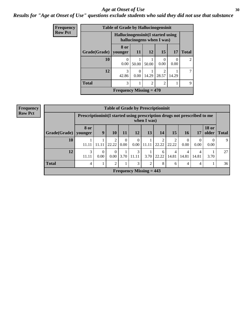### Age at Onset of Use **30**

### *Results for "Age at Onset of Use" questions exclude students who said they did not use that substance*

| Frequency      |              | <b>Table of Grade by Hallucinogensinit</b> |           |                |                           |                  |                |
|----------------|--------------|--------------------------------------------|-----------|----------------|---------------------------|------------------|----------------|
| <b>Row Pct</b> |              | Hallucinogensinit (I started using         |           |                | hallucinogens when I was) |                  |                |
|                | Grade(Grade) | 8 or<br>vounger                            | 11        | <b>12</b>      | 15                        | 17               | <b>Total</b>   |
|                | 10           | 0.00                                       | 50.00     | 50.00          | 0.00                      | $\Omega$<br>0.00 | $\mathfrak{D}$ |
|                | 12           | $\mathcal{R}$<br>42.86                     | 0<br>0.00 | 14.29          | っ<br>28.57                | 14.29            | 7              |
|                | <b>Total</b> | 3                                          |           | $\overline{2}$ | $\mathfrak{D}$            |                  | 9              |
|                |              | Frequency Missing $= 470$                  |           |                |                           |                  |                |

| <b>Frequency</b> |              |                                                                          |                      | <b>Table of Grade by Prescriptioninit</b> |                        |                            |                                |            |            |       |                  |                       |              |
|------------------|--------------|--------------------------------------------------------------------------|----------------------|-------------------------------------------|------------------------|----------------------------|--------------------------------|------------|------------|-------|------------------|-----------------------|--------------|
| <b>Row Pct</b>   |              | Prescriptioninit(I started using prescription drugs not prescribed to me |                      |                                           |                        |                            | when I was)                    |            |            |       |                  |                       |              |
|                  | Grade(Grade) | 8 or<br>vounger                                                          | 9                    | 10                                        | 11                     | 12                         | 13                             | 14         | 15         | 16    | 17               | <b>18 or</b><br>older | <b>Total</b> |
|                  | 10           | 11.11                                                                    | 11.11                | 2<br>22.22                                | $\overline{0}$<br>0.00 | $\overline{0}$<br>$0.00\,$ | 11.11                          | 2<br>22.22 | 22.22      | 0.00  | $\Omega$<br>0.00 | 0.00                  | 9            |
|                  | 12           | 3<br>11.11                                                               | $\mathbf{0}$<br>0.00 | $\mathbf{0}$<br>$0.00\,$                  | 3.70                   | 3<br>11.11                 | 3.70                           | 6<br>22.22 | 4<br>14.81 | 14.81 | 4<br>14.81       | 3.70                  | 27           |
|                  | <b>Total</b> | 4                                                                        | $\bf{I}$             | $\overline{2}$                            |                        | 3                          | $\overline{2}$                 | 8          | 6          | 4     | 4                |                       | 36           |
|                  |              |                                                                          |                      |                                           |                        |                            | <b>Frequency Missing = 443</b> |            |            |       |                  |                       |              |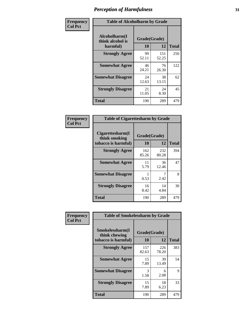| Frequency      | <b>Table of Alcoholharm by Grade</b>          |                    |              |              |  |  |  |  |
|----------------|-----------------------------------------------|--------------------|--------------|--------------|--|--|--|--|
| <b>Col Pct</b> | Alcoholharm(I<br>think alcohol is<br>harmful) | Grade(Grade)<br>10 | 12           | <b>Total</b> |  |  |  |  |
|                | <b>Strongly Agree</b>                         | 99<br>52.11        | 151<br>52.25 | 250          |  |  |  |  |
|                | <b>Somewhat Agree</b>                         | 46<br>24.21        | 76<br>26.30  | 122          |  |  |  |  |
|                | <b>Somewhat Disagree</b>                      | 24<br>12.63        | 38<br>13.15  | 62           |  |  |  |  |
|                | <b>Strongly Disagree</b>                      | 21<br>11.05        | 24<br>8.30   | 45           |  |  |  |  |
|                | <b>Total</b>                                  | 190                | 289          | 479          |  |  |  |  |

| <b>Table of Cigarettesharm by Grade</b>                  |              |                    |              |
|----------------------------------------------------------|--------------|--------------------|--------------|
| Cigarettesharm(I<br>think smoking<br>tobacco is harmful) | 10           | Grade(Grade)<br>12 | <b>Total</b> |
| <b>Strongly Agree</b>                                    | 162<br>85.26 | 232<br>80.28       | 394          |
| <b>Somewhat Agree</b>                                    | 11<br>5.79   | 36<br>12.46        | 47           |
| <b>Somewhat Disagree</b>                                 | 0.53         | 2.42               | 8            |
| <b>Strongly Disagree</b>                                 | 16<br>8.42   | 14<br>4.84         | 30           |
| <b>Total</b>                                             | 190          | 289                | 479          |

| Frequency      | <b>Table of Smokelessharm by Grade</b>                  |                    |              |              |
|----------------|---------------------------------------------------------|--------------------|--------------|--------------|
| <b>Col Pct</b> | Smokelessharm(I<br>think chewing<br>tobacco is harmful) | Grade(Grade)<br>10 | 12           | <b>Total</b> |
|                | <b>Strongly Agree</b>                                   | 157<br>82.63       | 226<br>78.20 | 383          |
|                | <b>Somewhat Agree</b>                                   | 15<br>7.89         | 39<br>13.49  | 54           |
|                | <b>Somewhat Disagree</b>                                | 3<br>1.58          | 6<br>2.08    | 9            |
|                | <b>Strongly Disagree</b>                                | 15<br>7.89         | 18<br>6.23   | 33           |
|                | Total                                                   | 190                | 289          | 479          |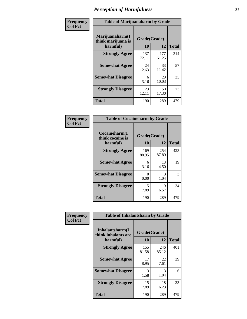| Frequency      | <b>Table of Marijuanaharm by Grade</b>            |                    |              |              |  |  |  |  |  |
|----------------|---------------------------------------------------|--------------------|--------------|--------------|--|--|--|--|--|
| <b>Col Pct</b> | Marijuanaharm(I<br>think marijuana is<br>harmful) | Grade(Grade)<br>10 | 12           | <b>Total</b> |  |  |  |  |  |
|                | <b>Strongly Agree</b>                             | 137<br>72.11       | 177<br>61.25 | 314          |  |  |  |  |  |
|                | <b>Somewhat Agree</b>                             | 24<br>12.63        | 33<br>11.42  | 57           |  |  |  |  |  |
|                | <b>Somewhat Disagree</b>                          | 6<br>3.16          | 29<br>10.03  | 35           |  |  |  |  |  |
|                | <b>Strongly Disagree</b>                          | 23<br>12.11        | 50<br>17.30  | 73           |  |  |  |  |  |
|                | <b>Total</b>                                      | 190                | 289          | 479          |  |  |  |  |  |

| <b>Table of Cocaineharm by Grade</b>          |                    |              |     |  |  |
|-----------------------------------------------|--------------------|--------------|-----|--|--|
| Cocaineharm(I<br>think cocaine is<br>harmful) | Grade(Grade)<br>10 | <b>Total</b> |     |  |  |
| <b>Strongly Agree</b>                         | 169<br>88.95       | 254<br>87.89 | 423 |  |  |
| <b>Somewhat Agree</b>                         | 6<br>3.16          | 13<br>4.50   | 19  |  |  |
| <b>Somewhat Disagree</b>                      | 0<br>0.00          | 3<br>1.04    | 3   |  |  |
| <b>Strongly Disagree</b>                      | 15<br>7.89         | 19<br>6.57   | 34  |  |  |
| <b>Total</b>                                  | 190                | 289          | 479 |  |  |

| Frequency      | <b>Table of Inhalantsharm by Grade</b>             |                    |              |              |  |
|----------------|----------------------------------------------------|--------------------|--------------|--------------|--|
| <b>Col Pct</b> | Inhalantsharm(I<br>think inhalants are<br>harmful) | Grade(Grade)<br>10 | 12           | <b>Total</b> |  |
|                | <b>Strongly Agree</b>                              | 155<br>81.58       | 246<br>85.12 | 401          |  |
|                | <b>Somewhat Agree</b>                              | 17<br>8.95         | 22<br>7.61   | 39           |  |
|                | <b>Somewhat Disagree</b>                           | 3<br>1.58          | 3<br>1.04    | 6            |  |
|                | <b>Strongly Disagree</b>                           | 15<br>7.89         | 18<br>6.23   | 33           |  |
|                | <b>Total</b>                                       | 190                | 289          | 479          |  |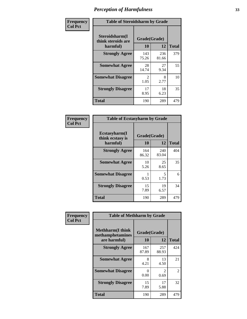| Frequency      | <b>Table of Steroidsharm by Grade</b>            |                                     |              |              |
|----------------|--------------------------------------------------|-------------------------------------|--------------|--------------|
| <b>Col Pct</b> | Steroidsharm(I<br>think steroids are<br>harmful) | Grade(Grade)<br>10                  | 12           | <b>Total</b> |
|                | <b>Strongly Agree</b>                            | 143<br>75.26                        | 236<br>81.66 | 379          |
|                | <b>Somewhat Agree</b>                            | 28<br>14.74                         | 27<br>9.34   | 55           |
|                | <b>Somewhat Disagree</b>                         | $\mathcal{D}_{\mathcal{L}}$<br>1.05 | 8<br>2.77    | 10           |
|                | <b>Strongly Disagree</b>                         | 17<br>8.95                          | 18<br>6.23   | 35           |
|                | <b>Total</b>                                     | 190                                 | 289          | 479          |

| <b>Table of Ecstasyharm by Grade</b>          |                    |              |     |  |  |
|-----------------------------------------------|--------------------|--------------|-----|--|--|
| Ecstasyharm(I<br>think ecstasy is<br>harmful) | Grade(Grade)<br>10 | <b>Total</b> |     |  |  |
| <b>Strongly Agree</b>                         | 164<br>86.32       | 240<br>83.04 | 404 |  |  |
| <b>Somewhat Agree</b>                         | 10<br>5.26         | 25<br>8.65   | 35  |  |  |
| <b>Somewhat Disagree</b>                      | 0.53               | 5<br>1.73    | 6   |  |  |
| <b>Strongly Disagree</b>                      | 15<br>7.89         | 19<br>6.57   | 34  |  |  |
| Total                                         | 190                | 289          | 479 |  |  |

| Frequency      | <b>Table of Methharm by Grade</b>                            |                           |                       |              |  |
|----------------|--------------------------------------------------------------|---------------------------|-----------------------|--------------|--|
| <b>Col Pct</b> | <b>Methharm</b> (I think<br>methamphetamines<br>are harmful) | Grade(Grade)<br><b>10</b> | 12                    | <b>Total</b> |  |
|                | <b>Strongly Agree</b>                                        | 167<br>87.89              | 257<br>88.93          | 424          |  |
|                | <b>Somewhat Agree</b>                                        | 8<br>4.21                 | 13<br>4.50            | 21           |  |
|                | <b>Somewhat Disagree</b>                                     | 0<br>0.00                 | $\mathcal{L}$<br>0.69 | 2            |  |
|                | <b>Strongly Disagree</b>                                     | 15<br>7.89                | 17<br>5.88            | 32           |  |
|                | <b>Total</b>                                                 | 190                       | 289                   | 479          |  |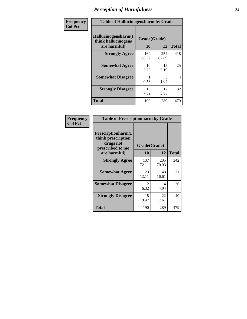| Frequency      | <b>Table of Hallucinogensharm by Grade</b>                 |                    |              |                |
|----------------|------------------------------------------------------------|--------------------|--------------|----------------|
| <b>Col Pct</b> | Hallucinogensharm(I<br>think hallucinogens<br>are harmful) | Grade(Grade)<br>10 | 12           | <b>Total</b>   |
|                | <b>Strongly Agree</b>                                      | 164<br>86.32       | 254<br>87.89 | 418            |
|                | <b>Somewhat Agree</b>                                      | 10<br>5.26         | 15<br>5.19   | 25             |
|                | <b>Somewhat Disagree</b>                                   | 0.53               | 3<br>1.04    | $\overline{4}$ |
|                | <b>Strongly Disagree</b>                                   | 15<br>7.89         | 17<br>5.88   | 32             |
|                | <b>Total</b>                                               | 190                | 289          | 479            |

| <b>Table of Prescriptionharm by Grade</b>                                                         |                    |             |              |  |
|---------------------------------------------------------------------------------------------------|--------------------|-------------|--------------|--|
| <b>Prescriptionharm</b> (I<br>think prescription<br>drugs not<br>prescribed to me<br>are harmful) | Grade(Grade)<br>10 | 12          | <b>Total</b> |  |
| <b>Strongly Agree</b>                                                                             | 137                | 205         | 342          |  |
|                                                                                                   | 72.11              | 70.93       |              |  |
| <b>Somewhat Agree</b>                                                                             | 23<br>12.11        | 48<br>16.61 | 71           |  |
| <b>Somewhat Disagree</b>                                                                          | 12<br>6.32         | 14<br>4.84  | 26           |  |
| <b>Strongly Disagree</b>                                                                          | 18<br>9.47         | 22<br>7.61  | 40           |  |
| <b>Total</b>                                                                                      | 190                | 289         | 479          |  |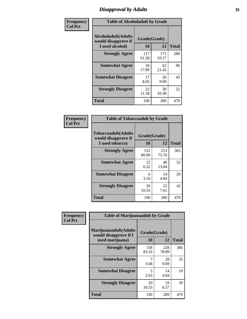# *Disapproval by Adults* **35**

| Frequency      | <b>Table of Alcoholadult by Grade</b>                                 |                    |              |              |  |
|----------------|-----------------------------------------------------------------------|--------------------|--------------|--------------|--|
| <b>Col Pct</b> | <b>Alcoholadult</b> (Adults<br>would disapprove if<br>I used alcohol) | Grade(Grade)<br>10 | 12           | <b>Total</b> |  |
|                | <b>Strongly Agree</b>                                                 | 117<br>61.58       | 171<br>59.17 | 288          |  |
|                | <b>Somewhat Agree</b>                                                 | 34<br>17.89        | 62<br>21.45  | 96           |  |
|                | <b>Somewhat Disagree</b>                                              | 17<br>8.95         | 26<br>9.00   | 43           |  |
|                | <b>Strongly Disagree</b>                                              | 22<br>11.58        | 30<br>10.38  | 52           |  |
|                | <b>Total</b>                                                          | 190                | 289          | 479          |  |

| <b>Table of Tobaccoadult by Grade</b>                                 |                    |              |              |  |  |
|-----------------------------------------------------------------------|--------------------|--------------|--------------|--|--|
| <b>Tobaccoadult</b> (Adults<br>would disapprove if<br>I used tobacco) | Grade(Grade)<br>10 | 12           | <b>Total</b> |  |  |
| <b>Strongly Agree</b>                                                 | 152<br>80.00       | 213<br>73.70 | 365          |  |  |
| <b>Somewhat Agree</b>                                                 | 12<br>6.32         | 40<br>13.84  | 52           |  |  |
| <b>Somewhat Disagree</b>                                              | 6<br>3.16          | 14<br>4.84   | 20           |  |  |
| <b>Strongly Disagree</b>                                              | 20<br>10.53        | 22<br>7.61   | 42           |  |  |
| Total                                                                 | 190                | 289          | 479          |  |  |

| Frequency<br><b>Col Pct</b> | <b>Table of Marijuanaadult by Grade</b>                           |                    |              |              |  |
|-----------------------------|-------------------------------------------------------------------|--------------------|--------------|--------------|--|
|                             | Marijuanaadult(Adults<br>would disapprove if I<br>used marijuana) | Grade(Grade)<br>10 | 12           | <b>Total</b> |  |
|                             | <b>Strongly Agree</b>                                             | 158<br>83.16       | 228<br>78.89 | 386          |  |
|                             | <b>Somewhat Agree</b>                                             | 7<br>3.68          | 28<br>9.69   | 35           |  |
|                             | <b>Somewhat Disagree</b>                                          | 5<br>2.63          | 14<br>4.84   | 19           |  |
|                             | <b>Strongly Disagree</b>                                          | 20<br>10.53        | 19<br>6.57   | 39           |  |
|                             | <b>Total</b>                                                      | 190                | 289          | 479          |  |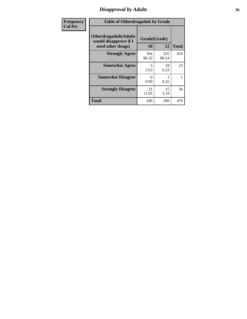# *Disapproval by Adults* **36**

| Frequency      | <b>Table of Otherdrugadult by Grade</b>                                     |                    |              |              |
|----------------|-----------------------------------------------------------------------------|--------------------|--------------|--------------|
| <b>Col Pct</b> | <b>Otherdrugadult</b> (Adults<br>would disapprove if I<br>used other drugs) | Grade(Grade)<br>10 | 12           | <b>Total</b> |
|                | <b>Strongly Agree</b>                                                       | 164<br>86.32       | 255<br>88.24 | 419          |
|                | <b>Somewhat Agree</b>                                                       | 5<br>2.63          | 18<br>6.23   | 23           |
|                | <b>Somewhat Disagree</b>                                                    | 0<br>0.00          | 0.35         |              |
|                | <b>Strongly Disagree</b>                                                    | 21<br>11.05        | 15<br>5.19   | 36           |
|                | <b>Total</b>                                                                | 190                | 289          | 479          |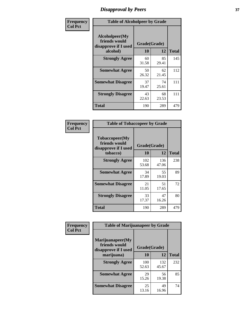# *Disapproval by Peers* **37**

| Frequency      | <b>Table of Alcoholpeer by Grade</b>                    |              |             |              |
|----------------|---------------------------------------------------------|--------------|-------------|--------------|
| <b>Col Pct</b> | Alcoholpeer(My<br>friends would<br>disapprove if I used | Grade(Grade) |             |              |
|                | alcohol)                                                | 10           | 12          | <b>Total</b> |
|                | <b>Strongly Agree</b>                                   | 60<br>31.58  | 85<br>29.41 | 145          |
|                | <b>Somewhat Agree</b>                                   | 50<br>26.32  | 62<br>21.45 | 112          |
|                | <b>Somewhat Disagree</b>                                | 37<br>19.47  | 74<br>25.61 | 111          |
|                | <b>Strongly Disagree</b>                                | 43<br>22.63  | 68<br>23.53 | 111          |
|                | Total                                                   | 190          | 289         | 479          |

| Frequency      | <b>Table of Tobaccopeer by Grade</b>                    |              |              |              |
|----------------|---------------------------------------------------------|--------------|--------------|--------------|
| <b>Col Pct</b> | Tobaccopeer(My<br>friends would<br>disapprove if I used | Grade(Grade) |              |              |
|                | tobacco)                                                | 10           | 12           | <b>Total</b> |
|                | <b>Strongly Agree</b>                                   | 102<br>53.68 | 136<br>47.06 | 238          |
|                | <b>Somewhat Agree</b>                                   | 34<br>17.89  | 55<br>19.03  | 89           |
|                | <b>Somewhat Disagree</b>                                | 21<br>11.05  | 51<br>17.65  | 72           |
|                | <b>Strongly Disagree</b>                                | 33<br>17.37  | 47<br>16.26  | 80           |
|                | Total                                                   | 190          | 289          | 479          |

| Frequency<br><b>Col Pct</b> | <b>Table of Marijuanapeer by Grade</b>                    |              |              |              |  |
|-----------------------------|-----------------------------------------------------------|--------------|--------------|--------------|--|
|                             | Marijuanapeer(My<br>friends would<br>disapprove if I used | Grade(Grade) |              |              |  |
|                             | marijuana)                                                | 10           | 12           | <b>Total</b> |  |
|                             | <b>Strongly Agree</b>                                     | 100<br>52.63 | 132<br>45.67 | 232          |  |
|                             | <b>Somewhat Agree</b>                                     | 29<br>15.26  | 56<br>19.38  | 85           |  |
|                             | <b>Somewhat Disagree</b>                                  | 25<br>13.16  | 49<br>16.96  | 74           |  |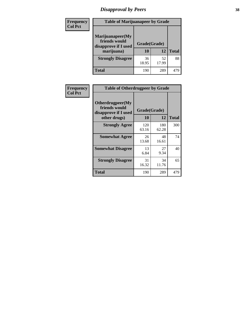# *Disapproval by Peers* **38**

| Frequency<br><b>Col Pct</b> | <b>Table of Marijuanapeer by Grade</b>                                  |                    |             |              |
|-----------------------------|-------------------------------------------------------------------------|--------------------|-------------|--------------|
|                             | Marijuanapeer(My<br>friends would<br>disapprove if I used<br>marijuana) | Grade(Grade)<br>10 | 12          | <b>Total</b> |
|                             | <b>Strongly Disagree</b>                                                | 36<br>18.95        | 52<br>17.99 | 88           |
|                             | Total                                                                   | 190                | 289         | 479          |

| Frequency      | <b>Table of Otherdrugpeer by Grade</b>                                    |                    |              |              |
|----------------|---------------------------------------------------------------------------|--------------------|--------------|--------------|
| <b>Col Pct</b> | Otherdrugpeer(My<br>friends would<br>disapprove if I used<br>other drugs) | Grade(Grade)<br>10 | 12           | <b>Total</b> |
|                | <b>Strongly Agree</b>                                                     | 120<br>63.16       | 180<br>62.28 | 300          |
|                | <b>Somewhat Agree</b>                                                     | 26<br>13.68        | 48<br>16.61  | 74           |
|                | <b>Somewhat Disagree</b>                                                  | 13<br>6.84         | 27<br>9.34   | 40           |
|                | <b>Strongly Disagree</b>                                                  | 31<br>16.32        | 34<br>11.76  | 65           |
|                | <b>Total</b>                                                              | 190                | 289          | 479          |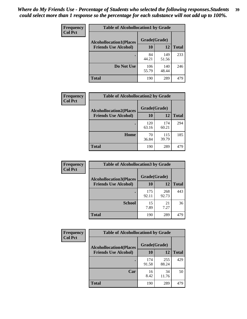| Frequency      | <b>Table of Alcohollocation1 by Grade</b> |              |              |              |
|----------------|-------------------------------------------|--------------|--------------|--------------|
| <b>Col Pct</b> | <b>Alcohollocation1(Places</b>            | Grade(Grade) |              |              |
|                | <b>Friends Use Alcohol)</b>               | 10           | 12           | <b>Total</b> |
|                |                                           | 84<br>44.21  | 149<br>51.56 | 233          |
|                | Do Not Use                                | 106<br>55.79 | 140<br>48.44 | 246          |
|                | <b>Total</b>                              | 190          | 289          | 479          |

| <b>Frequency</b> | <b>Table of Alcohollocation2 by Grade</b>                     |                           |              |              |
|------------------|---------------------------------------------------------------|---------------------------|--------------|--------------|
| <b>Col Pct</b>   | <b>Alcohollocation2(Places</b><br><b>Friends Use Alcohol)</b> | Grade(Grade)<br><b>10</b> | 12           | <b>Total</b> |
|                  |                                                               | 120<br>63.16              | 174<br>60.21 | 294          |
|                  | Home                                                          | 70<br>36.84               | 115<br>39.79 | 185          |
|                  | <b>Total</b>                                                  | 190                       | 289          | 479          |

| Frequency<br><b>Col Pct</b> | <b>Table of Alcohollocation3 by Grade</b>                     |                    |              |              |
|-----------------------------|---------------------------------------------------------------|--------------------|--------------|--------------|
|                             | <b>Alcohollocation3(Places</b><br><b>Friends Use Alcohol)</b> | Grade(Grade)<br>10 | 12           | <b>Total</b> |
|                             |                                                               | 175<br>92.11       | 268<br>92.73 | 443          |
|                             | <b>School</b>                                                 | 15<br>7.89         | 21<br>7.27   | 36           |
|                             | Total                                                         | 190                | 289          | 479          |

| Frequency      | <b>Table of Alcohollocation4 by Grade</b> |              |              |              |  |
|----------------|-------------------------------------------|--------------|--------------|--------------|--|
| <b>Col Pct</b> | <b>Alcohollocation4(Places</b>            | Grade(Grade) |              |              |  |
|                | <b>Friends Use Alcohol)</b>               | 10           | 12           | <b>Total</b> |  |
|                |                                           | 174<br>91.58 | 255<br>88.24 | 429          |  |
|                | Car                                       | 16<br>8.42   | 34<br>11.76  | 50           |  |
|                | <b>Total</b>                              | 190          | 289          | 479          |  |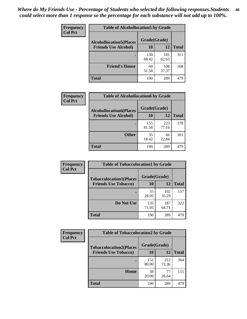| Frequency<br><b>Col Pct</b> | <b>Table of Alcohollocation5 by Grade</b> |              |              |              |
|-----------------------------|-------------------------------------------|--------------|--------------|--------------|
|                             | <b>Alcohollocation5(Places</b>            | Grade(Grade) |              |              |
|                             | <b>Friends Use Alcohol)</b>               | 10           | 12           | <b>Total</b> |
|                             |                                           | 130<br>68.42 | 181<br>62.63 | 311          |
|                             | <b>Friend's House</b>                     | 60<br>31.58  | 108<br>37.37 | 168          |
|                             | <b>Total</b>                              | 190          | 289          | 479          |

| <b>Frequency</b> | <b>Table of Alcohollocation6 by Grade</b>                     |              |              |              |
|------------------|---------------------------------------------------------------|--------------|--------------|--------------|
| <b>Col Pct</b>   | <b>Alcohollocation6(Places</b><br><b>Friends Use Alcohol)</b> | Grade(Grade) |              |              |
|                  |                                                               | 10           | 12           | <b>Total</b> |
|                  |                                                               | 155<br>81.58 | 223<br>77.16 | 378          |
|                  | <b>Other</b>                                                  | 35<br>18.42  | 66<br>22.84  | 101          |
|                  | <b>Total</b>                                                  | 190          | 289          | 479          |

| Frequency      | <b>Table of Tobaccolocation1 by Grade</b> |              |              |              |
|----------------|-------------------------------------------|--------------|--------------|--------------|
| <b>Col Pct</b> | <b>Tobaccolocation1(Places</b>            | Grade(Grade) |              |              |
|                | <b>Friends Use Tobacco)</b>               | 10           | <b>12</b>    | <b>Total</b> |
|                |                                           | 55<br>28.95  | 102<br>35.29 | 157          |
|                | Do Not Use                                | 135<br>71.05 | 187<br>64.71 | 322          |
|                | <b>Total</b>                              | 190          | 289          | 479          |

| <b>Frequency</b> | <b>Table of Tobaccolocation2 by Grade</b> |              |              |              |
|------------------|-------------------------------------------|--------------|--------------|--------------|
| <b>Col Pct</b>   | <b>Tobaccolocation2(Places</b>            | Grade(Grade) |              |              |
|                  | <b>Friends Use Tobacco)</b>               | 10           | 12           | <b>Total</b> |
|                  |                                           | 152<br>80.00 | 212<br>73.36 | 364          |
|                  | Home                                      | 38<br>20.00  | 77<br>26.64  | 115          |
|                  | <b>Total</b>                              | 190          | 289          | 479          |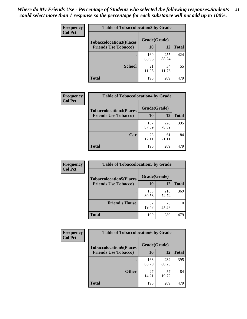| Frequency      | <b>Table of Tobaccolocation3 by Grade</b> |              |              |              |  |
|----------------|-------------------------------------------|--------------|--------------|--------------|--|
| <b>Col Pct</b> | <b>Tobaccolocation3(Places</b>            | Grade(Grade) |              |              |  |
|                | <b>Friends Use Tobacco)</b>               | 10           | 12           | <b>Total</b> |  |
|                |                                           | 169<br>88.95 | 255<br>88.24 | 424          |  |
|                | <b>School</b>                             | 21<br>11.05  | 34<br>11.76  | 55           |  |
|                | <b>Total</b>                              | 190          | 289          | 479          |  |

| Frequency      | <b>Table of Tobaccolocation4 by Grade</b> |              |              |              |
|----------------|-------------------------------------------|--------------|--------------|--------------|
| <b>Col Pct</b> | <b>Tobaccolocation4(Places</b>            | Grade(Grade) |              |              |
|                | <b>Friends Use Tobacco)</b>               | 10           | 12           | <b>Total</b> |
|                |                                           | 167<br>87.89 | 228<br>78.89 | 395          |
|                | Car                                       | 23<br>12.11  | 61<br>21.11  | 84           |
|                | <b>Total</b>                              | 190          | 289          | 479          |

| Frequency<br><b>Col Pct</b> | <b>Table of Tobaccolocation5 by Grade</b> |              |              |              |
|-----------------------------|-------------------------------------------|--------------|--------------|--------------|
|                             | <b>Tobaccolocation5(Places</b>            | Grade(Grade) |              |              |
|                             | <b>Friends Use Tobacco)</b>               | 10           | <b>12</b>    | <b>Total</b> |
|                             |                                           | 153<br>80.53 | 216<br>74.74 | 369          |
|                             | <b>Friend's House</b>                     | 37<br>19.47  | 73<br>25.26  | 110          |
|                             | <b>Total</b>                              | 190          | 289          | 479          |

| <b>Frequency</b> | <b>Table of Tobaccolocation6 by Grade</b> |              |              |              |  |
|------------------|-------------------------------------------|--------------|--------------|--------------|--|
| <b>Col Pct</b>   | <b>Tobaccolocation6(Places</b>            | Grade(Grade) |              |              |  |
|                  | <b>Friends Use Tobacco)</b>               | 10           | 12           | <b>Total</b> |  |
|                  |                                           | 163<br>85.79 | 232<br>80.28 | 395          |  |
|                  | <b>Other</b>                              | 27<br>14.21  | 57<br>19.72  | 84           |  |
|                  | <b>Total</b>                              | 190          | 289          | 479          |  |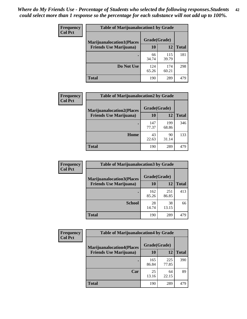| <b>Frequency</b> | <b>Table of Marijuanalocation1 by Grade</b> |              |              |              |
|------------------|---------------------------------------------|--------------|--------------|--------------|
| <b>Col Pct</b>   | <b>Marijuanalocation1(Places</b>            | Grade(Grade) |              |              |
|                  | <b>Friends Use Marijuana</b> )              | 10           | 12           | <b>Total</b> |
|                  |                                             | 66<br>34.74  | 115<br>39.79 | 181          |
|                  | Do Not Use                                  | 124<br>65.26 | 174<br>60.21 | 298          |
|                  | <b>Total</b>                                | 190          | 289          | 479          |

| <b>Frequency</b> | <b>Table of Marijuanalocation2 by Grade</b> |              |              |              |
|------------------|---------------------------------------------|--------------|--------------|--------------|
| <b>Col Pct</b>   | <b>Marijuanalocation2(Places</b>            | Grade(Grade) |              |              |
|                  | <b>Friends Use Marijuana</b> )              | 10           | 12           | <b>Total</b> |
|                  |                                             | 147<br>77.37 | 199<br>68.86 | 346          |
|                  | Home                                        | 43<br>22.63  | 90<br>31.14  | 133          |
|                  | <b>Total</b>                                | 190          | 289          | 479          |

| Frequency<br><b>Col Pct</b> | <b>Table of Marijuanalocation3 by Grade</b> |              |       |              |
|-----------------------------|---------------------------------------------|--------------|-------|--------------|
|                             | <b>Marijuanalocation3(Places</b>            | Grade(Grade) |       |              |
|                             | <b>Friends Use Marijuana</b> )              | 10           | 12    | <b>Total</b> |
|                             |                                             | 162          | 251   | 413          |
|                             |                                             | 85.26        | 86.85 |              |
|                             | <b>School</b>                               | 28           | 38    | 66           |
|                             |                                             | 14.74        | 13.15 |              |
|                             | <b>Total</b>                                | 190          | 289   | 479          |

| Frequency      | <b>Table of Marijuanalocation4 by Grade</b> |              |              |              |
|----------------|---------------------------------------------|--------------|--------------|--------------|
| <b>Col Pct</b> | <b>Marijuanalocation4(Places</b>            | Grade(Grade) |              |              |
|                | <b>Friends Use Marijuana</b> )              | <b>10</b>    | 12           | <b>Total</b> |
|                |                                             | 165<br>86.84 | 225<br>77.85 | 390          |
|                | Car                                         | 25<br>13.16  | 64<br>22.15  | 89           |
|                | <b>Total</b>                                | 190          | 289          | 479          |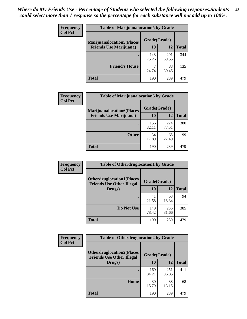| <b>Frequency</b> | <b>Table of Marijuanalocation5 by Grade</b> |              |              |              |
|------------------|---------------------------------------------|--------------|--------------|--------------|
| <b>Col Pct</b>   | <b>Marijuanalocation5</b> (Places           | Grade(Grade) |              |              |
|                  | <b>Friends Use Marijuana</b> )              | 10           | 12           | <b>Total</b> |
|                  |                                             | 143<br>75.26 | 201<br>69.55 | 344          |
|                  | <b>Friend's House</b>                       | 47<br>24.74  | 88<br>30.45  | 135          |
|                  | <b>Total</b>                                | 190          | 289          | 479          |

| <b>Frequency</b> | <b>Table of Marijuanalocation6 by Grade</b>                        |                    |              |              |
|------------------|--------------------------------------------------------------------|--------------------|--------------|--------------|
| <b>Col Pct</b>   | <b>Marijuanalocation6(Places</b><br><b>Friends Use Marijuana</b> ) | Grade(Grade)<br>10 | 12           | <b>Total</b> |
|                  |                                                                    | 156<br>82.11       | 224<br>77.51 | 380          |
|                  | <b>Other</b>                                                       | 34<br>17.89        | 65<br>22.49  | 99           |
|                  | <b>Total</b>                                                       | 190                | 289          | 479          |

| <b>Frequency</b> | <b>Table of Otherdruglocation1 by Grade</b>                          |              |              |              |
|------------------|----------------------------------------------------------------------|--------------|--------------|--------------|
| <b>Col Pct</b>   | <b>Otherdruglocation1(Places</b><br><b>Friends Use Other Illegal</b> | Grade(Grade) |              |              |
|                  | Drugs)                                                               | 10           | 12           | <b>Total</b> |
|                  |                                                                      | 41<br>21.58  | 53<br>18.34  | 94           |
|                  | Do Not Use                                                           | 149<br>78.42 | 236<br>81.66 | 385          |
|                  | <b>Total</b>                                                         | 190          | 289          | 479          |

| <b>Frequency</b> | <b>Table of Otherdruglocation2 by Grade</b>                          |              |              |              |
|------------------|----------------------------------------------------------------------|--------------|--------------|--------------|
| <b>Col Pct</b>   | <b>Otherdruglocation2(Places</b><br><b>Friends Use Other Illegal</b> | Grade(Grade) |              |              |
|                  | Drugs)                                                               | 10           | 12           | <b>Total</b> |
|                  |                                                                      | 160<br>84.21 | 251<br>86.85 | 411          |
|                  | <b>Home</b>                                                          | 30<br>15.79  | 38<br>13.15  | 68           |
|                  | <b>Total</b>                                                         | 190          | 289          | 479          |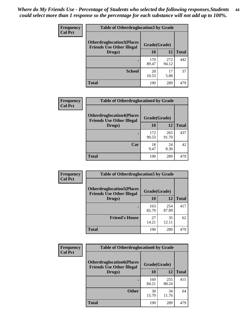| <b>Frequency</b> | <b>Table of Otherdruglocation 3 by Grade</b>                         |              |              |              |
|------------------|----------------------------------------------------------------------|--------------|--------------|--------------|
| <b>Col Pct</b>   | <b>Otherdruglocation3(Places</b><br><b>Friends Use Other Illegal</b> | Grade(Grade) |              |              |
|                  | Drugs)                                                               | 10           | 12           | <b>Total</b> |
|                  |                                                                      | 170<br>89.47 | 272<br>94.12 | 442          |
|                  | <b>School</b>                                                        | 20<br>10.53  | 17<br>5.88   | 37           |
|                  | <b>Total</b>                                                         | 190          | 289          | 479          |

| <b>Frequency</b> | <b>Table of Otherdruglocation4 by Grade</b>                          |              |              |              |
|------------------|----------------------------------------------------------------------|--------------|--------------|--------------|
| <b>Col Pct</b>   | <b>Otherdruglocation4(Places</b><br><b>Friends Use Other Illegal</b> | Grade(Grade) |              |              |
|                  | Drugs)                                                               | 10           | 12           | <b>Total</b> |
|                  |                                                                      | 172<br>90.53 | 265<br>91.70 | 437          |
|                  | Car                                                                  | 18<br>9.47   | 24<br>8.30   | 42           |
|                  | <b>Total</b>                                                         | 190          | 289          | 479          |

| Frequency      | <b>Table of Otherdruglocation5 by Grade</b>                          |              |              |              |
|----------------|----------------------------------------------------------------------|--------------|--------------|--------------|
| <b>Col Pct</b> | <b>Otherdruglocation5(Places</b><br><b>Friends Use Other Illegal</b> | Grade(Grade) |              |              |
|                | Drugs)                                                               | <b>10</b>    | 12           | <b>Total</b> |
|                |                                                                      | 163<br>85.79 | 254<br>87.89 | 417          |
|                | <b>Friend's House</b>                                                | 27<br>14.21  | 35<br>12.11  | 62           |
|                | <b>Total</b>                                                         | 190          | 289          | 479          |

| <b>Frequency</b> | <b>Table of Otherdruglocation6 by Grade</b>                          |              |              |              |
|------------------|----------------------------------------------------------------------|--------------|--------------|--------------|
| <b>Col Pct</b>   | <b>Otherdruglocation6(Places</b><br><b>Friends Use Other Illegal</b> | Grade(Grade) |              |              |
|                  | Drugs)                                                               | <b>10</b>    | 12           | <b>Total</b> |
|                  |                                                                      | 160<br>84.21 | 255<br>88.24 | 415          |
|                  | <b>Other</b>                                                         | 30<br>15.79  | 34<br>11.76  | 64           |
|                  | <b>Total</b>                                                         | 190          | 289          | 479          |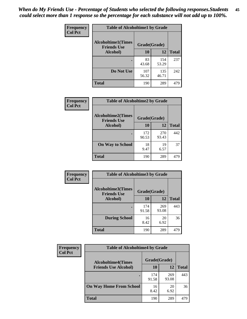| Frequency      | <b>Table of Alcoholtime1 by Grade</b>           |              |              |              |
|----------------|-------------------------------------------------|--------------|--------------|--------------|
| <b>Col Pct</b> | <b>Alcoholtime1(Times</b><br><b>Friends Use</b> | Grade(Grade) |              |              |
|                | Alcohol)                                        | 10           | 12           | <b>Total</b> |
|                |                                                 | 83<br>43.68  | 154<br>53.29 | 237          |
|                | Do Not Use                                      | 107<br>56.32 | 135<br>46.71 | 242          |
|                | <b>Total</b>                                    | 190          | 289          | 479          |

| Frequency      | <b>Table of Alcoholtime2 by Grade</b>           |              |              |              |
|----------------|-------------------------------------------------|--------------|--------------|--------------|
| <b>Col Pct</b> | <b>Alcoholtime2(Times</b><br><b>Friends Use</b> | Grade(Grade) |              |              |
|                | Alcohol)                                        | 10           | 12           | <b>Total</b> |
|                |                                                 | 172<br>90.53 | 270<br>93.43 | 442          |
|                | <b>On Way to School</b>                         | 18<br>9.47   | 19<br>6.57   | 37           |
|                | <b>Total</b>                                    | 190          | 289          | 479          |

| Frequency<br><b>Col Pct</b> | <b>Table of Alcoholtime3 by Grade</b>    |              |              |              |
|-----------------------------|------------------------------------------|--------------|--------------|--------------|
|                             | Alcoholtime3(Times<br><b>Friends Use</b> | Grade(Grade) |              |              |
|                             | <b>Alcohol</b> )                         | 10           | 12           | <b>Total</b> |
|                             |                                          | 174<br>91.58 | 269<br>93.08 | 443          |
|                             | <b>During School</b>                     | 16<br>8.42   | 20<br>6.92   | 36           |
|                             | <b>Total</b>                             | 190          | 289          | 479          |

| <b>Frequency</b><br><b>Col Pct</b> | <b>Table of Alcoholtime4 by Grade</b> |              |              |              |
|------------------------------------|---------------------------------------|--------------|--------------|--------------|
|                                    | <b>Alcoholtime4(Times</b>             | Grade(Grade) |              |              |
|                                    | <b>Friends Use Alcohol)</b>           | 10           | 12           | <b>Total</b> |
|                                    |                                       | 174<br>91.58 | 269<br>93.08 | 443          |
|                                    | <b>On Way Home From School</b>        | 16<br>8.42   | 20<br>6.92   | 36           |
|                                    | <b>Total</b>                          | 190          | 289          | 479          |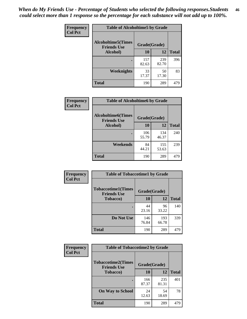*When do My Friends Use - Percentage of Students who selected the following responses.Students could select more than 1 response so the percentage for each substance will not add up to 100%.* **46**

| <b>Frequency</b> | <b>Table of Alcoholtime5 by Grade</b>            |              |              |              |
|------------------|--------------------------------------------------|--------------|--------------|--------------|
| <b>Col Pct</b>   | <b>Alcoholtime5</b> (Times<br><b>Friends Use</b> | Grade(Grade) |              |              |
|                  | Alcohol)                                         | 10           | 12           | <b>Total</b> |
|                  |                                                  | 157<br>82.63 | 239<br>82.70 | 396          |
|                  | Weeknights                                       | 33<br>17.37  | 50<br>17.30  | 83           |
|                  | <b>Total</b>                                     | 190          | 289          | 479          |

| Frequency      | <b>Table of Alcoholtime6 by Grade</b>           |              |              |              |
|----------------|-------------------------------------------------|--------------|--------------|--------------|
| <b>Col Pct</b> | <b>Alcoholtime6(Times</b><br><b>Friends Use</b> | Grade(Grade) |              |              |
|                | Alcohol)                                        | 10           | 12           | <b>Total</b> |
|                |                                                 | 106<br>55.79 | 134<br>46.37 | 240          |
|                | Weekends                                        | 84<br>44.21  | 155<br>53.63 | 239          |
|                | <b>Total</b>                                    | 190          | 289          | 479          |

| Frequency      | <b>Table of Tobaccotime1 by Grade</b>           |              |              |              |
|----------------|-------------------------------------------------|--------------|--------------|--------------|
| <b>Col Pct</b> | <b>Tobaccotime1(Times</b><br><b>Friends Use</b> | Grade(Grade) |              |              |
|                | <b>Tobacco</b> )                                | 10           | 12           | <b>Total</b> |
|                |                                                 | 44<br>23.16  | 96<br>33.22  | 140          |
|                | Do Not Use                                      | 146<br>76.84 | 193<br>66.78 | 339          |
|                | <b>Total</b>                                    | 190          | 289          | 479          |

| <b>Frequency</b> | <b>Table of Tobaccotime2 by Grade</b>                           |              |              |              |  |
|------------------|-----------------------------------------------------------------|--------------|--------------|--------------|--|
| <b>Col Pct</b>   | <b>Tobaccotime2(Times</b><br>Grade(Grade)<br><b>Friends Use</b> |              |              |              |  |
|                  | <b>Tobacco</b> )                                                | 10           | 12           | <b>Total</b> |  |
|                  |                                                                 | 166<br>87.37 | 235<br>81.31 | 401          |  |
|                  | <b>On Way to School</b>                                         | 24<br>12.63  | 54<br>18.69  | 78           |  |
|                  | <b>Total</b>                                                    | 190          | 289          | 479          |  |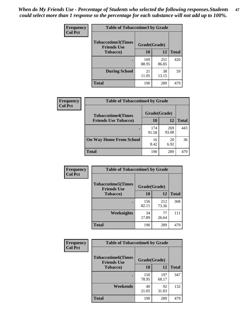*When do My Friends Use - Percentage of Students who selected the following responses.Students could select more than 1 response so the percentage for each substance will not add up to 100%.* **47**

| <b>Frequency</b> | <b>Table of Tobaccotime3 by Grade</b>           |              |              |              |  |
|------------------|-------------------------------------------------|--------------|--------------|--------------|--|
| <b>Col Pct</b>   | <b>Tobaccotime3(Times</b><br><b>Friends Use</b> | Grade(Grade) |              |              |  |
|                  | <b>Tobacco</b> )                                | 10           | 12           | <b>Total</b> |  |
|                  |                                                 | 169<br>88.95 | 251<br>86.85 | 420          |  |
|                  | <b>During School</b>                            | 21<br>11.05  | 38<br>13.15  | 59           |  |
|                  | <b>Total</b>                                    | 190          | 289          | 479          |  |

| Frequency<br><b>Col Pct</b> | <b>Table of Tobaccotime4 by Grade</b> |              |              |              |
|-----------------------------|---------------------------------------|--------------|--------------|--------------|
|                             | <b>Tobaccotime4(Times</b>             | Grade(Grade) |              |              |
|                             | <b>Friends Use Tobacco)</b>           | 10           | 12           | <b>Total</b> |
|                             |                                       | 174<br>91.58 | 269<br>93.08 | 443          |
|                             | <b>On Way Home From School</b>        | 16<br>8.42   | 20<br>6.92   | 36           |
|                             | Total                                 | 190          | 289          | 479          |

| <b>Frequency</b> | <b>Table of Tobaccotime5 by Grade</b>            |              |              |              |
|------------------|--------------------------------------------------|--------------|--------------|--------------|
| <b>Col Pct</b>   | <b>Tobaccotime5</b> (Times<br><b>Friends Use</b> | Grade(Grade) |              |              |
|                  | <b>Tobacco</b> )                                 | 10           | 12           | <b>Total</b> |
|                  |                                                  | 156<br>82.11 | 212<br>73.36 | 368          |
|                  | Weeknights                                       | 34<br>17.89  | 77<br>26.64  | 111          |
|                  | <b>Total</b>                                     | 190          | 289          | 479          |

| Frequency<br><b>Col Pct</b> | <b>Table of Tobaccotime6 by Grade</b><br><b>Tobaccotime6(Times</b><br>Grade(Grade)<br><b>Friends Use</b> |              |              |              |
|-----------------------------|----------------------------------------------------------------------------------------------------------|--------------|--------------|--------------|
|                             |                                                                                                          |              |              |              |
|                             | <b>Tobacco</b> )                                                                                         | 10           | 12           | <b>Total</b> |
|                             |                                                                                                          | 150<br>78.95 | 197<br>68.17 | 347          |
|                             | Weekends                                                                                                 | 40<br>21.05  | 92<br>31.83  | 132          |
|                             | <b>Total</b>                                                                                             | 190          | 289          | 479          |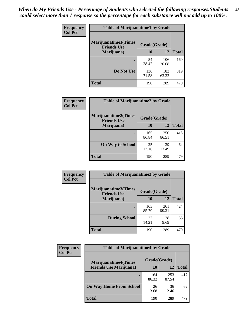| Frequency<br><b>Col Pct</b> | <b>Table of Marijuanatime1 by Grade</b>            |              |              |              |  |
|-----------------------------|----------------------------------------------------|--------------|--------------|--------------|--|
|                             | <b>Marijuanatime1</b> (Times<br><b>Friends Use</b> | Grade(Grade) |              |              |  |
|                             | Marijuana)                                         | 10           | 12           | <b>Total</b> |  |
|                             |                                                    | 54<br>28.42  | 106<br>36.68 | 160          |  |
|                             | Do Not Use                                         | 136<br>71.58 | 183<br>63.32 | 319          |  |
|                             | <b>Total</b>                                       | 190          | 289          | 479          |  |

| <b>Frequency</b> | <b>Table of Marijuanatime2 by Grade</b>           |              |              |              |
|------------------|---------------------------------------------------|--------------|--------------|--------------|
| <b>Col Pct</b>   | <b>Marijuanatime2(Times</b><br><b>Friends Use</b> | Grade(Grade) |              |              |
|                  | Marijuana)                                        | 10           | 12           | <b>Total</b> |
|                  | ٠                                                 | 165<br>86.84 | 250<br>86.51 | 415          |
|                  | <b>On Way to School</b>                           | 25<br>13.16  | 39<br>13.49  | 64           |
|                  | <b>Total</b>                                      | 190          | 289          | 479          |

| Frequency      | <b>Table of Marijuanatime3 by Grade</b>    |              |              |              |
|----------------|--------------------------------------------|--------------|--------------|--------------|
| <b>Col Pct</b> | Marijuanatime3(Times<br><b>Friends Use</b> | Grade(Grade) |              |              |
|                | Marijuana)                                 | 10           | 12           | <b>Total</b> |
|                |                                            | 163<br>85.79 | 261<br>90.31 | 424          |
|                | <b>During School</b>                       | 27<br>14.21  | 28<br>9.69   | 55           |
|                | Total                                      | 190          | 289          | 479          |

| <b>Frequency</b><br><b>Col Pct</b> | <b>Table of Marijuanatime4 by Grade</b> |              |              |       |
|------------------------------------|-----------------------------------------|--------------|--------------|-------|
|                                    | <b>Marijuanatime4</b> (Times            | Grade(Grade) |              |       |
|                                    | <b>Friends Use Marijuana</b> )          | 10           | 12           | Total |
|                                    |                                         | 164<br>86.32 | 253<br>87.54 | 417   |
|                                    | <b>On Way Home From School</b>          | 26<br>13.68  | 36<br>12.46  | 62    |
|                                    | <b>Total</b>                            | 190          | 289          | 479   |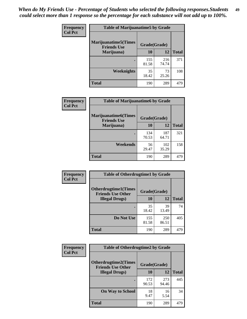| Frequency      | <b>Table of Marijuanatime5 by Grade</b>            |              |              |              |
|----------------|----------------------------------------------------|--------------|--------------|--------------|
| <b>Col Pct</b> | <b>Marijuanatime5</b> (Times<br><b>Friends Use</b> | Grade(Grade) |              |              |
|                | Marijuana)                                         | 10           | 12           | <b>Total</b> |
|                |                                                    | 155<br>81.58 | 216<br>74.74 | 371          |
|                | Weeknights                                         | 35<br>18.42  | 73<br>25.26  | 108          |
|                | <b>Total</b>                                       | 190          | 289          | 479          |

| Frequency      | <b>Table of Marijuanatime6 by Grade</b>            |              |              |              |
|----------------|----------------------------------------------------|--------------|--------------|--------------|
| <b>Col Pct</b> | <b>Marijuanatime6</b> (Times<br><b>Friends Use</b> | Grade(Grade) |              |              |
|                | Marijuana)                                         | 10           | 12           | <b>Total</b> |
|                |                                                    | 134<br>70.53 | 187<br>64.71 | 321          |
|                | Weekends                                           | 56<br>29.47  | 102<br>35.29 | 158          |
|                | <b>Total</b>                                       | 190          | 289          | 479          |

| <b>Frequency</b> | <b>Table of Otherdrugtime1 by Grade</b>                 |              |              |              |
|------------------|---------------------------------------------------------|--------------|--------------|--------------|
| <b>Col Pct</b>   | <b>Otherdrugtime1(Times</b><br><b>Friends Use Other</b> | Grade(Grade) |              |              |
|                  | <b>Illegal Drugs</b> )                                  | 10           | 12           | <b>Total</b> |
|                  |                                                         | 35<br>18.42  | 39<br>13.49  | 74           |
|                  | Do Not Use                                              | 155<br>81.58 | 250<br>86.51 | 405          |
|                  | <b>Total</b>                                            | 190          | 289          | 479          |

| Frequency<br><b>Col Pct</b> | <b>Table of Otherdrugtime2 by Grade</b>                 |              |              |              |  |  |
|-----------------------------|---------------------------------------------------------|--------------|--------------|--------------|--|--|
|                             | <b>Otherdrugtime2(Times</b><br><b>Friends Use Other</b> | Grade(Grade) |              |              |  |  |
|                             | <b>Illegal Drugs</b> )                                  | 10           | 12           | <b>Total</b> |  |  |
|                             |                                                         | 172<br>90.53 | 273<br>94.46 | 445          |  |  |
|                             | <b>On Way to School</b>                                 | 18<br>9.47   | 16<br>5.54   | 34           |  |  |
|                             | Total                                                   | 190          | 289          | 479          |  |  |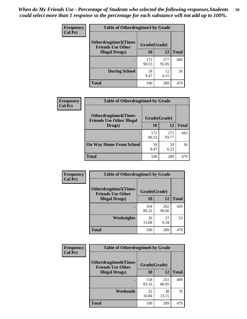| <b>Frequency</b> | <b>Table of Otherdrugtime3 by Grade</b>                                 |              |              |              |  |  |
|------------------|-------------------------------------------------------------------------|--------------|--------------|--------------|--|--|
| <b>Col Pct</b>   | <b>Otherdrugtime3(Times</b><br>Grade(Grade)<br><b>Friends Use Other</b> |              |              |              |  |  |
|                  | <b>Illegal Drugs</b> )                                                  | 10           | 12           | <b>Total</b> |  |  |
|                  |                                                                         | 172<br>90.53 | 277<br>95.85 | 449          |  |  |
|                  | <b>During School</b>                                                    | 18<br>9.47   | 12<br>4.15   | 30           |  |  |
|                  | Total                                                                   | 190          | 289          | 479          |  |  |

| Frequency      | <b>Table of Otherdrugtime4 by Grade</b>                         |              |              |              |  |  |
|----------------|-----------------------------------------------------------------|--------------|--------------|--------------|--|--|
| <b>Col Pct</b> | <b>Otherdrugtime4(Times</b><br><b>Friends Use Other Illegal</b> | Grade(Grade) |              |              |  |  |
|                | Drugs)                                                          | 10           | 12           | <b>Total</b> |  |  |
|                | $\bullet$                                                       | 172<br>90.53 | 271<br>93.77 | 443          |  |  |
|                | <b>On Way Home From School</b>                                  | 18<br>9.47   | 18<br>6.23   | 36           |  |  |
|                | <b>Total</b>                                                    | 190          | 289          | 479          |  |  |

| <b>Frequency</b> | <b>Table of Otherdrugtime5 by Grade</b>                  |              |              |              |  |  |
|------------------|----------------------------------------------------------|--------------|--------------|--------------|--|--|
| <b>Col Pct</b>   | <b>Otherdrugtime5</b> (Times<br><b>Friends Use Other</b> | Grade(Grade) |              |              |  |  |
|                  | <b>Illegal Drugs</b> )                                   | 10           | 12           | <b>Total</b> |  |  |
|                  |                                                          | 164<br>86.32 | 262<br>90.66 | 426          |  |  |
|                  | Weeknights                                               | 26<br>13.68  | 27<br>9.34   | 53           |  |  |
|                  | Total                                                    | 190          | 289          | 479          |  |  |

| Frequency      | <b>Table of Otherdrugtime6 by Grade</b>                                 |              |              |              |  |  |
|----------------|-------------------------------------------------------------------------|--------------|--------------|--------------|--|--|
| <b>Col Pct</b> | <b>Otherdrugtime6(Times</b><br>Grade(Grade)<br><b>Friends Use Other</b> |              |              |              |  |  |
|                | <b>Illegal Drugs</b> )                                                  | 10           | 12           | <b>Total</b> |  |  |
|                |                                                                         | 158<br>83.16 | 251<br>86.85 | 409          |  |  |
|                | Weekends                                                                | 32<br>16.84  | 38<br>13.15  | 70           |  |  |
|                | <b>Total</b>                                                            | 190          | 289          | 479          |  |  |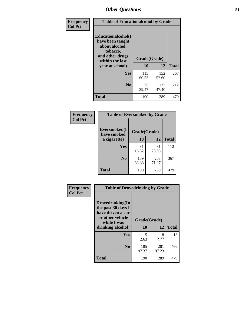| Frequency<br><b>Col Pct</b> | <b>Table of Educationalcohol by Grade</b>                                                                  |              |              |              |  |  |
|-----------------------------|------------------------------------------------------------------------------------------------------------|--------------|--------------|--------------|--|--|
|                             | Educationalcohol(I<br>have been taught<br>about alcohol,<br>tobacco,<br>and other drugs<br>within the last | Grade(Grade) |              |              |  |  |
|                             | year at school)                                                                                            | 10           | 12           | <b>Total</b> |  |  |
|                             | <b>Yes</b>                                                                                                 | 115<br>60.53 | 152<br>52.60 | 267          |  |  |
|                             | N <sub>0</sub>                                                                                             | 75<br>39.47  | 137<br>47.40 | 212          |  |  |
|                             | <b>Total</b>                                                                                               | 190          | 289          | 479          |  |  |

| Frequency      | <b>Table of Eversmoked by Grade</b>         |              |              |              |  |  |  |
|----------------|---------------------------------------------|--------------|--------------|--------------|--|--|--|
| <b>Col Pct</b> | Eversmoked(I<br>Grade(Grade)<br>have smoked |              |              |              |  |  |  |
|                | a cigarette)                                | 10           | 12           | <b>Total</b> |  |  |  |
|                | <b>Yes</b>                                  | 31<br>16.32  | 81<br>28.03  | 112          |  |  |  |
|                | N <sub>0</sub>                              | 159<br>83.68 | 208<br>71.97 | 367          |  |  |  |
|                | <b>Total</b>                                | 190          | 289          | 479          |  |  |  |

| Frequency      | <b>Table of Drovedrinking by Grade</b>                                                                              |                    |              |     |  |  |
|----------------|---------------------------------------------------------------------------------------------------------------------|--------------------|--------------|-----|--|--|
| <b>Col Pct</b> | Drovedrinking(In<br>the past 30 days I<br>have driven a car<br>or other vehicle<br>while I was<br>drinking alcohol) | Grade(Grade)<br>10 | <b>Total</b> |     |  |  |
|                |                                                                                                                     |                    | 12           |     |  |  |
|                | <b>Yes</b>                                                                                                          | 5<br>2.63          | 8<br>2.77    | 13  |  |  |
|                | N <sub>0</sub>                                                                                                      | 185<br>97.37       | 281<br>97.23 | 466 |  |  |
|                | <b>Total</b>                                                                                                        | 190                | 289          | 479 |  |  |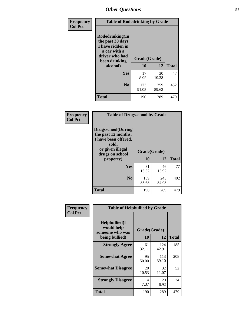| Frequency      | <b>Table of Rodedrinking by Grade</b>                                                                                  |                          |              |              |  |  |
|----------------|------------------------------------------------------------------------------------------------------------------------|--------------------------|--------------|--------------|--|--|
| <b>Col Pct</b> | Rodedrinking(In<br>the past 30 days<br>I have ridden in<br>a car with a<br>driver who had<br>been drinking<br>alcohol) | Grade(Grade)<br>10<br>12 |              | <b>Total</b> |  |  |
|                | <b>Yes</b>                                                                                                             | 17<br>8.95               | 30<br>10.38  | 47           |  |  |
|                | N <sub>0</sub>                                                                                                         | 173<br>91.05             | 259<br>89.62 | 432          |  |  |
|                | <b>Total</b>                                                                                                           | 190                      | 289          | 479          |  |  |

#### **Frequency Col Pct**

| <b>Table of Drugsschool by Grade</b>                                                                                      |              |              |              |  |  |  |  |
|---------------------------------------------------------------------------------------------------------------------------|--------------|--------------|--------------|--|--|--|--|
| <b>Drugsschool</b> (During<br>the past 12 months,<br>I have been offered,<br>sold,<br>or given illegal<br>drugs on school | Grade(Grade) |              |              |  |  |  |  |
| property)                                                                                                                 | 10           | 12           | <b>Total</b> |  |  |  |  |
| Yes                                                                                                                       | 31<br>16.32  | 46<br>15.92  | 77           |  |  |  |  |
| N <sub>0</sub>                                                                                                            | 159<br>83.68 | 243<br>84.08 | 402          |  |  |  |  |
| <b>Total</b>                                                                                                              | 190          | 289          | 479          |  |  |  |  |

| Frequency      | <b>Table of Helpbullied by Grade</b>                 |              |              |              |  |  |  |
|----------------|------------------------------------------------------|--------------|--------------|--------------|--|--|--|
| <b>Col Pct</b> | $Helpb$ ullied $(I$<br>would help<br>someone who was | Grade(Grade) |              |              |  |  |  |
|                | being bullied)                                       | 10           | 12           | <b>Total</b> |  |  |  |
|                | <b>Strongly Agree</b>                                | 61<br>32.11  | 124<br>42.91 | 185          |  |  |  |
|                | <b>Somewhat Agree</b>                                | 95<br>50.00  | 113<br>39.10 | 208          |  |  |  |
|                | <b>Somewhat Disagree</b>                             | 20<br>10.53  | 32<br>11.07  | 52           |  |  |  |
|                | <b>Strongly Disagree</b>                             | 14<br>7.37   | 20<br>6.92   | 34           |  |  |  |
|                | Total                                                | 190          | 289          | 479          |  |  |  |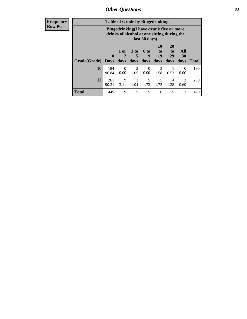| Frequency      | <b>Table of Grade by Bingedrinking</b> |                                                                                                         |                  |                         |                   |                        |                               |                        |              |
|----------------|----------------------------------------|---------------------------------------------------------------------------------------------------------|------------------|-------------------------|-------------------|------------------------|-------------------------------|------------------------|--------------|
| <b>Row Pct</b> |                                        | Bingedrinking(I have drunk five or more<br>drinks of alcohol at one sitting during the<br>last 30 days) |                  |                         |                   |                        |                               |                        |              |
|                | Grade(Grade)                           | $\mathbf 0$<br><b>Days</b>                                                                              | $1$ or<br>days   | 3 <sub>to</sub><br>days | 6 to<br>9<br>days | 10<br>to<br>19<br>days | <b>20</b><br>to<br>29<br>days | All<br>30<br>days      | <b>Total</b> |
|                | 10                                     | 184<br>96.84                                                                                            | $\Omega$<br>0.00 | $\mathfrak{D}$<br>1.05  | $\Omega$<br>0.00  | 3<br>1.58              | 0.53                          | $\Omega$<br>0.00       | 190          |
|                | 12                                     | 261<br>90.31                                                                                            | 9<br>3.11        | 3<br>1.04               | 5<br>1.73         | 5<br>1.73              | 4<br>1.38                     | $\mathfrak{D}$<br>0.69 | 289          |
|                | <b>Total</b>                           | 445                                                                                                     | 9                | 5                       | 5                 | 8                      | 5                             | $\overline{2}$         | 479          |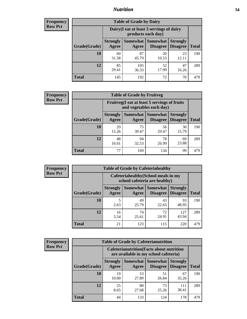### *Nutrition* **54**

| <b>Frequency</b><br>Row Pct |
|-----------------------------|
|                             |

| <b>Table of Grade by Dairy</b> |                          |                                                                 |                                    |                                    |              |  |  |
|--------------------------------|--------------------------|-----------------------------------------------------------------|------------------------------------|------------------------------------|--------------|--|--|
|                                |                          | Dairy (I eat at least 3 servings of dairy<br>products each day) |                                    |                                    |              |  |  |
| Grade(Grade)                   | <b>Strongly</b><br>Agree | <b>Somewhat</b><br>Agree                                        | <b>Somewhat</b><br><b>Disagree</b> | <b>Strongly</b><br><b>Disagree</b> | <b>Total</b> |  |  |
| 10                             | 60<br>31.58              | 87<br>45.79                                                     | 20<br>10.53                        | 23<br>12.11                        | 190          |  |  |
| 12                             | 85<br>29.41              | 105<br>36.33                                                    | 52<br>17.99                        | 47<br>16.26                        | 289          |  |  |
| <b>Total</b>                   | 145                      | 192                                                             | 72                                 | 70                                 | 479          |  |  |

| <b>Frequency</b> |  |
|------------------|--|
| <b>Row Pct</b>   |  |

| <b>Table of Grade by Fruitveg</b>                                        |                          |             |                                      |                                    |              |  |
|--------------------------------------------------------------------------|--------------------------|-------------|--------------------------------------|------------------------------------|--------------|--|
| Fruitveg(I eat at least 5 servings of fruits<br>and vegetables each day) |                          |             |                                      |                                    |              |  |
| Grade(Grade)                                                             | <b>Strongly</b><br>Agree | Agree       | Somewhat Somewhat<br><b>Disagree</b> | <b>Strongly</b><br><b>Disagree</b> | <b>Total</b> |  |
| 10                                                                       | 29<br>15.26              | 75<br>39.47 | 56<br>29.47                          | 30<br>15.79                        | 190          |  |
| 12                                                                       | 48<br>16.61              | 94<br>32.53 | 78<br>26.99                          | 69<br>23.88                        | 289          |  |
| <b>Total</b>                                                             | 77                       | 169         | 134                                  | 99                                 | 479          |  |

| <b>Frequency</b> | <b>Table of Grade by Cafeteriahealthy</b> |                          |                                                                       |                                          |                                    |              |  |  |
|------------------|-------------------------------------------|--------------------------|-----------------------------------------------------------------------|------------------------------------------|------------------------------------|--------------|--|--|
| <b>Row Pct</b>   |                                           |                          | Cafeteriahealthy (School meals in my<br>school cafeteria are healthy) |                                          |                                    |              |  |  |
|                  | Grade(Grade)                              | <b>Strongly</b><br>Agree | Agree                                                                 | Somewhat   Somewhat  <br><b>Disagree</b> | <b>Strongly</b><br><b>Disagree</b> | <b>Total</b> |  |  |
|                  | 10                                        | 2.63                     | 49<br>25.79                                                           | 43<br>22.63                              | 93<br>48.95                        | 190          |  |  |
|                  | 12                                        | 16<br>5.54               | 74<br>25.61                                                           | 72<br>24.91                              | 127<br>43.94                       | 289          |  |  |
|                  | Total                                     | 21                       | 123                                                                   | 115                                      | 220                                | 479          |  |  |

| <b>Frequency</b> |
|------------------|
| <b>Row Pct</b>   |

| <b>Table of Grade by Cafeterianutrition</b>                                               |                          |             |                                               |                                    |              |
|-------------------------------------------------------------------------------------------|--------------------------|-------------|-----------------------------------------------|------------------------------------|--------------|
| <b>Cafeterianutrition</b> (Facts about nutrition<br>are available in my school cafeteria) |                          |             |                                               |                                    |              |
| Grade(Grade)                                                                              | <b>Strongly</b><br>Agree | Agree       | <b>Somewhat   Somewhat</b><br><b>Disagree</b> | <b>Strongly</b><br><b>Disagree</b> | <b>Total</b> |
| 10                                                                                        | 19<br>10.00              | 53<br>27.89 | 51<br>26.84                                   | 67<br>35.26                        | 190          |
| 12                                                                                        | 25<br>8.65               | 80<br>27.68 | 73<br>25.26                                   | 111<br>38.41                       | 289          |
| <b>Total</b>                                                                              | 44                       | 133         | 124                                           | 178                                | 479          |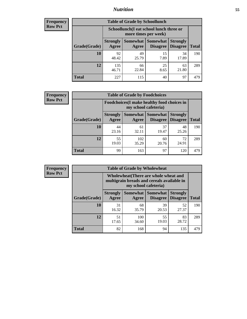### *Nutrition* **55**

| <b>Frequency</b> |
|------------------|
| <b>Row Pct</b>   |

| <b>Table of Grade by Schoollunch</b> |                          |                                                                 |                             |                                    |              |  |  |
|--------------------------------------|--------------------------|-----------------------------------------------------------------|-----------------------------|------------------------------------|--------------|--|--|
|                                      |                          | Schoollunch(I eat school lunch three or<br>more times per week) |                             |                                    |              |  |  |
| Grade(Grade)                         | <b>Strongly</b><br>Agree | Somewhat  <br>Agree                                             | <b>Somewhat</b><br>Disagree | <b>Strongly</b><br><b>Disagree</b> | <b>Total</b> |  |  |
| 10                                   | 92<br>48.42              | 49<br>25.79                                                     | 15<br>7.89                  | 34<br>17.89                        | 190          |  |  |
| 12                                   | 135<br>46.71             | 66<br>22.84                                                     | 25<br>8.65                  | 63<br>21.80                        | 289          |  |  |
| <b>Total</b>                         | 227                      | 115                                                             | 40                          | 97                                 | 479          |  |  |

| <b>Frequency</b> |  |
|------------------|--|
| <b>Row Pct</b>   |  |

| <b>Table of Grade by Foodchoices</b>                                       |                          |              |                                        |                                    |              |  |
|----------------------------------------------------------------------------|--------------------------|--------------|----------------------------------------|------------------------------------|--------------|--|
| <b>Foodchoices</b> (I make healthy food choices in<br>my school cafeteria) |                          |              |                                        |                                    |              |  |
| Grade(Grade)                                                               | <b>Strongly</b><br>Agree | Agree        | <b>Somewhat   Somewhat</b><br>Disagree | <b>Strongly</b><br><b>Disagree</b> | <b>Total</b> |  |
| 10                                                                         | 44<br>23.16              | 61<br>32.11  | 37<br>19.47                            | 48<br>25.26                        | 190          |  |
| 12                                                                         | 55<br>19.03              | 102<br>35.29 | 60<br>20.76                            | 72<br>24.91                        | 289          |  |
| <b>Total</b>                                                               | 99                       | 163          | 97                                     | 120                                | 479          |  |

| Frequency      | <b>Table of Grade by Wholewheat</b> |                          |                     |                                                                                                             |                                    |              |  |  |
|----------------|-------------------------------------|--------------------------|---------------------|-------------------------------------------------------------------------------------------------------------|------------------------------------|--------------|--|--|
| <b>Row Pct</b> |                                     |                          |                     | Wholewheat (There are whole wheat and<br>multigrain breads and cereals available in<br>my school cafeteria) |                                    |              |  |  |
|                | Grade(Grade)                        | <b>Strongly</b><br>Agree | Somewhat  <br>Agree | <b>Somewhat</b><br><b>Disagree</b>                                                                          | <b>Strongly</b><br><b>Disagree</b> | <b>Total</b> |  |  |
|                | 10                                  | 31<br>16.32              | 68<br>35.79         | 39<br>20.53                                                                                                 | 52<br>27.37                        | 190          |  |  |
|                | 12                                  | 51<br>17.65              | 100<br>34.60        | 55<br>19.03                                                                                                 | 83<br>28.72                        | 289          |  |  |
|                | <b>Total</b>                        | 82                       | 168                 | 94                                                                                                          | 135                                | 479          |  |  |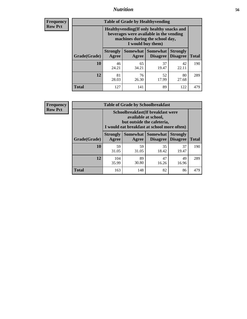### *Nutrition* **56**

**Frequency Row Pct**

| <b>Table of Grade by Healthyvending</b> |                                                                                                                                               |                          |                                    |                                    |              |  |
|-----------------------------------------|-----------------------------------------------------------------------------------------------------------------------------------------------|--------------------------|------------------------------------|------------------------------------|--------------|--|
|                                         | Healthyvending (If only healthy snacks and<br>beverages were available in the vending<br>machines during the school day,<br>I would buy them) |                          |                                    |                                    |              |  |
| Grade(Grade)                            | <b>Strongly</b><br>Agree                                                                                                                      | <b>Somewhat</b><br>Agree | <b>Somewhat</b><br><b>Disagree</b> | <b>Strongly</b><br><b>Disagree</b> | <b>Total</b> |  |
| 10                                      | 46<br>24.21                                                                                                                                   | 65<br>34.21              | 37<br>19.47                        | 42<br>22.11                        | 190          |  |
| 12                                      | 81<br>28.03                                                                                                                                   | 76<br>26.30              | 52<br>17.99                        | 80<br>27.68                        | 289          |  |
| <b>Total</b>                            | 127                                                                                                                                           | 141                      | 89                                 | 122                                | 479          |  |

**Frequency Row Pct**

| <b>Table of Grade by Schoolbreakfast</b> |                                                                                                                                        |                     |                                    |                                    |              |  |
|------------------------------------------|----------------------------------------------------------------------------------------------------------------------------------------|---------------------|------------------------------------|------------------------------------|--------------|--|
|                                          | Schoolbreakfast(If breakfast were<br>available at school,<br>but outside the cafeteria,<br>I would eat breakfast at school more often) |                     |                                    |                                    |              |  |
| Grade(Grade)                             | <b>Strongly</b><br>Agree                                                                                                               | Somewhat  <br>Agree | <b>Somewhat</b><br><b>Disagree</b> | <b>Strongly</b><br><b>Disagree</b> | <b>Total</b> |  |
| 10                                       | 59<br>31.05                                                                                                                            | 59<br>31.05         | 35<br>18.42                        | 37<br>19.47                        | 190          |  |
| 12                                       | 104<br>35.99                                                                                                                           | 89<br>30.80         | 47<br>16.26                        | 49<br>16.96                        | 289          |  |
| <b>Total</b>                             | 163                                                                                                                                    | 148                 | 82                                 | 86                                 | 479          |  |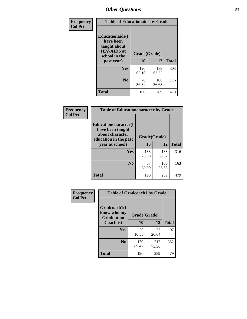| Frequency<br><b>Col Pct</b> | <b>Table of Educationaids by Grade</b>                                                                    |                    |              |              |
|-----------------------------|-----------------------------------------------------------------------------------------------------------|--------------------|--------------|--------------|
|                             | <b>Educationaids</b> (I<br>have been<br>taught about<br><b>HIV/AIDS</b> at<br>school in the<br>past year) | Grade(Grade)<br>10 | 12           | <b>Total</b> |
|                             | <b>Yes</b>                                                                                                | 120<br>63.16       | 183<br>63.32 | 303          |
|                             | N <sub>0</sub>                                                                                            | 70<br>36.84        | 106<br>36.68 | 176          |
|                             | <b>Total</b>                                                                                              | 190                | 289          | 479          |

| <b>Frequency</b> | <b>Table of Educationcharacter by Grade</b>                                          |              |              |              |
|------------------|--------------------------------------------------------------------------------------|--------------|--------------|--------------|
| <b>Col Pct</b>   | Educationcharacter(I<br>have been taught<br>about character<br>education in the past | Grade(Grade) |              |              |
|                  | year at school)                                                                      | 10           | 12           | <b>Total</b> |
|                  | <b>Yes</b>                                                                           | 133<br>70.00 | 183<br>63.32 | 316          |
|                  | N <sub>0</sub>                                                                       | 57<br>30.00  | 106<br>36.68 | 163          |
|                  | <b>Total</b>                                                                         | 190          | 289          | 479          |

| <b>Frequency</b><br><b>Col Pct</b> | <b>Table of Gradcoach1 by Grade</b>              |              |              |              |
|------------------------------------|--------------------------------------------------|--------------|--------------|--------------|
|                                    | Gradcoach1(I<br>know who my<br><b>Graduation</b> | Grade(Grade) |              |              |
|                                    | Coach is)                                        | 10           | 12           | <b>Total</b> |
|                                    | Yes                                              | 20<br>10.53  | 77<br>26.64  | 97           |
|                                    | N <sub>0</sub>                                   | 170<br>89.47 | 212<br>73.36 | 382          |
|                                    | <b>Total</b>                                     | 190          | 289          | 479          |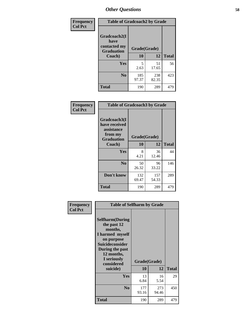| Frequency      | <b>Table of Gradcoach2 by Grade</b> |              |              |              |
|----------------|-------------------------------------|--------------|--------------|--------------|
| <b>Col Pct</b> | Gradcoach2(I<br>have                |              |              |              |
|                | contacted my<br><b>Graduation</b>   | Grade(Grade) |              |              |
|                | Coach)                              | 10           | 12           | <b>Total</b> |
|                | Yes                                 | 5<br>2.63    | 51<br>17.65  | 56           |
|                | N <sub>0</sub>                      | 185<br>97.37 | 238<br>82.35 | 423          |
|                | <b>Total</b>                        | 190          | 289          | 479          |

| Frequency<br><b>Col Pct</b> | <b>Table of Gradcoach3 by Grade</b>                                         |              |              |              |
|-----------------------------|-----------------------------------------------------------------------------|--------------|--------------|--------------|
|                             | Gradcoach3(I<br>have received<br>assistance<br>from my<br><b>Graduation</b> | Grade(Grade) |              |              |
|                             | Coach)                                                                      | 10           | 12           | <b>Total</b> |
|                             | Yes                                                                         | 8<br>4.21    | 36<br>12.46  | 44           |
|                             | N <sub>0</sub>                                                              | 50<br>26.32  | 96<br>33.22  | 146          |
|                             | Don't know                                                                  | 132<br>69.47 | 157<br>54.33 | 289          |
|                             | <b>Total</b>                                                                | 190          | 289          | 479          |

| Frequency<br><b>Col Pct</b> | <b>Table of Selfharm by Grade</b>                                                                                                                                                      |                    |              |              |
|-----------------------------|----------------------------------------------------------------------------------------------------------------------------------------------------------------------------------------|--------------------|--------------|--------------|
|                             | <b>Selfharm</b> (During<br>the past 12<br>months,<br>I harmed myself<br>on purpose<br><b>Suicideconsider</b><br>During the past<br>12 months,<br>I seriously<br>considered<br>suicide) | Grade(Grade)<br>10 | 12           | <b>Total</b> |
|                             |                                                                                                                                                                                        |                    |              |              |
|                             | Yes                                                                                                                                                                                    | 13<br>6.84         | 16<br>5.54   | 29           |
|                             | N <sub>0</sub>                                                                                                                                                                         | 177<br>93.16       | 273<br>94.46 | 450          |
|                             | <b>Total</b>                                                                                                                                                                           | 190                | 289          | 479          |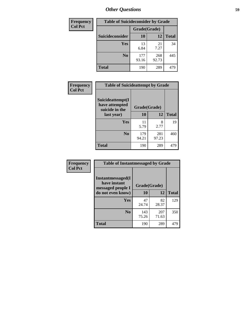| <b>Frequency</b> | <b>Table of Suicideconsider by Grade</b> |              |              |              |
|------------------|------------------------------------------|--------------|--------------|--------------|
| <b>Col Pct</b>   |                                          | Grade(Grade) |              |              |
|                  | <b>Suicideconsider</b>                   | 10           | 12           | <b>Total</b> |
|                  | <b>Yes</b>                               | 13<br>6.84   | 21<br>7.27   | 34           |
|                  | N <sub>0</sub>                           | 177<br>93.16 | 268<br>92.73 | 445          |
|                  | <b>Total</b>                             | 190          | 289          | 479          |

| Frequency      | <b>Table of Suicideattempt by Grade</b>              |              |              |              |
|----------------|------------------------------------------------------|--------------|--------------|--------------|
| <b>Col Pct</b> | Suicideattempt(I<br>have attempted<br>suicide in the | Grade(Grade) |              |              |
|                | last year)                                           | 10           | 12           | <b>Total</b> |
|                | Yes                                                  | 11<br>5.79   | 8<br>2.77    | 19           |
|                | $\bf No$                                             | 179<br>94.21 | 281<br>97.23 | 460          |
|                | <b>Total</b>                                         | 190          | 289          | 479          |

| Frequency      | <b>Table of Instantmessaged by Grade</b>               |              |              |              |
|----------------|--------------------------------------------------------|--------------|--------------|--------------|
| <b>Col Pct</b> | Instantmessaged(I<br>have instant<br>messaged people I | Grade(Grade) |              |              |
|                | do not even know)                                      | 10           | 12           | <b>Total</b> |
|                | Yes                                                    | 47<br>24.74  | 82<br>28.37  | 129          |
|                | N <sub>0</sub>                                         | 143<br>75.26 | 207<br>71.63 | 350          |
|                | <b>Total</b>                                           | 190          | 289          | 479          |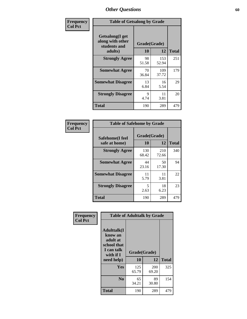| Frequency      | <b>Table of Getsalong by Grade</b>                          |              |              |              |
|----------------|-------------------------------------------------------------|--------------|--------------|--------------|
| <b>Col Pct</b> | <b>Getsalong</b> (I get<br>along with other<br>students and | Grade(Grade) |              |              |
|                | adults)                                                     | 10           | 12           | <b>Total</b> |
|                | <b>Strongly Agree</b>                                       | 98<br>51.58  | 153<br>52.94 | 251          |
|                | <b>Somewhat Agree</b>                                       | 70<br>36.84  | 109<br>37.72 | 179          |
|                | <b>Somewhat Disagree</b>                                    | 13<br>6.84   | 16<br>5.54   | 29           |
|                | <b>Strongly Disagree</b>                                    | 9<br>4.74    | 11<br>3.81   | 20           |
|                | <b>Total</b>                                                | 190          | 289          | 479          |

| Frequency      | <b>Table of Safehome by Grade</b> |                    |              |              |
|----------------|-----------------------------------|--------------------|--------------|--------------|
| <b>Col Pct</b> | Safehome(I feel<br>safe at home)  | Grade(Grade)<br>10 | 12           | <b>Total</b> |
|                | <b>Strongly Agree</b>             | 130<br>68.42       | 210<br>72.66 | 340          |
|                | <b>Somewhat Agree</b>             | 44<br>23.16        | 50<br>17.30  | 94           |
|                | <b>Somewhat Disagree</b>          | 11<br>5.79         | 11<br>3.81   | 22           |
|                | <b>Strongly Disagree</b>          | 5<br>2.63          | 18<br>6.23   | 23           |
|                | <b>Total</b>                      | 190                | 289          | 479          |

| Frequency      |                                                                                     | <b>Table of Adulttalk by Grade</b> |              |              |
|----------------|-------------------------------------------------------------------------------------|------------------------------------|--------------|--------------|
| <b>Col Pct</b> | <b>Adulttalk(I</b><br>know an<br>adult at<br>school that<br>I can talk<br>with if I | Grade(Grade)<br>10                 | 12           | <b>Total</b> |
|                | need help)                                                                          |                                    |              |              |
|                | <b>Yes</b>                                                                          | 125<br>65.79                       | 200<br>69.20 | 325          |
|                | N <sub>0</sub>                                                                      | 65<br>34.21                        | 89<br>30.80  | 154          |
|                | <b>Total</b>                                                                        | 190                                | 289          | 479          |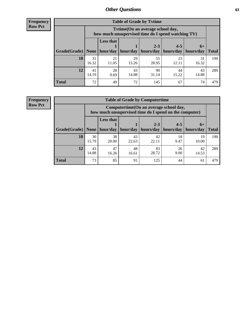**Frequency Row Pct**

| <b>Table of Grade by Tytime</b> |             |                                                                                         |             |                       |             |             |              |  |  |
|---------------------------------|-------------|-----------------------------------------------------------------------------------------|-------------|-----------------------|-------------|-------------|--------------|--|--|
|                                 |             | Tytime (On an average school day,<br>how much unsupervised time do I spend watching TV) |             |                       |             |             |              |  |  |
|                                 |             | <b>Less that</b>                                                                        |             | $2 - 3$               | $4 - 5$     | $6+$        |              |  |  |
| Grade(Grade)                    | None        | hour/day                                                                                | hour/day    | hours/day   hours/day |             | hours/day   | <b>Total</b> |  |  |
| 10                              | 31<br>16.32 | 21<br>11.05                                                                             | 29<br>15.26 | 55<br>28.95           | 23<br>12.11 | 31<br>16.32 | 190          |  |  |
| 12                              | 41<br>14.19 | 28<br>9.69                                                                              | 43<br>14.88 | 90<br>31.14           | 44<br>15.22 | 43<br>14.88 | 289          |  |  |
| <b>Total</b>                    | 72          | 49                                                                                      | 72          | 145                   | 67          | 74          | 479          |  |  |

**Frequency Row Pct**

| <b>Table of Grade by Computertime</b> |             |                                                                                                   |             |                      |                      |                   |              |  |  |
|---------------------------------------|-------------|---------------------------------------------------------------------------------------------------|-------------|----------------------|----------------------|-------------------|--------------|--|--|
|                                       |             | Computertime (On an average school day,<br>how much unsupervised time do I spend on the computer) |             |                      |                      |                   |              |  |  |
| Grade(Grade)                          | None        | <b>Less that</b><br>hour/day                                                                      | hour/day    | $2 - 3$<br>hours/day | $4 - 5$<br>hours/day | $6+$<br>hours/day | <b>Total</b> |  |  |
| 10                                    | 30<br>15.79 | 38<br>20.00                                                                                       | 43<br>22.63 | 42<br>22.11          | 18<br>9.47           | 19<br>10.00       | 190          |  |  |
| 12                                    | 43<br>14.88 | 47<br>48<br>83<br>26<br>42<br>28.72<br>9.00<br>16.26<br>14.53<br>16.61                            |             |                      |                      |                   |              |  |  |
| <b>Total</b>                          | 73          | 85                                                                                                | 91          | 125                  | 44                   | 61                | 479          |  |  |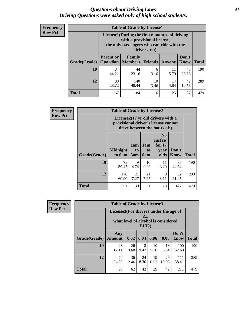#### *Questions about Driving Laws* **62** *Driving Questions were asked only of high school students.*

| <b>Frequency</b> |
|------------------|
| <b>Row Pct</b>   |

| <b>Table of Grade by License1</b> |                                                                        |                                                                                                                                           |                |               |                      |              |  |  |  |
|-----------------------------------|------------------------------------------------------------------------|-------------------------------------------------------------------------------------------------------------------------------------------|----------------|---------------|----------------------|--------------|--|--|--|
|                                   |                                                                        | License1(During the first 6 months of driving<br>with a provisional license,<br>the only passengers who can ride with the<br>driver are:) |                |               |                      |              |  |  |  |
| Grade(Grade)                      | <b>Parent or</b><br><b>Guardian</b>                                    | Family<br><b>Members</b>                                                                                                                  | <b>Friends</b> | <b>Anyone</b> | Don't<br><b>Know</b> | <b>Total</b> |  |  |  |
| 10                                | 84<br>44.21                                                            | 44<br>23.16                                                                                                                               | 6<br>3.16      | 11<br>5.79    | 45<br>23.68          | 190          |  |  |  |
| 12                                | 83<br>140<br>42<br>10<br>14<br>28.72<br>48.44<br>4.84<br>14.53<br>3.46 |                                                                                                                                           |                |               |                      |              |  |  |  |
| <b>Total</b>                      | 167                                                                    | 184                                                                                                                                       | 16             | 25            | 87                   | 479          |  |  |  |

| <b>Frequency</b> |              | <b>Table of Grade by License2</b>                                                                        |                              |                              |                                                      |                      |              |  |  |
|------------------|--------------|----------------------------------------------------------------------------------------------------------|------------------------------|------------------------------|------------------------------------------------------|----------------------|--------------|--|--|
| <b>Row Pct</b>   |              | License2(17 yr old drivers with a<br>provisional driver's license cannot<br>drive between the hours of:) |                              |                              |                                                      |                      |              |  |  |
|                  | Grade(Grade) | <b>Midnight</b><br>to 6am                                                                                | 1am<br>t <sub>0</sub><br>5am | 1am<br>t <sub>0</sub><br>6am | N <sub>0</sub><br>curfew<br>for $17$<br>year<br>olds | Don't<br><b>Know</b> | <b>Total</b> |  |  |
|                  | 10           | 75<br>39.47                                                                                              | 9<br>4.74                    | 10<br>5.26                   | 11<br>5.79                                           | 85<br>44.74          | 190          |  |  |
|                  | 12           | 176<br>60.90                                                                                             | 21<br>7.27                   | 21<br>7.27                   | 9<br>3.11                                            | 62<br>21.45          | 289          |  |  |
|                  | <b>Total</b> | 251                                                                                                      | 30                           | 31                           | 20                                                   | 147                  | 479          |  |  |

| Frequency      |              | <b>Table of Grade by License3</b>     |             |                 |            |                                     |               |              |  |
|----------------|--------------|---------------------------------------|-------------|-----------------|------------|-------------------------------------|---------------|--------------|--|
| <b>Row Pct</b> |              | License3(For drivers under the age of |             | 21,<br>$DUI$ ?) |            | what level of alcohol is considered |               |              |  |
|                | Grade(Grade) | Any<br><b>Amount</b>                  | 0.02        | 0.04            | 0.06       | 0.08                                | Don't<br>know | <b>Total</b> |  |
|                | 10           | 23<br>12.11                           | 26<br>13.68 | 18<br>9.47      | 10<br>5.26 | 13<br>6.84                          | 100<br>52.63  | 190          |  |
|                | 12           | 70<br>24.22                           | 36<br>12.46 | 24<br>8.30      | 19<br>6.57 | 29<br>10.03                         | 111<br>38.41  | 289          |  |
|                | <b>Total</b> | 93                                    | 62          | 42              | 29         | 42                                  | 211           | 479          |  |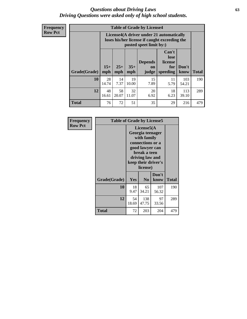#### *Questions about Driving Laws* **63** *Driving Questions were asked only of high school students.*

**Frequency Row Pct**

| <b>Table of Grade by License4</b> |              |                                                                                                                                               |             |            |            |              |     |  |
|-----------------------------------|--------------|-----------------------------------------------------------------------------------------------------------------------------------------------|-------------|------------|------------|--------------|-----|--|
|                                   |              | License4(A driver under 21 automatically<br>loses his/her license if caught exceeding the<br>posted speet limit by:)                          |             |            |            |              |     |  |
| Grade(Grade)                      | $15+$<br>mph | Can't<br>lose<br><b>Depends</b><br>license<br>$25+$<br>$35+$<br>Don't<br>for<br>on<br>speeding<br><b>Total</b><br>mph<br>know<br>mph<br>judge |             |            |            |              |     |  |
| 10                                | 28<br>14.74  | 14<br>7.37                                                                                                                                    | 19<br>10.00 | 15<br>7.89 | 11<br>5.79 | 103<br>54.21 | 190 |  |
| 12                                | 48<br>16.61  | 58<br>20.07                                                                                                                                   | 32<br>11.07 | 20<br>6.92 | 18<br>6.23 | 113<br>39.10 | 289 |  |
| <b>Total</b>                      | 76           | 72                                                                                                                                            | 51          | 35         | 29         | 216          | 479 |  |

| Frequency      | <b>Table of Grade by License5</b> |             |                                                                                                                                      |                     |              |  |  |  |  |
|----------------|-----------------------------------|-------------|--------------------------------------------------------------------------------------------------------------------------------------|---------------------|--------------|--|--|--|--|
| <b>Row Pct</b> |                                   |             | License5(A)<br>Georgia teenager<br>with family<br>connections or a<br>good lawyer can<br>break a teen<br>driving law and<br>license) | keep their driver's |              |  |  |  |  |
|                | Grade(Grade)                      | <b>Yes</b>  | N <sub>0</sub>                                                                                                                       | Don't<br>know       | <b>Total</b> |  |  |  |  |
|                | 10                                | 18<br>9.47  | 65<br>34.21                                                                                                                          | 107<br>56.32        | 190          |  |  |  |  |
|                | 12                                | 54<br>18.69 | 138<br>47.75                                                                                                                         | 97<br>33.56         | 289          |  |  |  |  |
|                | Total                             | 72          | 203                                                                                                                                  | 204                 | 479          |  |  |  |  |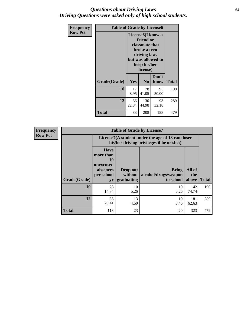#### *Questions about Driving Laws* **64** *Driving Questions were asked only of high school students.*

| <b>Frequency</b> | <b>Table of Grade by License6</b> |             |                                                                                                                           |                    |              |  |
|------------------|-----------------------------------|-------------|---------------------------------------------------------------------------------------------------------------------------|--------------------|--------------|--|
| <b>Row Pct</b>   |                                   |             | License <sub>6</sub> (I know a<br>friend or<br>classmate that<br>broke a teen<br>driving law,<br>keep his/her<br>license) | but was allowed to |              |  |
|                  | Grade(Grade)                      | Yes         | N <sub>0</sub>                                                                                                            | Don't<br>know      | <b>Total</b> |  |
|                  | 10                                | 17<br>8.95  | 78<br>41.05                                                                                                               | 95<br>50.00        | 190          |  |
|                  | 12                                | 66<br>22.84 | 130<br>44.98                                                                                                              | 93<br>32.18        | 289          |  |
|                  | Total                             | 83          | 208                                                                                                                       | 188                | 479          |  |

| <b>Frequency</b> | <b>Table of Grade by License7</b> |                                                                             |                                     |                                                                                               |                        |              |  |  |
|------------------|-----------------------------------|-----------------------------------------------------------------------------|-------------------------------------|-----------------------------------------------------------------------------------------------|------------------------|--------------|--|--|
| <b>Row Pct</b>   |                                   |                                                                             |                                     | License7(A student under the age of 18 cam loser<br>his/her driving privileges if he or she:) |                        |              |  |  |
|                  | Grade(Grade)                      | <b>Have</b><br>more than<br>10<br>unexcused<br>absences<br>per school<br>yr | Drop out<br>without  <br>graduating | <b>Bring</b><br>alcohol/drugs/weapon<br>to school                                             | All of<br>the<br>above | <b>Total</b> |  |  |
|                  | 10                                | 28<br>14.74                                                                 | 10<br>5.26                          | 10<br>5.26                                                                                    | 142<br>74.74           | 190          |  |  |
|                  | 12                                | 85<br>29.41                                                                 | 13<br>4.50                          | 10<br>3.46                                                                                    | 181<br>62.63           | 289          |  |  |
|                  | <b>Total</b>                      | 113                                                                         | 23                                  | 20                                                                                            | 323                    | 479          |  |  |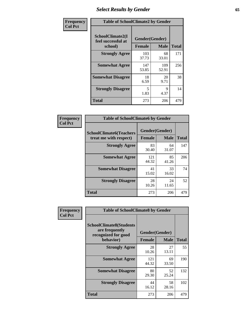# *Select Results by Gender* **65**

| Frequency      | <b>Table of SchoolClimate2 by Gender</b>          |                                 |              |              |  |
|----------------|---------------------------------------------------|---------------------------------|--------------|--------------|--|
| <b>Col Pct</b> | SchoolClimate2(I<br>feel successful at<br>school) | Gender(Gender)<br><b>Female</b> | <b>Male</b>  | <b>Total</b> |  |
|                | <b>Strongly Agree</b>                             | 103<br>37.73                    | 68<br>33.01  | 171          |  |
|                | <b>Somewhat Agree</b>                             | 147<br>53.85                    | 109<br>52.91 | 256          |  |
|                | <b>Somewhat Disagree</b>                          | 18<br>6.59                      | 20<br>9.71   | 38           |  |
|                | <b>Strongly Disagree</b>                          | 5<br>1.83                       | 9<br>4.37    | 14           |  |
|                | <b>Total</b>                                      | 273                             | 206          | 479          |  |

| Frequency      | <b>Table of SchoolClimate6 by Gender</b>                 |                          |             |              |  |
|----------------|----------------------------------------------------------|--------------------------|-------------|--------------|--|
| <b>Col Pct</b> | <b>SchoolClimate6(Teachers</b><br>treat me with respect) | Gender(Gender)<br>Female | <b>Male</b> | <b>Total</b> |  |
|                | <b>Strongly Agree</b>                                    | 83<br>30.40              | 64<br>31.07 | 147          |  |
|                | <b>Somewhat Agree</b>                                    | 121<br>44.32             | 85<br>41.26 | 206          |  |
|                | <b>Somewhat Disagree</b>                                 | 41<br>15.02              | 33<br>16.02 | 74           |  |
|                | <b>Strongly Disagree</b>                                 | 28<br>10.26              | 24<br>11.65 | 52           |  |
|                | Total                                                    | 273                      | 206         | 479          |  |

| Frequency      | <b>Table of SchoolClimate8 by Gender</b>                                             |                                 |             |              |  |
|----------------|--------------------------------------------------------------------------------------|---------------------------------|-------------|--------------|--|
| <b>Col Pct</b> | <b>SchoolClimate8(Students</b><br>are frequently<br>recognized for good<br>behavior) | Gender(Gender)<br><b>Female</b> | <b>Male</b> | <b>Total</b> |  |
|                | <b>Strongly Agree</b>                                                                | 28<br>10.26                     | 27<br>13.11 | 55           |  |
|                | <b>Somewhat Agree</b>                                                                | 121<br>44.32                    | 69<br>33.50 | 190          |  |
|                | <b>Somewhat Disagree</b>                                                             | 80<br>29.30                     | 52<br>25.24 | 132          |  |
|                | <b>Strongly Disagree</b>                                                             | 44<br>16.12                     | 58<br>28.16 | 102          |  |
|                | Total                                                                                | 273                             | 206         | 479          |  |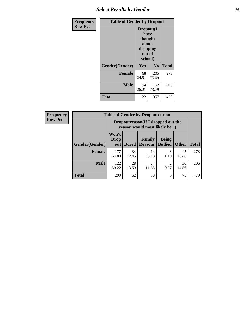# *Select Results by Gender* **66**

| Frequency      | <b>Table of Gender by Dropout</b> |                                                                        |                |              |
|----------------|-----------------------------------|------------------------------------------------------------------------|----------------|--------------|
| <b>Row Pct</b> |                                   | Dropout(I<br>have<br>thought<br>about<br>dropping<br>out of<br>school) |                |              |
|                | Gender(Gender)                    | Yes                                                                    | N <sub>0</sub> | <b>Total</b> |
|                | <b>Female</b>                     | 68<br>24.91                                                            | 205<br>75.09   | 273          |
|                | <b>Male</b>                       | 54<br>26.21                                                            | 152<br>73.79   | 206          |
|                | <b>Total</b>                      | 122                                                                    | 357            | 479          |

| <b>Frequency</b> |                        | <b>Table of Gender by Dropoutreason</b> |              |                                                                    |                                |              |              |  |
|------------------|------------------------|-----------------------------------------|--------------|--------------------------------------------------------------------|--------------------------------|--------------|--------------|--|
| <b>Row Pct</b>   |                        |                                         |              | Dropoutreason(If I dropped out the<br>reason would most likely be) |                                |              |              |  |
|                  | <b>Gender</b> (Gender) | Won't<br><b>Drop</b><br>out             | <b>Bored</b> | Family<br><b>Reasons</b>                                           | <b>Being</b><br><b>Bullied</b> | <b>Other</b> | <b>Total</b> |  |
|                  | Female                 | 177<br>64.84                            | 34<br>12.45  | 14<br>5.13                                                         | 3<br>1.10                      | 45<br>16.48  | 273          |  |
|                  | <b>Male</b>            | 122<br>59.22                            | 28<br>13.59  | 24<br>11.65                                                        | 2<br>0.97                      | 30<br>14.56  | 206          |  |
|                  | <b>Total</b>           | 299                                     | 62           | 38                                                                 | 5                              | 75           | 479          |  |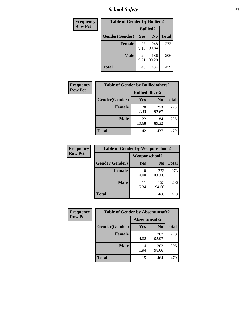*School Safety* **67**

| Frequency      | <b>Table of Gender by Bullied2</b> |                 |                |              |
|----------------|------------------------------------|-----------------|----------------|--------------|
| <b>Row Pct</b> |                                    | <b>Bullied2</b> |                |              |
|                | Gender(Gender)                     | Yes             | N <sub>0</sub> | <b>Total</b> |
|                | <b>Female</b>                      | 25<br>9.16      | 248<br>90.84   | 273          |
|                | <b>Male</b>                        | 20<br>9.71      | 186<br>90.29   | 206          |
|                | <b>Total</b>                       | 45              | 434            | 479          |

| Frequency      | <b>Table of Gender by Bulliedothers2</b> |                       |                |              |
|----------------|------------------------------------------|-----------------------|----------------|--------------|
| <b>Row Pct</b> |                                          | <b>Bulliedothers2</b> |                |              |
|                | Gender(Gender)                           | <b>Yes</b>            | N <sub>0</sub> | <b>Total</b> |
|                | <b>Female</b>                            | 20<br>7.33            | 253<br>92.67   | 273          |
|                | <b>Male</b>                              | 22<br>10.68           | 184<br>89.32   | 206          |
|                | <b>Total</b>                             | 42                    | 437            | 479          |

| Frequency      | <b>Table of Gender by Weaponschool2</b> |               |                |              |
|----------------|-----------------------------------------|---------------|----------------|--------------|
| <b>Row Pct</b> |                                         | Weaponschool2 |                |              |
|                | Gender(Gender)                          | Yes           | N <sub>0</sub> | <b>Total</b> |
|                | Female                                  | 0.00          | 273<br>100.00  | 273          |
|                | <b>Male</b>                             | 11<br>5.34    | 195<br>94.66   | 206          |
|                | <b>Total</b>                            | 11            | 468            | 479          |

| Frequency      | <b>Table of Gender by Absentunsafe2</b> |               |                |              |
|----------------|-----------------------------------------|---------------|----------------|--------------|
| <b>Row Pct</b> |                                         | Absentunsafe2 |                |              |
|                | Gender(Gender)                          | Yes           | N <sub>0</sub> | <b>Total</b> |
|                | <b>Female</b>                           | 11<br>4.03    | 262<br>95.97   | 273          |
|                | <b>Male</b>                             | 4<br>1.94     | 202<br>98.06   | 206          |
|                | <b>Total</b>                            | 15            | 464            | 479          |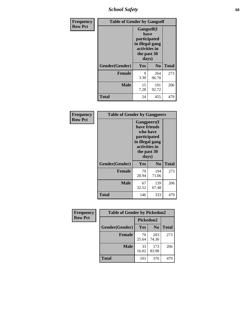*School Safety* **68**

| Frequency      | <b>Table of Gender by Gangself</b> |                                                                                                        |              |              |
|----------------|------------------------------------|--------------------------------------------------------------------------------------------------------|--------------|--------------|
| <b>Row Pct</b> |                                    | <b>Gangself</b> (I<br>have<br>participated<br>in illegal gang<br>activities in<br>the past 30<br>days) |              |              |
|                | Gender(Gender)                     | Yes                                                                                                    | $\bf No$     | <b>Total</b> |
|                | <b>Female</b>                      | 9<br>3.30                                                                                              | 264<br>96.70 | 273          |
|                | <b>Male</b>                        | 15<br>7.28                                                                                             | 191<br>92.72 | 206          |
|                | <b>Total</b>                       | 24                                                                                                     | 455          | 479          |

| Frequency      | <b>Table of Gender by Gangpeers</b> |                                                                                                                             |                |              |
|----------------|-------------------------------------|-----------------------------------------------------------------------------------------------------------------------------|----------------|--------------|
| <b>Row Pct</b> |                                     | <b>Gangpeers</b> (I<br>have friends<br>who have<br>participated<br>in illegal gang<br>activities in<br>the past 30<br>days) |                |              |
|                | Gender(Gender)                      | Yes                                                                                                                         | N <sub>0</sub> | <b>Total</b> |
|                | <b>Female</b>                       | 79<br>28.94                                                                                                                 | 194<br>71.06   | 273          |
|                | <b>Male</b>                         | 67<br>32.52                                                                                                                 | 139<br>67.48   | 206          |
|                | <b>Total</b>                        | 146                                                                                                                         | 333            | 479          |

| Frequency      | <b>Table of Gender by Pickedon2</b> |             |                |              |
|----------------|-------------------------------------|-------------|----------------|--------------|
| <b>Row Pct</b> |                                     | Pickedon2   |                |              |
|                | Gender(Gender)                      | Yes         | N <sub>0</sub> | <b>Total</b> |
|                | <b>Female</b>                       | 70<br>25.64 | 203<br>74.36   | 273          |
|                | <b>Male</b>                         | 33<br>16.02 | 173<br>83.98   | 206          |
|                | <b>Total</b>                        | 103         | 376            | 479          |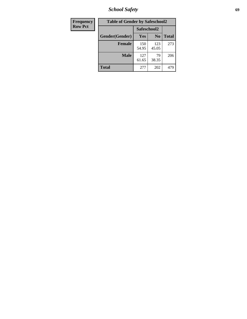*School Safety* **69**

| Frequency      | <b>Table of Gender by Safeschool2</b> |              |                |              |  |
|----------------|---------------------------------------|--------------|----------------|--------------|--|
| <b>Row Pct</b> |                                       | Safeschool2  |                |              |  |
|                | Gender(Gender)                        | <b>Yes</b>   | N <sub>0</sub> | <b>Total</b> |  |
|                | <b>Female</b>                         | 150<br>54.95 | 123<br>45.05   | 273          |  |
|                | Male                                  | 127<br>61.65 | 79<br>38.35    | 206          |  |
|                | <b>Total</b>                          | 277          | 202            | 479          |  |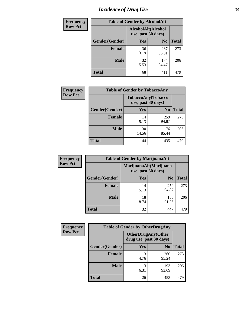# *Incidence of Drug Use* **70**

| <b>Frequency</b> | <b>Table of Gender by AlcoholAlt</b> |             |                                          |              |
|------------------|--------------------------------------|-------------|------------------------------------------|--------------|
| <b>Row Pct</b>   |                                      |             | AlcoholAlt(Alcohol<br>use, past 30 days) |              |
|                  | Gender(Gender)                       | <b>Yes</b>  | N <sub>0</sub>                           | <b>Total</b> |
|                  | <b>Female</b>                        | 36<br>13.19 | 237<br>86.81                             | 273          |
|                  | <b>Male</b>                          | 32<br>15.53 | 174<br>84.47                             | 206          |
|                  | <b>Total</b>                         | 68          | 411                                      | 479          |

| Frequency      | <b>Table of Gender by TobaccoAny</b> |                    |                    |              |  |
|----------------|--------------------------------------|--------------------|--------------------|--------------|--|
| <b>Row Pct</b> |                                      | use, past 30 days) | TobaccoAny(Tobacco |              |  |
|                | Gender(Gender)                       | Yes                | N <sub>0</sub>     | <b>Total</b> |  |
|                | <b>Female</b>                        | 14<br>5.13         | 259<br>94.87       | 273          |  |
|                | <b>Male</b>                          | 30<br>14.56        | 176<br>85.44       | 206          |  |
|                | Total                                | 44                 | 435                | 479          |  |

| <b>Frequency</b> | <b>Table of Gender by MarijuanaAlt</b> |                                              |                |              |
|------------------|----------------------------------------|----------------------------------------------|----------------|--------------|
| <b>Row Pct</b>   |                                        | MarijuanaAlt(Marijuana<br>use, past 30 days) |                |              |
|                  | Gender(Gender)                         | Yes                                          | N <sub>0</sub> | <b>Total</b> |
|                  | <b>Female</b>                          | 14<br>5.13                                   | 259<br>94.87   | 273          |
|                  | <b>Male</b>                            | 18<br>8.74                                   | 188<br>91.26   | 206          |
|                  | <b>Total</b>                           | 32                                           | 447            | 479          |

| <b>Frequency</b> | <b>Table of Gender by OtherDrugAny</b> |                                                      |                |              |  |
|------------------|----------------------------------------|------------------------------------------------------|----------------|--------------|--|
| <b>Row Pct</b>   |                                        | <b>OtherDrugAny(Other</b><br>drug use, past 30 days) |                |              |  |
|                  | Gender(Gender)                         | <b>Yes</b>                                           | N <sub>0</sub> | <b>Total</b> |  |
|                  | <b>Female</b>                          | 13<br>4.76                                           | 260<br>95.24   | 273          |  |
|                  | <b>Male</b>                            | 13<br>6.31                                           | 193<br>93.69   | 206          |  |
|                  | <b>Total</b>                           | 26                                                   | 453            | 479          |  |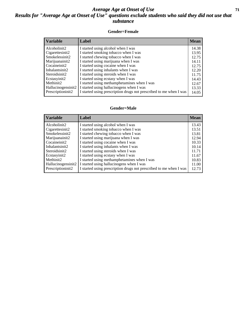#### *Average Age at Onset of Use* **71** *Results for "Average Age at Onset of Use" questions exclude students who said they did not use that substance*

#### **Gender=Female**

| <b>Variable</b>    | <b>Label</b>                                                       | <b>Mean</b> |
|--------------------|--------------------------------------------------------------------|-------------|
| Alcoholinit2       | I started using alcohol when I was                                 | 14.38       |
| Cigarettesinit2    | I started smoking tobacco when I was                               | 13.95       |
| Smokelessinit2     | I started chewing tobacco when I was                               | 12.75       |
| Marijuanainit2     | I started using marijuana when I was                               | 14.11       |
| Cocaineinit2       | I started using cocaine when I was                                 | 12.75       |
| Inhalantsinit2     | I started using inhalants when I was                               | 12.20       |
| Steroidsinit2      | I started using steroids when I was                                | 11.75       |
| Ecstasyinit2       | I started using ecstasy when I was                                 | 14.43       |
| Methinit2          | I started using methamphetamines when I was                        | 12.67       |
| Hallucinogensinit2 | I started using hallucinogens when I was                           | 13.33       |
| Prescription in t2 | I started using prescription drugs not prescribed to me when I was | 14.05       |

#### **Gender=Male**

| <b>Variable</b>                 | Label                                                              | <b>Mean</b> |
|---------------------------------|--------------------------------------------------------------------|-------------|
| Alcoholinit2                    | I started using alcohol when I was                                 | 13.43       |
| Cigarettesinit2                 | I started smoking tobacco when I was                               | 13.51       |
| Smokelessinit2                  | I started chewing tobacco when I was                               | 13.81       |
| Marijuanainit2                  | I started using marijuana when I was                               | 12.94       |
| Cocaineinit2                    | I started using cocaine when I was                                 | 10.33       |
| Inhalantsinit2                  | I started using inhalants when I was                               | 10.14       |
| Steroidsinit2                   | I started using steroids when I was                                | 11.71       |
| Ecstasyinit2                    | I started using ecstasy when I was                                 | 11.67       |
| Methinit2                       | I started using methamphetamines when I was                        | 10.83       |
| Hallucinogensinit2              | I started using hallucinogens when I was                           | 11.00       |
| Prescription in it <sub>2</sub> | I started using prescription drugs not prescribed to me when I was | 12.73       |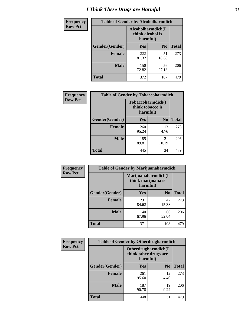# *I Think These Drugs are Harmful* **72**

| <b>Frequency</b> | <b>Table of Gender by Alcoholharmdich</b> |                  |                               |              |  |
|------------------|-------------------------------------------|------------------|-------------------------------|--------------|--|
| <b>Row Pct</b>   |                                           | think alcohol is | Alcoholharmdich(I<br>harmful) |              |  |
|                  | Gender(Gender)                            | Yes              | N <sub>0</sub>                | <b>Total</b> |  |
|                  | <b>Female</b>                             | 222<br>81.32     | 51<br>18.68                   | 273          |  |
|                  | <b>Male</b>                               | 150<br>72.82     | 56<br>27.18                   | 206          |  |
|                  | <b>Total</b>                              | 372              | 107                           | 479          |  |

| Frequency      | <b>Table of Gender by Tobaccoharmdich</b> |                              |                   |              |  |
|----------------|-------------------------------------------|------------------------------|-------------------|--------------|--|
| <b>Row Pct</b> |                                           | think tobacco is<br>harmful) | Tobaccoharmdich(I |              |  |
|                | Gender(Gender)                            | Yes                          | N <sub>0</sub>    | <b>Total</b> |  |
|                | <b>Female</b>                             | 260<br>95.24                 | 13<br>4.76        | 273          |  |
|                | <b>Male</b>                               | 185<br>89.81                 | 21<br>10.19       | 206          |  |
|                | Total                                     | 445                          | 34                | 479          |  |

| Frequency      | <b>Table of Gender by Marijuanaharmdich</b> |                                                       |                |              |  |
|----------------|---------------------------------------------|-------------------------------------------------------|----------------|--------------|--|
| <b>Row Pct</b> |                                             | Marijuanaharmdich(I<br>think marijuana is<br>harmful) |                |              |  |
|                | Gender(Gender)                              | <b>Yes</b>                                            | N <sub>0</sub> | <b>Total</b> |  |
|                | <b>Female</b>                               | 231<br>84.62                                          | 42<br>15.38    | 273          |  |
|                | <b>Male</b>                                 | 140<br>67.96                                          | 66<br>32.04    | 206          |  |
|                | <b>Total</b>                                | 371                                                   | 108            | 479          |  |

| Frequency      | <b>Table of Gender by Otherdrugharmdich</b> |                                                          |                |              |  |
|----------------|---------------------------------------------|----------------------------------------------------------|----------------|--------------|--|
| <b>Row Pct</b> |                                             | Otherdrugharmdich(I<br>think other drugs are<br>harmful) |                |              |  |
|                | Gender(Gender)                              | <b>Yes</b>                                               | N <sub>0</sub> | <b>Total</b> |  |
|                | <b>Female</b>                               | 261<br>95.60                                             | 12<br>4.40     | 273          |  |
|                | <b>Male</b>                                 | 187<br>90.78                                             | 19<br>9.22     | 206          |  |
|                | <b>Total</b>                                | 448                                                      | 31             | 479          |  |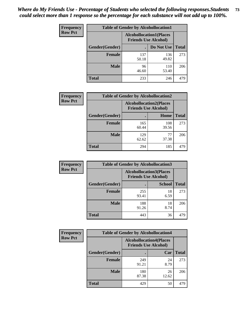| <b>Frequency</b> | <b>Table of Gender by Alcohollocation1</b> |                                                               |              |              |
|------------------|--------------------------------------------|---------------------------------------------------------------|--------------|--------------|
| <b>Row Pct</b>   |                                            | <b>Alcohollocation1(Places</b><br><b>Friends Use Alcohol)</b> |              |              |
|                  | Gender(Gender)                             |                                                               | Do Not Use   | <b>Total</b> |
|                  | <b>Female</b>                              | 137<br>50.18                                                  | 136<br>49.82 | 273          |
|                  | <b>Male</b>                                | 96<br>46.60                                                   | 110<br>53.40 | 206          |
|                  | <b>Total</b>                               | 233                                                           | 246          | 479          |

| <b>Frequency</b> | <b>Table of Gender by Alcohollocation2</b> |                                                               |              |              |
|------------------|--------------------------------------------|---------------------------------------------------------------|--------------|--------------|
| <b>Row Pct</b>   |                                            | <b>Alcohollocation2(Places</b><br><b>Friends Use Alcohol)</b> |              |              |
|                  | Gender(Gender)                             |                                                               | Home         | <b>Total</b> |
|                  | <b>Female</b>                              | 165<br>60.44                                                  | 108<br>39.56 | 273          |
|                  | <b>Male</b>                                | 129<br>62.62                                                  | 77<br>37.38  | 206          |
|                  | <b>Total</b>                               | 294                                                           | 185          | 479          |

| Frequency      | <b>Table of Gender by Alcohollocation3</b> |                                                               |               |              |
|----------------|--------------------------------------------|---------------------------------------------------------------|---------------|--------------|
| <b>Row Pct</b> |                                            | <b>Alcohollocation3(Places</b><br><b>Friends Use Alcohol)</b> |               |              |
|                | Gender(Gender)                             |                                                               | <b>School</b> | <b>Total</b> |
|                | <b>Female</b>                              | 255<br>93.41                                                  | 18<br>6.59    | 273          |
|                | <b>Male</b>                                | 188<br>91.26                                                  | 18<br>8.74    | 206          |
|                | <b>Total</b>                               | 443                                                           | 36            | 479          |

| Frequency      | <b>Table of Gender by Alcohollocation4</b> |                                                               |             |              |
|----------------|--------------------------------------------|---------------------------------------------------------------|-------------|--------------|
| <b>Row Pct</b> |                                            | <b>Alcohollocation4(Places</b><br><b>Friends Use Alcohol)</b> |             |              |
|                | Gender(Gender)                             |                                                               | Car         | <b>Total</b> |
|                | <b>Female</b>                              | 249<br>91.21                                                  | 24<br>8.79  | 273          |
|                | <b>Male</b>                                | 180<br>87.38                                                  | 26<br>12.62 | 206          |
|                | <b>Total</b>                               | 429                                                           | 50          | 479          |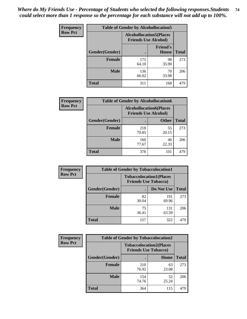| <b>Frequency</b> | <b>Table of Gender by Alcohollocation5</b> |                                                               |                                 |              |
|------------------|--------------------------------------------|---------------------------------------------------------------|---------------------------------|--------------|
| <b>Row Pct</b>   |                                            | <b>Alcohollocation5(Places</b><br><b>Friends Use Alcohol)</b> |                                 |              |
|                  | Gender(Gender)                             | $\bullet$                                                     | <b>Friend's</b><br><b>House</b> | <b>Total</b> |
|                  | <b>Female</b>                              | 175<br>64.10                                                  | 98<br>35.90                     | 273          |
|                  | <b>Male</b>                                | 136<br>66.02                                                  | 70<br>33.98                     | 206          |
|                  | <b>Total</b>                               | 311                                                           | 168                             | 479          |

| <b>Frequency</b> |                | <b>Table of Gender by Alcohollocation6</b>                    |              |              |  |
|------------------|----------------|---------------------------------------------------------------|--------------|--------------|--|
| <b>Row Pct</b>   |                | <b>Alcohollocation6(Places</b><br><b>Friends Use Alcohol)</b> |              |              |  |
|                  | Gender(Gender) |                                                               | <b>Other</b> | <b>Total</b> |  |
|                  | <b>Female</b>  | 218<br>79.85                                                  | 55<br>20.15  | 273          |  |
|                  | <b>Male</b>    | 160<br>77.67                                                  | 46<br>22.33  | 206          |  |
|                  | <b>Total</b>   | 378                                                           | 101          | 479          |  |

| Frequency      | <b>Table of Gender by Tobaccolocation1</b> |                                                               |              |              |  |
|----------------|--------------------------------------------|---------------------------------------------------------------|--------------|--------------|--|
| <b>Row Pct</b> |                                            | <b>Tobaccolocation1(Places</b><br><b>Friends Use Tobacco)</b> |              |              |  |
|                | Gender(Gender)                             |                                                               | Do Not Use   | <b>Total</b> |  |
|                | Female                                     | 82<br>30.04                                                   | 191<br>69.96 | 273          |  |
|                | <b>Male</b>                                | 75<br>36.41                                                   | 131<br>63.59 | 206          |  |
|                | <b>Total</b>                               | 157                                                           | 322          | 479          |  |

| <b>Frequency</b> |                | <b>Table of Gender by Tobaccolocation2</b> |                                |              |  |
|------------------|----------------|--------------------------------------------|--------------------------------|--------------|--|
| <b>Row Pct</b>   |                | <b>Friends Use Tobacco)</b>                | <b>Tobaccolocation2(Places</b> |              |  |
|                  | Gender(Gender) |                                            | Home                           | <b>Total</b> |  |
|                  | <b>Female</b>  | 210<br>76.92                               | 63<br>23.08                    | 273          |  |
|                  | <b>Male</b>    | 154<br>74.76                               | 52<br>25.24                    | 206          |  |
|                  | <b>Total</b>   | 364                                        | 115                            | 479          |  |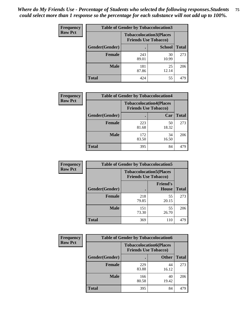| <b>Frequency</b> | <b>Table of Gender by Tobaccolocation3</b> |                                                               |               |              |
|------------------|--------------------------------------------|---------------------------------------------------------------|---------------|--------------|
| <b>Row Pct</b>   |                                            | <b>Tobaccolocation3(Places</b><br><b>Friends Use Tobacco)</b> |               |              |
|                  | Gender(Gender)                             |                                                               | <b>School</b> | <b>Total</b> |
|                  | <b>Female</b>                              | 243<br>89.01                                                  | 30<br>10.99   | 273          |
|                  | <b>Male</b>                                | 181<br>87.86                                                  | 25<br>12.14   | 206          |
|                  | <b>Total</b>                               | 424                                                           | 55            | 479          |

| <b>Frequency</b> | <b>Table of Gender by Tobaccolocation4</b> |                             |                                |              |
|------------------|--------------------------------------------|-----------------------------|--------------------------------|--------------|
| <b>Row Pct</b>   |                                            | <b>Friends Use Tobacco)</b> | <b>Tobaccolocation4(Places</b> |              |
|                  | Gender(Gender)                             |                             | Car                            | <b>Total</b> |
|                  | Female                                     | 223<br>81.68                | 50<br>18.32                    | 273          |
|                  | <b>Male</b>                                | 172<br>83.50                | 34<br>16.50                    | 206          |
|                  | <b>Total</b>                               | 395                         | 84                             | 479          |

| <b>Frequency</b> | <b>Table of Gender by Tobaccolocation5</b> |                                                               |                                 |              |
|------------------|--------------------------------------------|---------------------------------------------------------------|---------------------------------|--------------|
| <b>Row Pct</b>   |                                            | <b>Tobaccolocation5(Places</b><br><b>Friends Use Tobacco)</b> |                                 |              |
|                  | Gender(Gender)                             |                                                               | <b>Friend's</b><br><b>House</b> | <b>Total</b> |
|                  | <b>Female</b>                              | 218<br>79.85                                                  | 55<br>20.15                     | 273          |
|                  | <b>Male</b>                                | 151<br>73.30                                                  | 55<br>26.70                     | 206          |
|                  | <b>Total</b>                               | 369                                                           | 110                             | 479          |

| Frequency      | <b>Table of Gender by Tobaccolocation6</b> |                                                               |              |              |
|----------------|--------------------------------------------|---------------------------------------------------------------|--------------|--------------|
| <b>Row Pct</b> |                                            | <b>Tobaccolocation6(Places</b><br><b>Friends Use Tobacco)</b> |              |              |
|                | <b>Gender</b> (Gender)                     |                                                               | <b>Other</b> | <b>Total</b> |
|                | Female                                     | 229<br>83.88                                                  | 44<br>16.12  | 273          |
|                | <b>Male</b>                                | 166<br>80.58                                                  | 40<br>19.42  | 206          |
|                | <b>Total</b>                               | 395                                                           | 84           | 479          |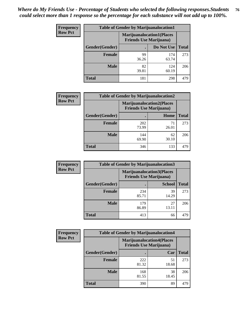| <b>Frequency</b> | <b>Table of Gender by Marijuanalocation1</b> |                                                                    |              |              |  |
|------------------|----------------------------------------------|--------------------------------------------------------------------|--------------|--------------|--|
| <b>Row Pct</b>   |                                              | <b>Marijuanalocation1(Places</b><br><b>Friends Use Marijuana</b> ) |              |              |  |
|                  | Gender(Gender)                               |                                                                    | Do Not Use   | <b>Total</b> |  |
|                  | <b>Female</b>                                | 99<br>36.26                                                        | 174<br>63.74 | 273          |  |
|                  | <b>Male</b>                                  | 82<br>39.81                                                        | 124<br>60.19 | 206          |  |
|                  | <b>Total</b>                                 | 181                                                                | 298          | 479          |  |

| <b>Frequency</b> | <b>Table of Gender by Marijuanalocation2</b> |                                                                    |             |              |
|------------------|----------------------------------------------|--------------------------------------------------------------------|-------------|--------------|
| <b>Row Pct</b>   |                                              | <b>Marijuanalocation2(Places</b><br><b>Friends Use Marijuana</b> ) |             |              |
|                  | Gender(Gender)                               |                                                                    | Home        | <b>Total</b> |
|                  | Female                                       | 202<br>73.99                                                       | 26.01       | 273          |
|                  | <b>Male</b>                                  | 144<br>69.90                                                       | 62<br>30.10 | 206          |
|                  | <b>Total</b>                                 | 346                                                                | 133         | 479          |

| Frequency      |                | <b>Table of Gender by Marijuanalocation3</b>                       |               |              |
|----------------|----------------|--------------------------------------------------------------------|---------------|--------------|
| <b>Row Pct</b> |                | <b>Marijuanalocation3(Places</b><br><b>Friends Use Marijuana</b> ) |               |              |
|                | Gender(Gender) |                                                                    | <b>School</b> | <b>Total</b> |
|                | Female         | 234<br>85.71                                                       | 39<br>14.29   | 273          |
|                | <b>Male</b>    | 179<br>86.89                                                       | 27<br>13.11   | 206          |
|                | <b>Total</b>   | 413                                                                | 66            | 479          |

| <b>Frequency</b> |                | <b>Table of Gender by Marijuanalocation4</b>                       |             |              |
|------------------|----------------|--------------------------------------------------------------------|-------------|--------------|
| <b>Row Pct</b>   |                | <b>Marijuanalocation4(Places</b><br><b>Friends Use Marijuana</b> ) |             |              |
|                  | Gender(Gender) |                                                                    | Car         | <b>Total</b> |
|                  | <b>Female</b>  | 222<br>81.32                                                       | 51<br>18.68 | 273          |
|                  | <b>Male</b>    | 168<br>81.55                                                       | 38<br>18.45 | 206          |
|                  | <b>Total</b>   | 390                                                                | 89          | 479          |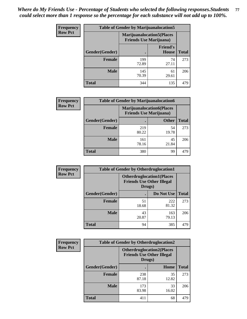| <b>Frequency</b> | <b>Table of Gender by Marijuanalocation5</b> |                                                                     |                          |              |
|------------------|----------------------------------------------|---------------------------------------------------------------------|--------------------------|--------------|
| <b>Row Pct</b>   |                                              | <b>Marijuanalocation5</b> (Places<br><b>Friends Use Marijuana</b> ) |                          |              |
|                  | Gender(Gender)                               |                                                                     | <b>Friend's</b><br>House | <b>Total</b> |
|                  | <b>Female</b>                                | 199<br>72.89                                                        | 74<br>27.11              | 273          |
|                  | <b>Male</b>                                  | 145<br>70.39                                                        | 61<br>29.61              | 206          |
|                  | <b>Total</b>                                 | 344                                                                 | 135                      | 479          |

| <b>Frequency</b> | <b>Table of Gender by Marijuanalocation6</b> |                                                                    |              |              |
|------------------|----------------------------------------------|--------------------------------------------------------------------|--------------|--------------|
| <b>Row Pct</b>   |                                              | <b>Marijuanalocation6(Places</b><br><b>Friends Use Marijuana</b> ) |              |              |
|                  | Gender(Gender)                               |                                                                    | <b>Other</b> | <b>Total</b> |
|                  | <b>Female</b>                                | 219<br>80.22                                                       | 54<br>19.78  | 273          |
|                  | <b>Male</b>                                  | 161<br>78.16                                                       | 45<br>21.84  | 206          |
|                  | <b>Total</b>                                 | 380                                                                | 99           | 479          |

| <b>Frequency</b> | <b>Table of Gender by Otherdruglocation1</b> |             |                                                                                |              |
|------------------|----------------------------------------------|-------------|--------------------------------------------------------------------------------|--------------|
| <b>Row Pct</b>   |                                              |             | <b>Otherdruglocation1(Places</b><br><b>Friends Use Other Illegal</b><br>Drugs) |              |
|                  | Gender(Gender)                               |             | Do Not Use                                                                     | <b>Total</b> |
|                  | <b>Female</b>                                | 51<br>18.68 | 222<br>81.32                                                                   | 273          |
|                  | <b>Male</b>                                  | 43<br>20.87 | 163<br>79.13                                                                   | 206          |
|                  | <b>Total</b>                                 | 94          | 385                                                                            | 479          |

| Frequency      | <b>Table of Gender by Otherdruglocation2</b> |                                                                                |             |              |
|----------------|----------------------------------------------|--------------------------------------------------------------------------------|-------------|--------------|
| <b>Row Pct</b> |                                              | <b>Otherdruglocation2(Places</b><br><b>Friends Use Other Illegal</b><br>Drugs) |             |              |
|                | Gender(Gender)                               |                                                                                | Home        | <b>Total</b> |
|                | <b>Female</b>                                | 238<br>87.18                                                                   | 35<br>12.82 | 273          |
|                | <b>Male</b>                                  | 173<br>83.98                                                                   | 33<br>16.02 | 206          |
|                | <b>Total</b>                                 | 411                                                                            | 68          | 479          |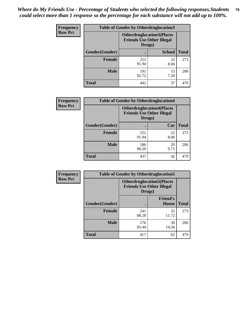| <b>Frequency</b> | <b>Table of Gender by Otherdruglocation3</b> |                                                                                |               |              |
|------------------|----------------------------------------------|--------------------------------------------------------------------------------|---------------|--------------|
| <b>Row Pct</b>   |                                              | <b>Otherdruglocation3(Places</b><br><b>Friends Use Other Illegal</b><br>Drugs) |               |              |
|                  | Gender(Gender)                               |                                                                                | <b>School</b> | <b>Total</b> |
|                  | <b>Female</b>                                | 251<br>91.94                                                                   | 22<br>8.06    | 273          |
|                  | <b>Male</b>                                  | 191<br>92.72                                                                   | 15<br>7.28    | 206          |
|                  | <b>Total</b>                                 | 442                                                                            | 37            | 479          |

| <b>Frequency</b> | <b>Table of Gender by Otherdruglocation4</b> |                                                                                |            |              |
|------------------|----------------------------------------------|--------------------------------------------------------------------------------|------------|--------------|
| <b>Row Pct</b>   |                                              | <b>Otherdruglocation4(Places</b><br><b>Friends Use Other Illegal</b><br>Drugs) |            |              |
|                  | Gender(Gender)                               |                                                                                | Car        | <b>Total</b> |
|                  | Female                                       | 251<br>91.94                                                                   | 22<br>8.06 | 273          |
|                  | <b>Male</b>                                  | 186<br>90.29                                                                   | 20<br>9.71 | 206          |
|                  | <b>Total</b>                                 | 437                                                                            | 42         | 479          |

| Frequency      | <b>Table of Gender by Otherdruglocation5</b> |                                                                                |                                 |              |
|----------------|----------------------------------------------|--------------------------------------------------------------------------------|---------------------------------|--------------|
| <b>Row Pct</b> |                                              | <b>Otherdruglocation5(Places</b><br><b>Friends Use Other Illegal</b><br>Drugs) |                                 |              |
|                | Gender(Gender)                               |                                                                                | <b>Friend's</b><br><b>House</b> | <b>Total</b> |
|                | <b>Female</b>                                | 241<br>88.28                                                                   | 32<br>11.72                     | 273          |
|                | <b>Male</b>                                  | 176<br>85.44                                                                   | 30<br>14.56                     | 206          |
|                | <b>Total</b>                                 | 417                                                                            | 62                              | 479          |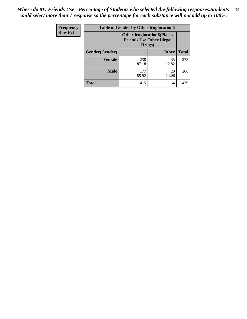| <b>Frequency</b> | <b>Table of Gender by Otherdruglocation6</b> |                                            |                                  |              |
|------------------|----------------------------------------------|--------------------------------------------|----------------------------------|--------------|
| <b>Row Pct</b>   |                                              | <b>Friends Use Other Illegal</b><br>Drugs) | <b>Otherdruglocation6(Places</b> |              |
|                  | Gender(Gender)                               |                                            | <b>Other</b>                     | <b>Total</b> |
|                  | Female                                       | 238<br>87.18                               | 35<br>12.82                      | 273          |
|                  | <b>Male</b>                                  | 177<br>85.92                               | 29<br>14.08                      | 206          |
|                  | <b>Total</b>                                 | 415                                        | 64                               | 479          |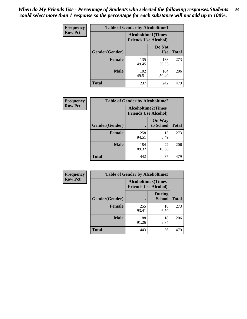| <b>Frequency</b> | <b>Table of Gender by Alcoholtime1</b> |                                                          |                      |              |
|------------------|----------------------------------------|----------------------------------------------------------|----------------------|--------------|
| <b>Row Pct</b>   |                                        | <b>Alcoholtime1(Times</b><br><b>Friends Use Alcohol)</b> |                      |              |
|                  | Gender(Gender)                         | $\bullet$                                                | Do Not<br><b>Use</b> | <b>Total</b> |
|                  | <b>Female</b>                          | 135<br>49.45                                             | 138<br>50.55         | 273          |
|                  | <b>Male</b>                            | 102<br>49.51                                             | 104<br>50.49         | 206          |
|                  | <b>Total</b>                           | 237                                                      | 242                  | 479          |

| <b>Frequency</b> | <b>Table of Gender by Alcoholtime2</b> |                                                          |                            |              |
|------------------|----------------------------------------|----------------------------------------------------------|----------------------------|--------------|
| <b>Row Pct</b>   |                                        | <b>Alcoholtime2(Times</b><br><b>Friends Use Alcohol)</b> |                            |              |
|                  | Gender(Gender)                         |                                                          | <b>On Way</b><br>to School | <b>Total</b> |
|                  | <b>Female</b>                          | 258<br>94.51                                             | 15<br>5.49                 | 273          |
|                  | <b>Male</b>                            | 184<br>89.32                                             | 22<br>10.68                | 206          |
|                  | <b>Total</b>                           | 442                                                      | 37                         | 479          |

| Frequency      | <b>Table of Gender by Alcoholtime3</b> |                                                   |                                |              |  |
|----------------|----------------------------------------|---------------------------------------------------|--------------------------------|--------------|--|
| <b>Row Pct</b> |                                        | Alcoholtime3(Times<br><b>Friends Use Alcohol)</b> |                                |              |  |
|                | Gender(Gender)                         |                                                   | <b>During</b><br><b>School</b> | <b>Total</b> |  |
|                | Female                                 | 255<br>93.41                                      | 18<br>6.59                     | 273          |  |
|                | <b>Male</b>                            | 188<br>91.26                                      | 18<br>8.74                     | 206          |  |
|                | <b>Total</b>                           | 443                                               | 36                             | 479          |  |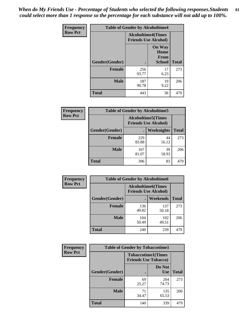*When do My Friends Use - Percentage of Students who selected the following responses.Students could select more than 1 response so the percentage for each substance will not add up to 100%.* **81**

| <b>Frequency</b> | <b>Table of Gender by Alcoholtime4</b> |                                                          |                                                       |              |
|------------------|----------------------------------------|----------------------------------------------------------|-------------------------------------------------------|--------------|
| <b>Row Pct</b>   |                                        | <b>Alcoholtime4(Times</b><br><b>Friends Use Alcohol)</b> |                                                       |              |
|                  | Gender(Gender)                         |                                                          | <b>On Way</b><br>Home<br><b>From</b><br><b>School</b> | <b>Total</b> |
|                  | <b>Female</b>                          | 256<br>93.77                                             | 17<br>6.23                                            | 273          |
|                  | <b>Male</b>                            | 187<br>90.78                                             | 19<br>9.22                                            | 206          |
|                  | <b>Total</b>                           | 443                                                      | 36                                                    | 479          |

| <b>Frequency</b> | <b>Table of Gender by Alcoholtime5</b> |                                                           |             |              |
|------------------|----------------------------------------|-----------------------------------------------------------|-------------|--------------|
| <b>Row Pct</b>   |                                        | <b>Alcoholtime5</b> (Times<br><b>Friends Use Alcohol)</b> |             |              |
|                  | Gender(Gender)                         |                                                           | Weeknights  | <b>Total</b> |
|                  | <b>Female</b>                          | 229<br>83.88                                              | 44<br>16.12 | 273          |
|                  | <b>Male</b>                            | 167<br>81.07                                              | 39<br>18.93 | 206          |
|                  | <b>Total</b>                           | 396                                                       | 83          | 479          |

| <b>Frequency</b> |                | <b>Table of Gender by Alcoholtime6</b> |                                                           |              |
|------------------|----------------|----------------------------------------|-----------------------------------------------------------|--------------|
| <b>Row Pct</b>   |                |                                        | <b>Alcoholtime6</b> (Times<br><b>Friends Use Alcohol)</b> |              |
|                  | Gender(Gender) |                                        | Weekends                                                  | <b>Total</b> |
|                  | Female         | 136<br>49.82                           | 137<br>50.18                                              | 273          |
|                  | <b>Male</b>    | 104<br>50.49                           | 102<br>49.51                                              | 206          |
|                  | <b>Total</b>   | 240                                    | 239                                                       | 479          |

| <b>Frequency</b> | <b>Table of Gender by Tobaccotime1</b> |                                                          |                      |              |
|------------------|----------------------------------------|----------------------------------------------------------|----------------------|--------------|
| <b>Row Pct</b>   |                                        | <b>Tobaccotime1(Times</b><br><b>Friends Use Tobacco)</b> |                      |              |
|                  | Gender(Gender)                         |                                                          | Do Not<br><b>Use</b> | <b>Total</b> |
|                  | <b>Female</b>                          | 69<br>25.27                                              | 204<br>74.73         | 273          |
|                  | <b>Male</b>                            | 71<br>34.47                                              | 135<br>65.53         | 206          |
|                  | <b>Total</b>                           | 140                                                      | 339                  | 479          |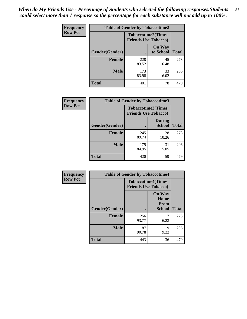*When do My Friends Use - Percentage of Students who selected the following responses.Students could select more than 1 response so the percentage for each substance will not add up to 100%.* **82**

| Frequency      | <b>Table of Gender by Tobaccotime2</b> |                                                          |                            |              |
|----------------|----------------------------------------|----------------------------------------------------------|----------------------------|--------------|
| <b>Row Pct</b> |                                        | <b>Tobaccotime2(Times</b><br><b>Friends Use Tobacco)</b> |                            |              |
|                | Gender(Gender)                         | $\bullet$                                                | <b>On Way</b><br>to School | <b>Total</b> |
|                | <b>Female</b>                          | 228<br>83.52                                             | 45<br>16.48                | 273          |
|                | <b>Male</b>                            | 173<br>83.98                                             | 33<br>16.02                | 206          |
|                | <b>Total</b>                           | 401                                                      | 78                         | 479          |

| <b>Frequency</b> | <b>Table of Gender by Tobaccotime3</b> |                                                          |                                |              |
|------------------|----------------------------------------|----------------------------------------------------------|--------------------------------|--------------|
| <b>Row Pct</b>   |                                        | <b>Tobaccotime3(Times</b><br><b>Friends Use Tobacco)</b> |                                |              |
|                  | Gender(Gender)                         |                                                          | <b>During</b><br><b>School</b> | <b>Total</b> |
|                  | <b>Female</b>                          | 245<br>89.74                                             | 28<br>10.26                    | 273          |
|                  | <b>Male</b>                            | 175<br>84.95                                             | 31<br>15.05                    | 206          |
|                  | <b>Total</b>                           | 420                                                      | 59                             | 479          |

| Frequency      | <b>Table of Gender by Tobaccotime4</b> |                                                          |                                                |              |
|----------------|----------------------------------------|----------------------------------------------------------|------------------------------------------------|--------------|
| <b>Row Pct</b> |                                        | <b>Tobaccotime4(Times</b><br><b>Friends Use Tobacco)</b> |                                                |              |
|                | Gender(Gender)                         |                                                          | <b>On Way</b><br>Home<br>From<br><b>School</b> | <b>Total</b> |
|                | <b>Female</b>                          | 256<br>93.77                                             | 17<br>6.23                                     | 273          |
|                | <b>Male</b>                            | 187<br>90.78                                             | 19<br>9.22                                     | 206          |
|                | <b>Total</b>                           | 443                                                      | 36                                             | 479          |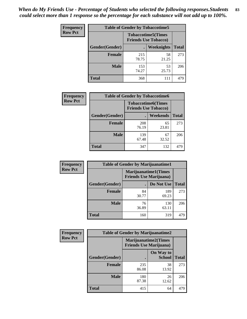| <b>Frequency</b> | <b>Table of Gender by Tobaccotime5</b> |              |                                                           |              |  |
|------------------|----------------------------------------|--------------|-----------------------------------------------------------|--------------|--|
| <b>Row Pct</b>   |                                        |              | <b>Tobaccotime5</b> (Times<br><b>Friends Use Tobacco)</b> |              |  |
|                  | Gender(Gender)                         |              | Weeknights                                                | <b>Total</b> |  |
|                  | <b>Female</b>                          | 215<br>78.75 | 58<br>21.25                                               | 273          |  |
|                  | <b>Male</b>                            | 153<br>74.27 | 53<br>25.73                                               | 206          |  |
|                  | <b>Total</b>                           | 368          | 111                                                       | 479          |  |

| Frequency      | <b>Table of Gender by Tobaccotime6</b> |                                                          |             |              |
|----------------|----------------------------------------|----------------------------------------------------------|-------------|--------------|
| <b>Row Pct</b> |                                        | <b>Tobaccotime6(Times</b><br><b>Friends Use Tobacco)</b> |             |              |
|                | Gender(Gender)                         |                                                          | Weekends    | <b>Total</b> |
|                | Female                                 | 208<br>76.19                                             | 65<br>23.81 | 273          |
|                | <b>Male</b>                            | 139<br>67.48                                             | 67<br>32.52 | 206          |
|                | <b>Total</b>                           | 347                                                      | 132         | 479          |

| Frequency      | <b>Table of Gender by Marijuanatime1</b> |                                |                      |              |
|----------------|------------------------------------------|--------------------------------|----------------------|--------------|
| <b>Row Pct</b> |                                          | <b>Friends Use Marijuana</b> ) | Marijuanatime1(Times |              |
|                | Gender(Gender)                           |                                | Do Not Use           | <b>Total</b> |
|                | <b>Female</b>                            | 84<br>30.77                    | 189<br>69.23         | 273          |
|                | <b>Male</b>                              | 76<br>36.89                    | 130<br>63.11         | 206          |
|                | <b>Total</b>                             | 160                            | 319                  | 479          |

| <b>Frequency</b> | <b>Table of Gender by Marijuanatime2</b> |                                                               |                            |              |
|------------------|------------------------------------------|---------------------------------------------------------------|----------------------------|--------------|
| <b>Row Pct</b>   |                                          | <b>Marijuanatime2(Times</b><br><b>Friends Use Marijuana</b> ) |                            |              |
|                  | Gender(Gender)                           |                                                               | On Way to<br><b>School</b> | <b>Total</b> |
|                  | <b>Female</b>                            | 235<br>86.08                                                  | 38<br>13.92                | 273          |
|                  | <b>Male</b>                              | 180<br>87.38                                                  | 26<br>12.62                | 206          |
|                  | <b>Total</b>                             | 415                                                           | 64                         | 479          |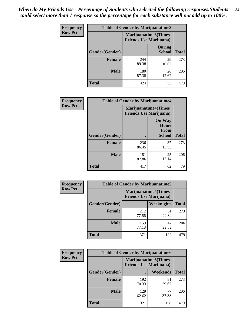*When do My Friends Use - Percentage of Students who selected the following responses.Students could select more than 1 response so the percentage for each substance will not add up to 100%.* **84**

| <b>Frequency</b> | Table of Gender by Marijuanatime3 |                                                        |                                |              |
|------------------|-----------------------------------|--------------------------------------------------------|--------------------------------|--------------|
| <b>Row Pct</b>   |                                   | Marijuanatime3(Times<br><b>Friends Use Marijuana</b> ) |                                |              |
|                  | Gender(Gender)                    |                                                        | <b>During</b><br><b>School</b> | <b>Total</b> |
|                  | <b>Female</b>                     | 244<br>89.38                                           | 29<br>10.62                    | 273          |
|                  | <b>Male</b>                       | 180<br>87.38                                           | 26<br>12.62                    | 206          |
|                  | <b>Total</b>                      | 424                                                    | 55                             | 479          |

| Frequency      | <b>Table of Gender by Marijuanatime4</b> |                                |                                                       |              |
|----------------|------------------------------------------|--------------------------------|-------------------------------------------------------|--------------|
| <b>Row Pct</b> |                                          | <b>Friends Use Marijuana</b> ) | <b>Marijuanatime4</b> (Times                          |              |
|                | Gender(Gender)                           |                                | <b>On Way</b><br>Home<br><b>From</b><br><b>School</b> | <b>Total</b> |
|                | <b>Female</b>                            | 236<br>86.45                   | 37<br>13.55                                           | 273          |
|                | <b>Male</b>                              | 181<br>87.86                   | 25<br>12.14                                           | 206          |
|                | <b>Total</b>                             | 417                            | 62                                                    | 479          |

| Frequency      | <b>Table of Gender by Marijuanatime5</b> |              |                                                                |              |  |
|----------------|------------------------------------------|--------------|----------------------------------------------------------------|--------------|--|
| <b>Row Pct</b> |                                          |              | <b>Marijuanatime5</b> (Times<br><b>Friends Use Marijuana</b> ) |              |  |
|                | Gender(Gender)                           |              | Weeknights                                                     | <b>Total</b> |  |
|                | <b>Female</b>                            | 212<br>77.66 | 61<br>22.34                                                    | 273          |  |
|                | <b>Male</b>                              | 159<br>77.18 | 47<br>22.82                                                    | 206          |  |
|                | <b>Total</b>                             | 371          | 108                                                            | 479          |  |

| Frequency      | <b>Table of Gender by Marijuanatime6</b> |                                                               |                 |              |  |
|----------------|------------------------------------------|---------------------------------------------------------------|-----------------|--------------|--|
| <b>Row Pct</b> |                                          | <b>Marijuanatime6(Times</b><br><b>Friends Use Marijuana</b> ) |                 |              |  |
|                | Gender(Gender)                           |                                                               | <b>Weekends</b> | <b>Total</b> |  |
|                | <b>Female</b>                            | 192<br>70.33                                                  | 81<br>29.67     | 273          |  |
|                | <b>Male</b>                              | 129<br>62.62                                                  | 77<br>37.38     | 206          |  |
|                | <b>Total</b>                             | 321                                                           | 158             | 479          |  |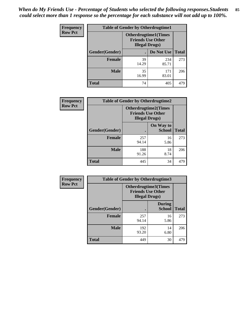*When do My Friends Use - Percentage of Students who selected the following responses.Students could select more than 1 response so the percentage for each substance will not add up to 100%.* **85**

| <b>Frequency</b> | <b>Table of Gender by Otherdrugtime1</b> |                        |                                                         |              |
|------------------|------------------------------------------|------------------------|---------------------------------------------------------|--------------|
| <b>Row Pct</b>   |                                          | <b>Illegal Drugs</b> ) | <b>Otherdrugtime1(Times</b><br><b>Friends Use Other</b> |              |
|                  | Gender(Gender)                           |                        | Do Not Use                                              | <b>Total</b> |
|                  | <b>Female</b>                            | 39<br>14.29            | 234<br>85.71                                            | 273          |
|                  | <b>Male</b>                              | 35<br>16.99            | 171<br>83.01                                            | 206          |
|                  | <b>Total</b>                             | 74                     | 405                                                     | 479          |

| Frequency      | <b>Table of Gender by Otherdrugtime2</b> |                        |                                                         |              |
|----------------|------------------------------------------|------------------------|---------------------------------------------------------|--------------|
| <b>Row Pct</b> |                                          | <b>Illegal Drugs</b> ) | <b>Otherdrugtime2(Times</b><br><b>Friends Use Other</b> |              |
|                | Gender(Gender)                           |                        | On Way to<br><b>School</b>                              | <b>Total</b> |
|                | <b>Female</b>                            | 257<br>94.14           | 16<br>5.86                                              | 273          |
|                | <b>Male</b>                              | 188<br>91.26           | 18<br>8.74                                              | 206          |
|                | <b>Total</b>                             | 445                    | 34                                                      | 479          |

| Frequency      | <b>Table of Gender by Otherdrugtime3</b> |                                                    |                                |              |
|----------------|------------------------------------------|----------------------------------------------------|--------------------------------|--------------|
| <b>Row Pct</b> |                                          | <b>Friends Use Other</b><br><b>Illegal Drugs</b> ) | <b>Otherdrugtime3(Times</b>    |              |
|                | Gender(Gender)                           |                                                    | <b>During</b><br><b>School</b> | <b>Total</b> |
|                | <b>Female</b>                            | 257<br>94.14                                       | 16<br>5.86                     | 273          |
|                | <b>Male</b>                              | 192<br>93.20                                       | 14<br>6.80                     | 206          |
|                | <b>Total</b>                             | 449                                                | 30                             | 479          |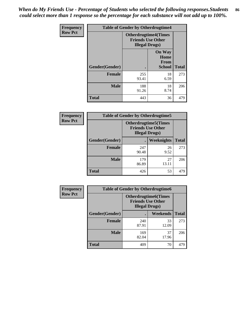*When do My Friends Use - Percentage of Students who selected the following responses.Students could select more than 1 response so the percentage for each substance will not add up to 100%.* **86**

| <b>Frequency</b> | <b>Table of Gender by Otherdrugtime4</b> |                        |                                                         |              |
|------------------|------------------------------------------|------------------------|---------------------------------------------------------|--------------|
| <b>Row Pct</b>   |                                          | <b>Illegal Drugs</b> ) | <b>Otherdrugtime4(Times</b><br><b>Friends Use Other</b> |              |
|                  | Gender(Gender)                           | ٠                      | <b>On Way</b><br>Home<br><b>From</b><br><b>School</b>   | <b>Total</b> |
|                  | <b>Female</b>                            | 255<br>93.41           | 18<br>6.59                                              | 273          |
|                  | <b>Male</b>                              | 188<br>91.26           | 18<br>8.74                                              | 206          |
|                  | <b>Total</b>                             | 443                    | 36                                                      | 479          |

| Frequency      | <b>Table of Gender by Otherdrugtime5</b> |                                                                                    |             |              |
|----------------|------------------------------------------|------------------------------------------------------------------------------------|-------------|--------------|
| <b>Row Pct</b> |                                          | <b>Otherdrugtime5</b> (Times<br><b>Friends Use Other</b><br><b>Illegal Drugs</b> ) |             |              |
|                | Gender(Gender)                           |                                                                                    | Weeknights  | <b>Total</b> |
|                | <b>Female</b>                            | 247<br>90.48                                                                       | 26<br>9.52  | 273          |
|                | <b>Male</b>                              | 179<br>86.89                                                                       | 27<br>13.11 | 206          |
|                | <b>Total</b>                             | 426                                                                                | 53          | 479          |

| <b>Frequency</b> | <b>Table of Gender by Otherdrugtime6</b> |                                                                                   |             |              |  |
|------------------|------------------------------------------|-----------------------------------------------------------------------------------|-------------|--------------|--|
| <b>Row Pct</b>   |                                          | <b>Otherdrugtime6(Times</b><br><b>Friends Use Other</b><br><b>Illegal Drugs</b> ) |             |              |  |
|                  | Gender(Gender)                           |                                                                                   | Weekends    | <b>Total</b> |  |
|                  | <b>Female</b>                            | 240<br>87.91                                                                      | 33<br>12.09 | 273          |  |
|                  | <b>Male</b>                              | 169<br>82.04                                                                      | 37<br>17.96 | 206          |  |
|                  | <b>Total</b>                             | 409                                                                               | 70          | 479          |  |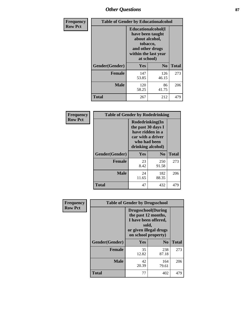# *Other Questions* **87**

| <b>Frequency</b> | <b>Table of Gender by Educationalcohol</b> |                                                                                                                                       |                |              |  |
|------------------|--------------------------------------------|---------------------------------------------------------------------------------------------------------------------------------------|----------------|--------------|--|
| <b>Row Pct</b>   |                                            | <b>Educationalcohol</b> (I<br>have been taught<br>about alcohol,<br>tobacco,<br>and other drugs<br>within the last year<br>at school) |                |              |  |
|                  | Gender(Gender)                             | <b>Yes</b>                                                                                                                            | N <sub>0</sub> | <b>Total</b> |  |
|                  | <b>Female</b>                              | 147<br>53.85                                                                                                                          | 126<br>46.15   | 273          |  |
|                  | <b>Male</b>                                | 120<br>58.25                                                                                                                          | 86<br>41.75    | 206          |  |
|                  | <b>Total</b>                               | 267                                                                                                                                   | 212            | 479          |  |

| Frequency      | <b>Table of Gender by Rodedrinking</b> |                                                                                                                     |              |              |
|----------------|----------------------------------------|---------------------------------------------------------------------------------------------------------------------|--------------|--------------|
| <b>Row Pct</b> |                                        | Rodedrinking(In<br>the past 30 days I<br>have ridden in a<br>car with a driver<br>who had been<br>drinking alcohol) |              |              |
|                | Gender(Gender)                         | Yes                                                                                                                 | $\bf N_0$    | <b>Total</b> |
|                | <b>Female</b>                          | 23<br>8.42                                                                                                          | 250<br>91.58 | 273          |
|                | <b>Male</b>                            | 24<br>11.65                                                                                                         | 182<br>88.35 | 206          |
|                | <b>Total</b>                           | 47                                                                                                                  | 432          | 479          |

| Frequency      | <b>Table of Gender by Drugsschool</b> |                                                                                                                                     |                |              |  |
|----------------|---------------------------------------|-------------------------------------------------------------------------------------------------------------------------------------|----------------|--------------|--|
| <b>Row Pct</b> |                                       | <b>Drugsschool</b> (During<br>the past 12 months,<br>I have been offered,<br>sold,<br>or given illegal drugs<br>on school property) |                |              |  |
|                | Gender(Gender)                        | <b>Yes</b>                                                                                                                          | N <sub>0</sub> | <b>Total</b> |  |
|                | <b>Female</b>                         | 35<br>12.82                                                                                                                         | 238<br>87.18   | 273          |  |
|                | <b>Male</b>                           | 42<br>20.39                                                                                                                         | 164<br>79.61   | 206          |  |
|                | <b>Total</b>                          | 77                                                                                                                                  | 402            | 479          |  |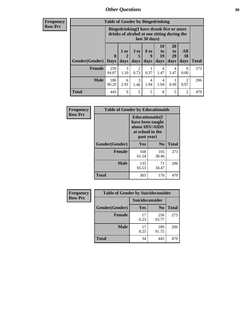## *Other Questions* **88**

**Frequency Row Pct**

| <b>Table of Gender by Bingedrinking</b> |              |                                                                                                         |                        |                   |                        |                               |                          |              |
|-----------------------------------------|--------------|---------------------------------------------------------------------------------------------------------|------------------------|-------------------|------------------------|-------------------------------|--------------------------|--------------|
|                                         |              | Bingedrinking(I have drunk five or more<br>drinks of alcohol at one sitting during the<br>last 30 days) |                        |                   |                        |                               |                          |              |
| <b>Gender</b> (Gender)   Days           | $\mathbf 0$  | 1 or<br>days                                                                                            | 3 to<br>5<br>days      | 6 to<br>q<br>days | 10<br>to<br>19<br>days | <b>20</b><br>to<br>29<br>days | All<br><b>30</b><br>days | <b>Total</b> |
| <b>Female</b>                           | 259          | 3                                                                                                       |                        |                   |                        |                               |                          |              |
|                                         | 94.87        | 1.10                                                                                                    | $\overline{2}$<br>0.73 | 0.37              | 4<br>1.47              | $\overline{4}$<br>1.47        | $\Omega$<br>0.00         | 273          |
| <b>Male</b>                             | 186<br>90.29 | 6<br>2.91                                                                                               | 3<br>1.46              | 4<br>1.94         | 4<br>1.94              | 0.49                          | 2<br>0.97                | 206          |

| Frequency      | <b>Table of Gender by Educationaids</b> |                                                                                                 |              |              |  |
|----------------|-----------------------------------------|-------------------------------------------------------------------------------------------------|--------------|--------------|--|
| <b>Row Pct</b> |                                         | <b>Educationaids</b> (I<br>have been taught<br>about HIV/AIDS<br>at school in the<br>past year) |              |              |  |
|                | Gender(Gender)                          | Yes                                                                                             | $\bf N_0$    | <b>Total</b> |  |
|                | <b>Female</b>                           | 168<br>61.54                                                                                    | 105<br>38.46 | 273          |  |
|                | <b>Male</b>                             | 135<br>65.53                                                                                    | 71<br>34.47  | 206          |  |
|                | <b>Total</b>                            | 303                                                                                             | 176          | 479          |  |

| <b>Frequency</b> | <b>Table of Gender by Suicideconsider</b> |                 |                |              |  |
|------------------|-------------------------------------------|-----------------|----------------|--------------|--|
| <b>Row Pct</b>   |                                           | Suicideconsider |                |              |  |
|                  | Gender(Gender)                            | Yes             | N <sub>0</sub> | <b>Total</b> |  |
|                  | <b>Female</b>                             | 17<br>6.23      | 256<br>93.77   | 273          |  |
|                  | <b>Male</b>                               | 17<br>8.25      | 189<br>91.75   | 206          |  |
|                  | <b>Total</b>                              | 34              | 445            | 479          |  |